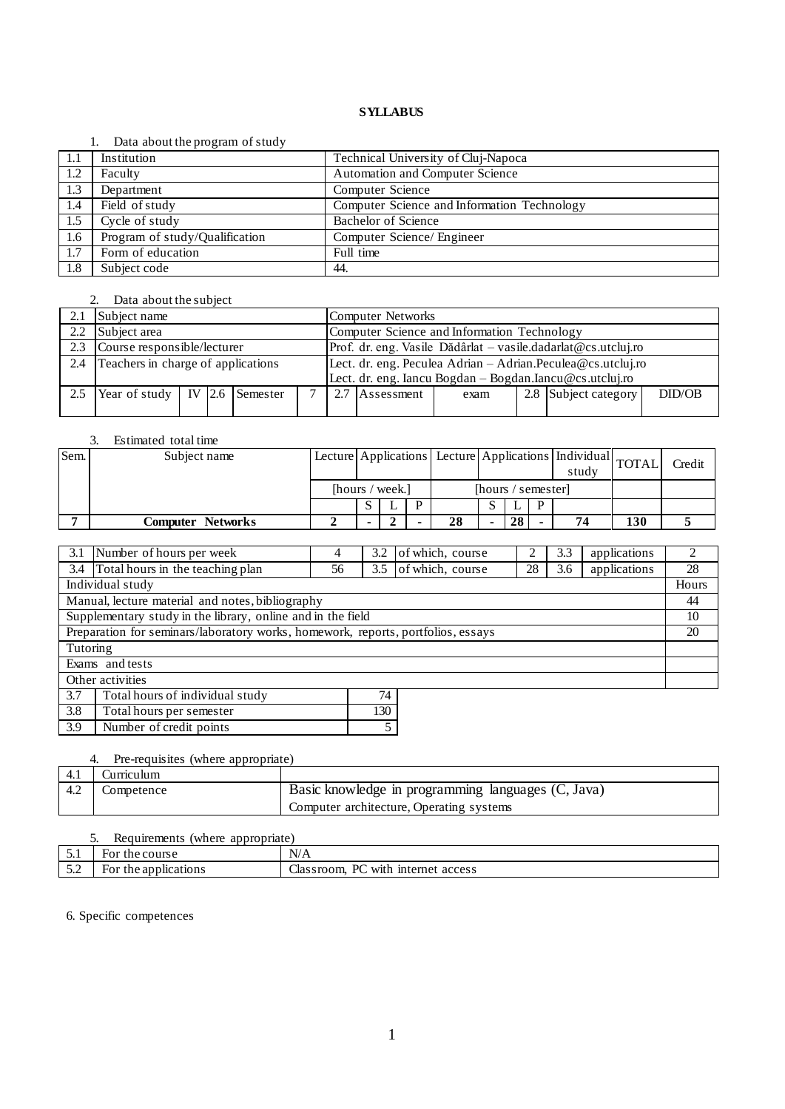### 1. Data about the program of study

|      | $\sim$ and about the program of beau |                                             |
|------|--------------------------------------|---------------------------------------------|
| -1.1 | Institution                          | Technical University of Cluj-Napoca         |
| 1.2  | Faculty                              | <b>Automation and Computer Science</b>      |
| 1.3  | Department                           | Computer Science                            |
| 1.4  | Field of study                       | Computer Science and Information Technology |
| 1.5  | Cycle of study                       | Bachelor of Science                         |
| 1.6  | Program of study/Qualification       | Computer Science/ Engineer                  |
| 1.7  | Form of education                    | Full time                                   |
| 1.8  | Subject code                         | 44.                                         |

# 2. Data about the subject

| 2.1 | Subject name                            |  |  |  |                                                               | Computer Networks                                            |                |      |  |                      |        |
|-----|-----------------------------------------|--|--|--|---------------------------------------------------------------|--------------------------------------------------------------|----------------|------|--|----------------------|--------|
| 2.2 | Subject area                            |  |  |  |                                                               | Computer Science and Information Technology                  |                |      |  |                      |        |
| 2.3 | Course responsible/lecturer             |  |  |  | Prof. dr. eng. Vasile Dădârlat – vasile.dadarlat@cs.utcluj.ro |                                                              |                |      |  |                      |        |
| 2.4 | Teachers in charge of applications      |  |  |  |                                                               | Lect. dr. eng. Peculea Adrian - Adrian. Peculea@cs.utcluj.ro |                |      |  |                      |        |
|     |                                         |  |  |  |                                                               | Lect. dr. eng. Iancu Bogdan - Bogdan.Iancu@cs.utcluj.ro      |                |      |  |                      |        |
| 2.5 | Year of study   IV $\vert$ 2.6 Semester |  |  |  |                                                               |                                                              | 2.7 Assessment | exam |  | 2.8 Subject category | DID/OB |
|     |                                         |  |  |  |                                                               |                                                              |                |      |  |                      |        |

# 3. Estimated total time

| Sem. | Subject name      |                 |  |                    |    |  |    |   | Lecture Applications Lecture Applications   Individual   TOTAL  <br>study |     | Credit |
|------|-------------------|-----------------|--|--------------------|----|--|----|---|---------------------------------------------------------------------------|-----|--------|
|      |                   | [hours / week.] |  | [hours / semester] |    |  |    |   |                                                                           |     |        |
|      |                   |                 |  | D                  |    |  |    | D |                                                                           |     |        |
|      | Computer Networks |                 |  |                    | 28 |  | 28 |   | 74                                                                        | 130 |        |

| Number of hours per week<br>3.1                                                  | 4                                                          | 3.2 | of which, course |  | 3.3 | applications | 2     |
|----------------------------------------------------------------------------------|------------------------------------------------------------|-----|------------------|--|-----|--------------|-------|
| Total hours in the teaching plan<br>3.4                                          | 28<br>of which, course<br>applications<br>3.6<br>3.5<br>56 |     |                  |  |     |              |       |
| Individual study                                                                 |                                                            |     |                  |  |     |              | Hours |
| Manual, lecture material and notes, bibliography                                 |                                                            |     |                  |  |     |              | 44    |
| Supplementary study in the library, online and in the field                      |                                                            |     |                  |  |     |              | 10    |
| Preparation for seminars/laboratory works, homework, reports, portfolios, essays |                                                            |     |                  |  |     |              | 20    |
| Tutoring                                                                         |                                                            |     |                  |  |     |              |       |
| Exams and tests                                                                  |                                                            |     |                  |  |     |              |       |
| Other activities                                                                 |                                                            |     |                  |  |     |              |       |
| 3.7<br>Total hours of individual study<br>74                                     |                                                            |     |                  |  |     |              |       |
| 3.8<br>130<br>Total hours per semester                                           |                                                            |     |                  |  |     |              |       |
| Number of credit points<br>3.9                                                   |                                                            |     |                  |  |     |              |       |

# 4. Pre-requisites (where appropriate)

| 4.1 | Jurneulum  |                                                    |
|-----|------------|----------------------------------------------------|
| 4.2 | Competence | Basic knowledge in programming languages (C, Java) |
|     |            | Computer architecture, Operating systems           |

# 5. Requirements (where appropriate)

| ◡.              | course<br>'ne<br>HΩ۴ | N/A                                                |
|-----------------|----------------------|----------------------------------------------------|
| $\sim$ . $\sim$ | the applications     | Ē<br>Llas sroom.<br>access<br>ы<br>mternet<br>With |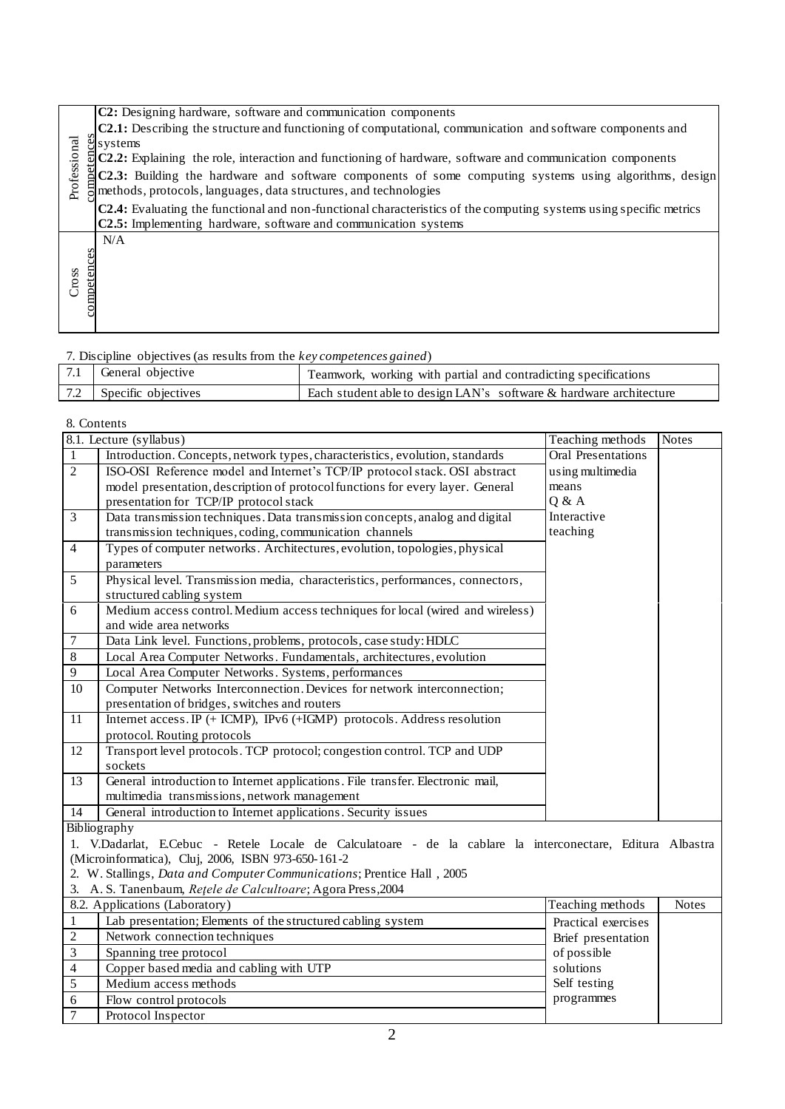|              | C2: Designing hardware, software and communication components                                                            |
|--------------|--------------------------------------------------------------------------------------------------------------------------|
|              | <b>C2.1</b> : Describing the structure and functioning of computational, communication and software components and       |
|              | $\frac{8}{5}$ systems                                                                                                    |
|              | $\overline{5}$ C2.2: Explaining the role, interaction and functioning of hardware, software and communication components |
|              | $\Xi$ C2.3: Building the hardware and software components of some computing systems using algorithms, design             |
| Professional | methods, protocols, languages, data structures, and technologies                                                         |
|              | C2.4: Evaluating the functional and non-functional characteristics of the computing systems using specific metrics       |
|              | C2.5: Implementing hardware, software and communication systems                                                          |
|              | N/A                                                                                                                      |
|              |                                                                                                                          |
|              | ompetences                                                                                                               |
| Cross        |                                                                                                                          |
|              |                                                                                                                          |
|              |                                                                                                                          |
|              |                                                                                                                          |

# 7. Discipline objectives (as results from the *key competences gained*) 7.1 General objective Teamwork, working with partial and contradicting specifications

| .   | $\sim$              | <b>Teamwork, working with partial and contradicting specifications</b> |
|-----|---------------------|------------------------------------------------------------------------|
| 7.2 | Specific objectives | Each student able to design LAN's software & hardware architecture     |
|     |                     |                                                                        |

| Professional         | $\frac{8}{9}$ systems<br>methods, protocols, languages, data structures, and technologies<br>C2.5: Implementing hardware, software and communication systems | C2.2: Explaining the role, interaction and functioning of hardware, software and communication components<br>C2.3: Building the hardware and software components of some computing systems using algorithms, design<br>C2.4: Evaluating the functional and non-functional characteristics of the computing systems using specific metrics |                           |              |  |  |
|----------------------|--------------------------------------------------------------------------------------------------------------------------------------------------------------|-------------------------------------------------------------------------------------------------------------------------------------------------------------------------------------------------------------------------------------------------------------------------------------------------------------------------------------------|---------------------------|--------------|--|--|
| competences<br>Cross | N/A                                                                                                                                                          |                                                                                                                                                                                                                                                                                                                                           |                           |              |  |  |
|                      | 7. Discipline objectives (as results from the key competences gained)                                                                                        |                                                                                                                                                                                                                                                                                                                                           |                           |              |  |  |
| 7.1                  | General objective                                                                                                                                            | Teamwork, working with partial and contradicting specifications                                                                                                                                                                                                                                                                           |                           |              |  |  |
| 7.2                  | Specific objectives                                                                                                                                          | Each student able to design LAN's software & hardware architecture                                                                                                                                                                                                                                                                        |                           |              |  |  |
|                      |                                                                                                                                                              |                                                                                                                                                                                                                                                                                                                                           |                           |              |  |  |
| 8. Contents          |                                                                                                                                                              |                                                                                                                                                                                                                                                                                                                                           |                           |              |  |  |
|                      | 8.1. Lecture (syllabus)                                                                                                                                      |                                                                                                                                                                                                                                                                                                                                           | Teaching methods          | <b>Notes</b> |  |  |
| $\mathbf{1}$         |                                                                                                                                                              | Introduction. Concepts, network types, characteristics, evolution, standards                                                                                                                                                                                                                                                              | <b>Oral Presentations</b> |              |  |  |
| $\overline{2}$       |                                                                                                                                                              | ISO-OSI Reference model and Internet's TCP/IP protocol stack. OSI abstract                                                                                                                                                                                                                                                                | using multimedia          |              |  |  |
|                      |                                                                                                                                                              | model presentation, description of protocol functions for every layer. General                                                                                                                                                                                                                                                            | means                     |              |  |  |
|                      | Q & A<br>presentation for TCP/IP protocol stack                                                                                                              |                                                                                                                                                                                                                                                                                                                                           |                           |              |  |  |
| 3                    | Data transmission techniques. Data transmission concepts, analog and digital                                                                                 | Interactive<br>teaching                                                                                                                                                                                                                                                                                                                   |                           |              |  |  |
| $\overline{4}$       | transmission techniques, coding, communication channels<br>Types of computer networks. Architectures, evolution, topologies, physical                        |                                                                                                                                                                                                                                                                                                                                           |                           |              |  |  |
|                      | parameters                                                                                                                                                   |                                                                                                                                                                                                                                                                                                                                           |                           |              |  |  |
| 5                    | Physical level. Transmission media, characteristics, performances, connectors,                                                                               |                                                                                                                                                                                                                                                                                                                                           |                           |              |  |  |
|                      | structured cabling system                                                                                                                                    |                                                                                                                                                                                                                                                                                                                                           |                           |              |  |  |
| 6                    | Medium access control. Medium access techniques for local (wired and wireless)                                                                               |                                                                                                                                                                                                                                                                                                                                           |                           |              |  |  |
|                      | and wide area networks                                                                                                                                       |                                                                                                                                                                                                                                                                                                                                           |                           |              |  |  |
| 7                    | Data Link level. Functions, problems, protocols, case study: HDLC                                                                                            |                                                                                                                                                                                                                                                                                                                                           |                           |              |  |  |
| 8                    | Local Area Computer Networks. Fundamentals, architectures, evolution                                                                                         |                                                                                                                                                                                                                                                                                                                                           |                           |              |  |  |
| 9                    | Local Area Computer Networks. Systems, performances                                                                                                          |                                                                                                                                                                                                                                                                                                                                           |                           |              |  |  |
| 10                   | Computer Networks Interconnection. Devices for network interconnection;                                                                                      |                                                                                                                                                                                                                                                                                                                                           |                           |              |  |  |
| 11                   | presentation of bridges, switches and routers<br>Internet access. IP (+ ICMP), IPv6 (+IGMP) protocols. Address resolution                                    |                                                                                                                                                                                                                                                                                                                                           |                           |              |  |  |
|                      | protocol. Routing protocols                                                                                                                                  |                                                                                                                                                                                                                                                                                                                                           |                           |              |  |  |
| 12                   |                                                                                                                                                              | Transport level protocols. TCP protocol; congestion control. TCP and UDP                                                                                                                                                                                                                                                                  |                           |              |  |  |
|                      | sockets                                                                                                                                                      |                                                                                                                                                                                                                                                                                                                                           |                           |              |  |  |
| 13                   |                                                                                                                                                              | General introduction to Internet applications. File transfer. Electronic mail,                                                                                                                                                                                                                                                            |                           |              |  |  |
|                      | multimedia transmissions, network management                                                                                                                 |                                                                                                                                                                                                                                                                                                                                           |                           |              |  |  |
| 14                   | General introduction to Internet applications. Security issues                                                                                               |                                                                                                                                                                                                                                                                                                                                           |                           |              |  |  |
|                      | Bibliography                                                                                                                                                 |                                                                                                                                                                                                                                                                                                                                           |                           |              |  |  |
|                      | (Microinformatica), Cluj, 2006, ISBN 973-650-161-2                                                                                                           | 1. V.Dadarlat, E.Cebuc - Retele Locale de Calculatoare - de la cablare la interconectare, Editura Albastra                                                                                                                                                                                                                                |                           |              |  |  |
|                      | 2. W. Stallings, Data and Computer Communications; Prentice Hall, 2005                                                                                       |                                                                                                                                                                                                                                                                                                                                           |                           |              |  |  |
| 3.                   | A. S. Tanenbaum, Retele de Calcultoare; Agora Press, 2004                                                                                                    |                                                                                                                                                                                                                                                                                                                                           |                           |              |  |  |
|                      | 8.2. Applications (Laboratory)                                                                                                                               |                                                                                                                                                                                                                                                                                                                                           | Teaching methods          | <b>Notes</b> |  |  |
| $\mathbf{1}$         | Lab presentation; Elements of the structured cabling system<br>Practical exercises                                                                           |                                                                                                                                                                                                                                                                                                                                           |                           |              |  |  |
| $\overline{c}$       | Network connection techniques<br>Brief presentation                                                                                                          |                                                                                                                                                                                                                                                                                                                                           |                           |              |  |  |
| $\mathfrak{Z}$       | Spanning tree protocol                                                                                                                                       |                                                                                                                                                                                                                                                                                                                                           | of possible               |              |  |  |
| $\overline{4}$       | Copper based media and cabling with UTP                                                                                                                      |                                                                                                                                                                                                                                                                                                                                           | solutions                 |              |  |  |
| 5                    | Medium access methods                                                                                                                                        |                                                                                                                                                                                                                                                                                                                                           | Self testing              |              |  |  |
| 6                    | Flow control protocols                                                                                                                                       |                                                                                                                                                                                                                                                                                                                                           | programmes                |              |  |  |
| $\overline{7}$       | Protocol Inspector                                                                                                                                           |                                                                                                                                                                                                                                                                                                                                           |                           |              |  |  |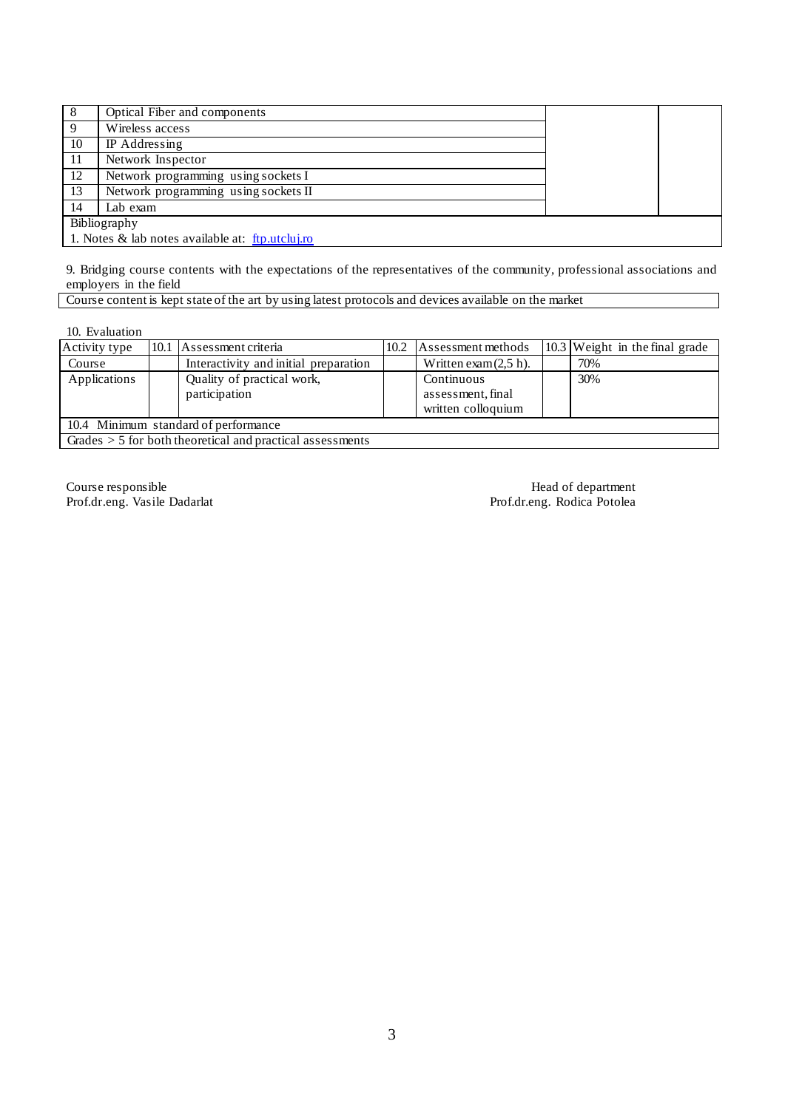| 8                                                | Optical Fiber and components         |  |  |  |  |
|--------------------------------------------------|--------------------------------------|--|--|--|--|
| $\mathbf Q$                                      | Wireless access                      |  |  |  |  |
| 10                                               | IP Addressing                        |  |  |  |  |
| -11                                              | Network Inspector                    |  |  |  |  |
| 12                                               | Network programming using sockets I  |  |  |  |  |
| 13                                               | Network programming using sockets II |  |  |  |  |
| 14                                               | Lab exam                             |  |  |  |  |
|                                                  | Bibliography                         |  |  |  |  |
| 1. Notes & lab notes available at: ftp.utcluj.ro |                                      |  |  |  |  |

9. Bridging course contents with the expectations of the representatives of the community, professional associations and employers in the field

Course content is kept state of the art by using latest protocols and devices available on the market

10. Evaluation

| Activity type                                               |  | 10.1 Assessment criteria              | 10.2 | Assessment methods       |  | 10.3 Weight in the final grade |
|-------------------------------------------------------------|--|---------------------------------------|------|--------------------------|--|--------------------------------|
| Course                                                      |  | Interactivity and initial preparation |      | Written exam $(2.5 h)$ . |  | 70%                            |
| Applications                                                |  | Quality of practical work,            |      | Continuous               |  | 30%                            |
|                                                             |  | participation                         |      | assessment, final        |  |                                |
|                                                             |  |                                       |      | written colloquium       |  |                                |
| 10.4 Minimum standard of performance                        |  |                                       |      |                          |  |                                |
| Grades $> 5$ for both theoretical and practical assessments |  |                                       |      |                          |  |                                |

Prof.dr.eng. Vasile Dadarlat

Course responsible<br>
Prof.dr.eng. Vasile Dadarlat<br>
Prof.dr.eng. Rodica Potolea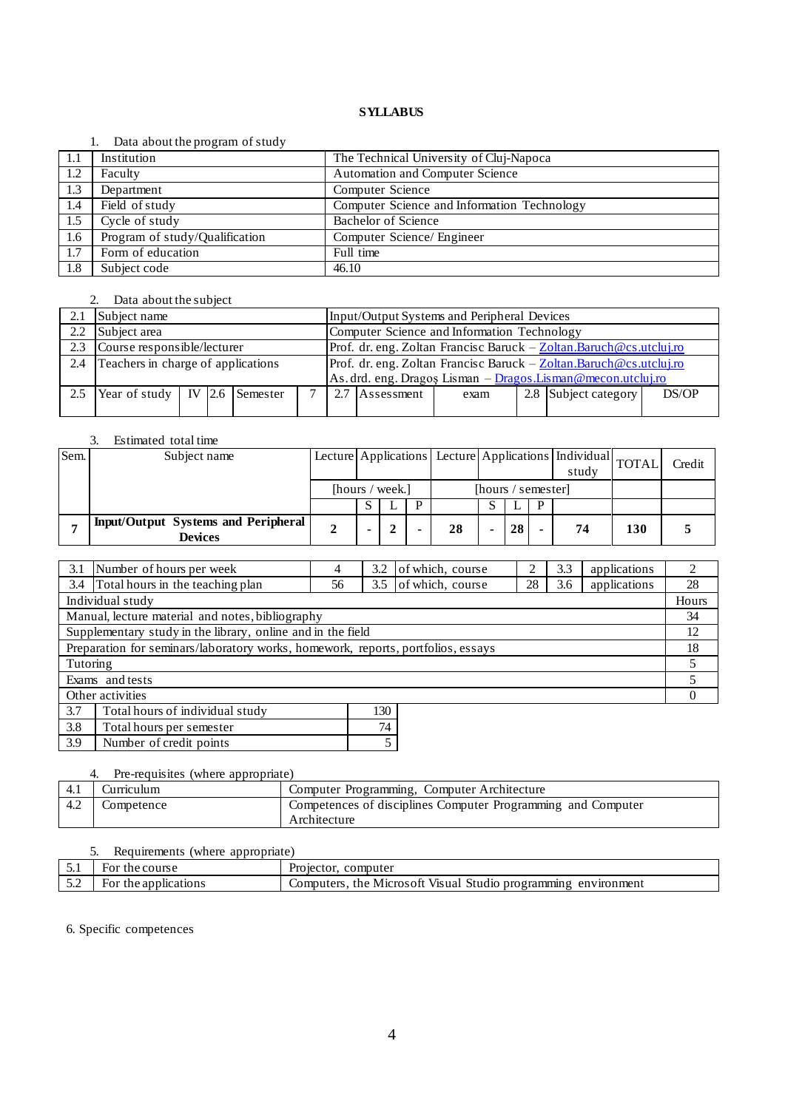### 1. Data about the program of study

| -1.1 | Institution                    | The Technical University of Cluj-Napoca     |
|------|--------------------------------|---------------------------------------------|
| 1.2  | Faculty                        | Automation and Computer Science             |
| 1.3  | Department                     | Computer Science                            |
| 1.4  | Field of study                 | Computer Science and Information Technology |
| 1.5  | Cycle of study                 | <b>Bachelor of Science</b>                  |
| 1.6  | Program of study/Qualification | Computer Science/ Engineer                  |
| 1.7  | Form of education              | Full time                                   |
| 1.8  | Subject code                   | 46.10                                       |

### 2. Data about the subject

|               | Subject name                            |  |  |  |                                                                     | Input/Output Systems and Peripheral Devices                        |                |      |  |                      |       |
|---------------|-----------------------------------------|--|--|--|---------------------------------------------------------------------|--------------------------------------------------------------------|----------------|------|--|----------------------|-------|
| $2.2^{\circ}$ | Subject area                            |  |  |  | Computer Science and Information Technology                         |                                                                    |                |      |  |                      |       |
| 2.3           | Course responsible/lecturer             |  |  |  |                                                                     | Prof. dr. eng. Zoltan Francisc Baruck - Zoltan.Baruch@cs.utcluj.ro |                |      |  |                      |       |
| 2.4           | Teachers in charge of applications      |  |  |  | Prof. dr. eng. Zoltan Francisc Baruck - Zoltan.Baruch @cs.utcluj.ro |                                                                    |                |      |  |                      |       |
|               |                                         |  |  |  | As. drd. eng. Dragoș Lisman - Dragos. Lisman@mecon.utcluj.ro        |                                                                    |                |      |  |                      |       |
| 2.5           | Year of study   IV $\vert$ 2.6 Semester |  |  |  |                                                                     |                                                                    | 2.7 Assessment | exam |  | 2.8 Subject category | DS/OP |
|               |                                         |  |  |  |                                                                     |                                                                    |                |      |  |                      |       |

# 3. Estimated total time

| Sem. | Subject name                                                 |                 |  |    |                    |    |   | Lecture Applications Lecture Applications   Individual TOTAL<br>study |     | Credit |
|------|--------------------------------------------------------------|-----------------|--|----|--------------------|----|---|-----------------------------------------------------------------------|-----|--------|
|      |                                                              | [hours / week.] |  |    | [hours / semester] |    |   |                                                                       |     |        |
|      |                                                              |                 |  |    |                    |    | D |                                                                       |     |        |
|      | <b>Input/Output Systems and Peripheral</b><br><b>Devices</b> |                 |  | 28 | ۰                  | 28 |   | 74                                                                    | 130 |        |

| 3.1                                                                              | Number of hours per week                         | 4  | 3.2 | of which, course |    | 3.3 | applications |       |
|----------------------------------------------------------------------------------|--------------------------------------------------|----|-----|------------------|----|-----|--------------|-------|
| 3.4                                                                              | Total hours in the teaching plan                 | 56 | 3.5 | of which, course | 28 | 3.6 | applications | 28    |
|                                                                                  | Individual study                                 |    |     |                  |    |     |              | Hours |
|                                                                                  | Manual, lecture material and notes, bibliography |    |     |                  |    |     |              | 34    |
| Supplementary study in the library, online and in the field                      |                                                  |    |     |                  |    |     | 12           |       |
| Preparation for seminars/laboratory works, homework, reports, portfolios, essays |                                                  |    |     |                  |    |     | 18           |       |
| Tutoring                                                                         |                                                  |    |     |                  |    |     |              |       |
| Exams and tests                                                                  |                                                  |    |     |                  |    |     |              |       |
| Other activities                                                                 |                                                  |    |     |                  |    |     |              |       |
| 3.7<br>Total hours of individual study<br>130                                    |                                                  |    |     |                  |    |     |              |       |
|                                                                                  |                                                  |    |     |                  |    |     |              |       |

| 3.8 | Total hours per semester |  |
|-----|--------------------------|--|
| 3.9 | Number of credit points  |  |

# 4. Pre-requisites (where appropriate)

| 4.1 | Curriculum | Computer Programming, Computer Architecture                  |
|-----|------------|--------------------------------------------------------------|
| 4.2 | Competence | Competences of disciplines Computer Programming and Computer |
|     |            | Architecture                                                 |

# 5. Requirements (where appropriate)

| - -<br>◡•                | the course<br>For               | $\sqrt{ }$<br>computer<br>Projecto <sup>-</sup><br>ECLO1.                                     |
|--------------------------|---------------------------------|-----------------------------------------------------------------------------------------------|
| $\epsilon$ $\sim$<br>۔۔۔ | plications<br>the<br>app<br>FOI | Visual<br>enviror<br>the.<br>Microsoft -<br>programming<br>.omou<br>$t$ or $\sigma$<br>Studio |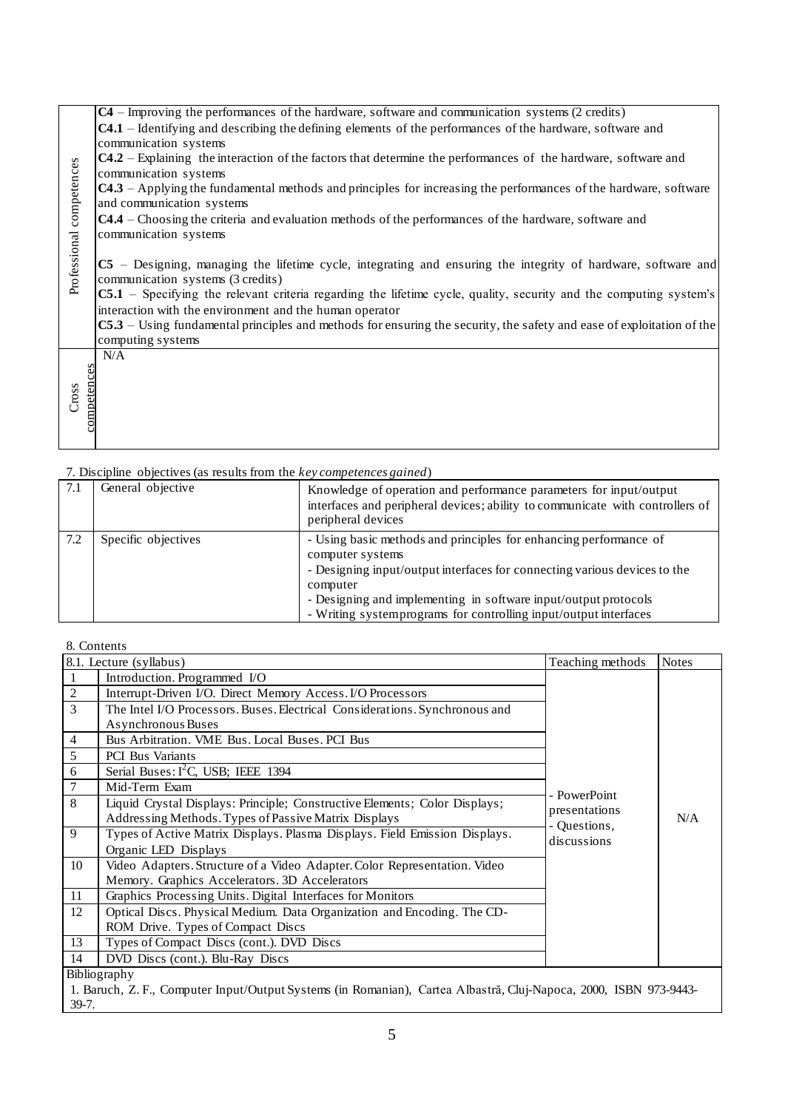|                          | $C4$ – Improving the performances of the hardware, software and communication systems (2 credits)                       |
|--------------------------|-------------------------------------------------------------------------------------------------------------------------|
|                          |                                                                                                                         |
|                          | <b>C4.1</b> – Identifying and describing the defining elements of the performances of the hardware, software and        |
|                          | communication systems                                                                                                   |
|                          | $C4.2$ – Explaining the interaction of the factors that determine the performances of the hardware, software and        |
|                          | communication systems                                                                                                   |
|                          | <b>C4.3</b> – Applying the fundamental methods and principles for increasing the performances of the hardware, software |
|                          | and communication systems                                                                                               |
|                          | $C4.4$ – Choosing the criteria and evaluation methods of the performances of the hardware, software and                 |
|                          | communication systems                                                                                                   |
|                          |                                                                                                                         |
| Professional competences |                                                                                                                         |
|                          | $CS$ – Designing, managing the lifetime cycle, integrating and ensuring the integrity of hardware, software and         |
|                          | communication systems (3 credits)                                                                                       |
|                          | $CS.1$ – Specifying the relevant criteria regarding the lifetime cycle, quality, security and the computing system's    |
|                          | interaction with the environment and the human operator                                                                 |
|                          | $CS.3$ – Using fundamental principles and methods for ensuring the security, the safety and ease of exploitation of the |
|                          | computing systems                                                                                                       |
|                          | N/A                                                                                                                     |
|                          |                                                                                                                         |
|                          |                                                                                                                         |
| Cross                    |                                                                                                                         |
|                          |                                                                                                                         |
| competences              |                                                                                                                         |
|                          |                                                                                                                         |
|                          |                                                                                                                         |

| 7.1 | General objective   | Knowledge of operation and performance parameters for input/output<br>interfaces and peripheral devices; ability to communicate with controllers of<br>peripheral devices                                                                                                                                             |
|-----|---------------------|-----------------------------------------------------------------------------------------------------------------------------------------------------------------------------------------------------------------------------------------------------------------------------------------------------------------------|
| 7.2 | Specific objectives | - Using basic methods and principles for enhancing performance of<br>computer systems<br>- Designing input/output interfaces for connecting various devices to the<br>computer<br>- Designing and implementing in software input/output protocols<br>- Writing systemprograms for controlling input/output interfaces |

| Professional competences | communication systems<br>C4.3 – Applying the fundamental methods and principles for increasing the performances of the hardware, software<br>and communication systems<br>C4.4 - Choosing the criteria and evaluation methods of the performances of the hardware, software and<br>communication systems<br>C5 – Designing, managing the lifetime cycle, integrating and ensuring the integrity of hardware, software and<br>communication systems (3 credits)<br>C5.1 – Specifying the relevant criteria regarding the lifetime cycle, quality, security and the computing system's<br>interaction with the environment and the human operator<br>C5.3 – Using fundamental principles and methods for ensuring the security, the safety and ease of exploitation of the<br>computing systems |                                                                                                                   |                               |              |  |  |
|--------------------------|-----------------------------------------------------------------------------------------------------------------------------------------------------------------------------------------------------------------------------------------------------------------------------------------------------------------------------------------------------------------------------------------------------------------------------------------------------------------------------------------------------------------------------------------------------------------------------------------------------------------------------------------------------------------------------------------------------------------------------------------------------------------------------------------------|-------------------------------------------------------------------------------------------------------------------|-------------------------------|--------------|--|--|
| competences<br>Cross     | N/A                                                                                                                                                                                                                                                                                                                                                                                                                                                                                                                                                                                                                                                                                                                                                                                           |                                                                                                                   |                               |              |  |  |
|                          |                                                                                                                                                                                                                                                                                                                                                                                                                                                                                                                                                                                                                                                                                                                                                                                               |                                                                                                                   |                               |              |  |  |
| 7.1                      | 7. Discipline objectives (as results from the key competences gained)<br>General objective                                                                                                                                                                                                                                                                                                                                                                                                                                                                                                                                                                                                                                                                                                    |                                                                                                                   |                               |              |  |  |
|                          | Knowledge of operation and performance parameters for input/output<br>interfaces and peripheral devices; ability to communicate with controllers of<br>peripheral devices                                                                                                                                                                                                                                                                                                                                                                                                                                                                                                                                                                                                                     |                                                                                                                   |                               |              |  |  |
| 7.2                      | Specific objectives<br>- Using basic methods and principles for enhancing performance of<br>computer systems<br>- Designing input/output interfaces for connecting various devices to the<br>computer<br>- Designing and implementing in software input/output protocols<br>- Writing systemprograms for controlling input/output interfaces                                                                                                                                                                                                                                                                                                                                                                                                                                                  |                                                                                                                   |                               |              |  |  |
|                          |                                                                                                                                                                                                                                                                                                                                                                                                                                                                                                                                                                                                                                                                                                                                                                                               |                                                                                                                   |                               |              |  |  |
|                          | 8. Contents                                                                                                                                                                                                                                                                                                                                                                                                                                                                                                                                                                                                                                                                                                                                                                                   |                                                                                                                   |                               |              |  |  |
|                          | 8.1. Lecture (syllabus)                                                                                                                                                                                                                                                                                                                                                                                                                                                                                                                                                                                                                                                                                                                                                                       |                                                                                                                   | Teaching methods              | <b>Notes</b> |  |  |
| $\mathbf{1}$             | Introduction. Programmed I/O                                                                                                                                                                                                                                                                                                                                                                                                                                                                                                                                                                                                                                                                                                                                                                  |                                                                                                                   |                               |              |  |  |
| $\overline{c}$<br>3      | Interrupt-Driven I/O. Direct Memory Access. I/O Processors                                                                                                                                                                                                                                                                                                                                                                                                                                                                                                                                                                                                                                                                                                                                    | The Intel I/O Processors. Buses. Electrical Considerations. Synchronous and                                       |                               |              |  |  |
|                          | Asynchronous Buses                                                                                                                                                                                                                                                                                                                                                                                                                                                                                                                                                                                                                                                                                                                                                                            |                                                                                                                   |                               |              |  |  |
| 4                        | Bus Arbitration. VME Bus. Local Buses. PCI Bus                                                                                                                                                                                                                                                                                                                                                                                                                                                                                                                                                                                                                                                                                                                                                |                                                                                                                   |                               |              |  |  |
| C                        | PCI Bus Variants                                                                                                                                                                                                                                                                                                                                                                                                                                                                                                                                                                                                                                                                                                                                                                              |                                                                                                                   |                               |              |  |  |
| 6                        | Serial Buses: $I^2C$ , USB; IEEE 1394                                                                                                                                                                                                                                                                                                                                                                                                                                                                                                                                                                                                                                                                                                                                                         |                                                                                                                   |                               |              |  |  |
| 7                        | Mid-Term Exam                                                                                                                                                                                                                                                                                                                                                                                                                                                                                                                                                                                                                                                                                                                                                                                 |                                                                                                                   |                               |              |  |  |
| 8                        |                                                                                                                                                                                                                                                                                                                                                                                                                                                                                                                                                                                                                                                                                                                                                                                               | Liquid Crystal Displays: Principle; Constructive Elements; Color Displays;                                        | - PowerPoint<br>presentations |              |  |  |
|                          | Addressing Methods. Types of Passive Matrix Displays                                                                                                                                                                                                                                                                                                                                                                                                                                                                                                                                                                                                                                                                                                                                          |                                                                                                                   | - Questions,                  | N/A          |  |  |
| 9                        | Types of Active Matrix Displays. Plasma Displays. Field Emission Displays.<br>discussions                                                                                                                                                                                                                                                                                                                                                                                                                                                                                                                                                                                                                                                                                                     |                                                                                                                   |                               |              |  |  |
|                          | Organic LED Displays                                                                                                                                                                                                                                                                                                                                                                                                                                                                                                                                                                                                                                                                                                                                                                          |                                                                                                                   |                               |              |  |  |
| 10                       | Video Adapters. Structure of a Video Adapter. Color Representation. Video                                                                                                                                                                                                                                                                                                                                                                                                                                                                                                                                                                                                                                                                                                                     |                                                                                                                   |                               |              |  |  |
|                          | Memory. Graphics Accelerators. 3D Accelerators                                                                                                                                                                                                                                                                                                                                                                                                                                                                                                                                                                                                                                                                                                                                                |                                                                                                                   |                               |              |  |  |
| 11<br>12                 | Graphics Processing Units. Digital Interfaces for Monitors                                                                                                                                                                                                                                                                                                                                                                                                                                                                                                                                                                                                                                                                                                                                    |                                                                                                                   |                               |              |  |  |
|                          | Optical Discs. Physical Medium. Data Organization and Encoding. The CD-<br>ROM Drive. Types of Compact Discs                                                                                                                                                                                                                                                                                                                                                                                                                                                                                                                                                                                                                                                                                  |                                                                                                                   |                               |              |  |  |
| 13                       | Types of Compact Discs (cont.). DVD Discs                                                                                                                                                                                                                                                                                                                                                                                                                                                                                                                                                                                                                                                                                                                                                     |                                                                                                                   |                               |              |  |  |
| 14                       | DVD Discs (cont.). Blu-Ray Discs                                                                                                                                                                                                                                                                                                                                                                                                                                                                                                                                                                                                                                                                                                                                                              |                                                                                                                   |                               |              |  |  |
|                          | Bibliography                                                                                                                                                                                                                                                                                                                                                                                                                                                                                                                                                                                                                                                                                                                                                                                  |                                                                                                                   |                               |              |  |  |
|                          |                                                                                                                                                                                                                                                                                                                                                                                                                                                                                                                                                                                                                                                                                                                                                                                               | 1. Baruch, Z. F., Computer Input/Output Systems (in Romanian), Cartea Albastră, Cluj-Napoca, 2000, ISBN 973-9443- |                               |              |  |  |
| 39-7.                    |                                                                                                                                                                                                                                                                                                                                                                                                                                                                                                                                                                                                                                                                                                                                                                                               |                                                                                                                   |                               |              |  |  |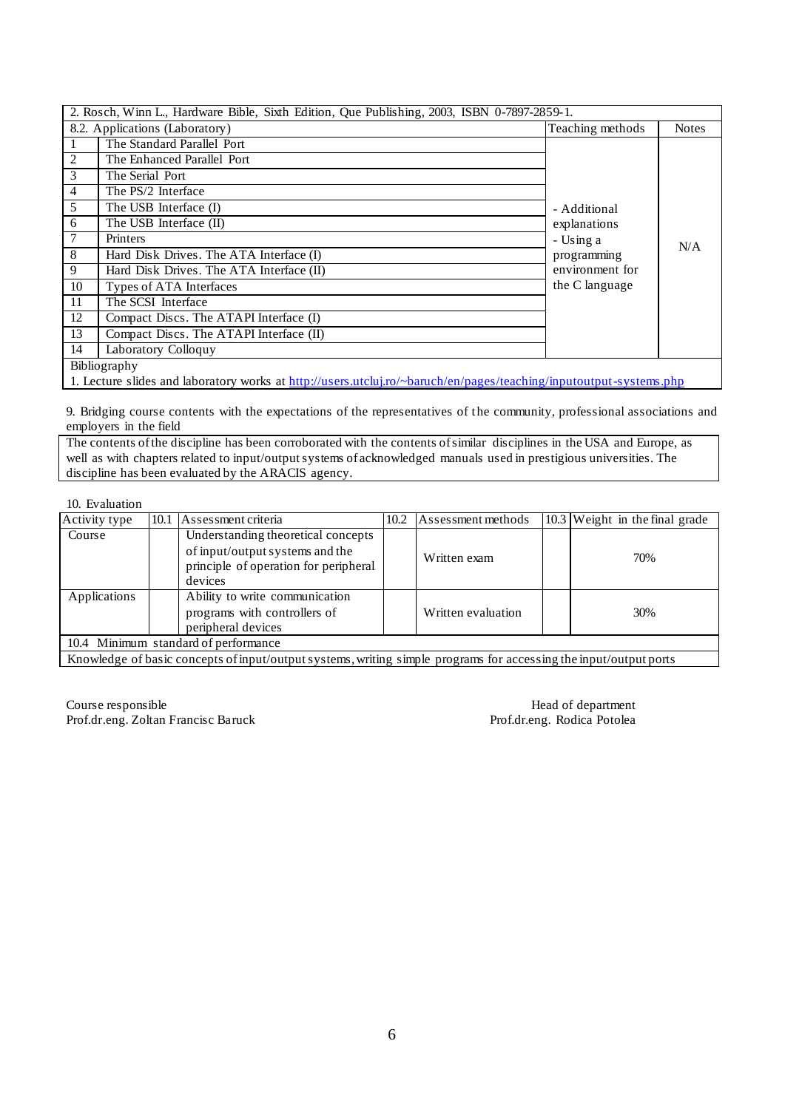| 2. Rosch, Winn L., Hardware Bible, Sixth Edition, Que Publishing, 2003, ISBN 0-7897-2859-1. |                                                                                                                                                                                                                                                                                                                                                                                                                                                                                       |             |     |  |  |  |
|---------------------------------------------------------------------------------------------|---------------------------------------------------------------------------------------------------------------------------------------------------------------------------------------------------------------------------------------------------------------------------------------------------------------------------------------------------------------------------------------------------------------------------------------------------------------------------------------|-------------|-----|--|--|--|
| 8.2. Applications (Laboratory)<br>Teaching methods                                          |                                                                                                                                                                                                                                                                                                                                                                                                                                                                                       |             |     |  |  |  |
|                                                                                             | The Standard Parallel Port                                                                                                                                                                                                                                                                                                                                                                                                                                                            |             |     |  |  |  |
| 2                                                                                           | The Enhanced Parallel Port                                                                                                                                                                                                                                                                                                                                                                                                                                                            |             |     |  |  |  |
| 3                                                                                           | The Serial Port                                                                                                                                                                                                                                                                                                                                                                                                                                                                       |             |     |  |  |  |
| $\overline{4}$                                                                              | The PS/2 Interface                                                                                                                                                                                                                                                                                                                                                                                                                                                                    |             |     |  |  |  |
| 5                                                                                           | The USB Interface (I)<br>- Additional                                                                                                                                                                                                                                                                                                                                                                                                                                                 |             |     |  |  |  |
| 6                                                                                           | The USB Interface (II)<br>explanations                                                                                                                                                                                                                                                                                                                                                                                                                                                |             |     |  |  |  |
| $\tau$                                                                                      | Printers                                                                                                                                                                                                                                                                                                                                                                                                                                                                              | - Using a   | N/A |  |  |  |
| 8                                                                                           | Hard Disk Drives. The ATA Interface (I)                                                                                                                                                                                                                                                                                                                                                                                                                                               | programming |     |  |  |  |
| 9                                                                                           | environment for<br>Hard Disk Drives. The ATA Interface (II)                                                                                                                                                                                                                                                                                                                                                                                                                           |             |     |  |  |  |
| 10                                                                                          | the C language<br>Types of ATA Interfaces                                                                                                                                                                                                                                                                                                                                                                                                                                             |             |     |  |  |  |
| 11                                                                                          | The SCSI Interface                                                                                                                                                                                                                                                                                                                                                                                                                                                                    |             |     |  |  |  |
| 12                                                                                          | Compact Discs. The ATAPI Interface (I)                                                                                                                                                                                                                                                                                                                                                                                                                                                |             |     |  |  |  |
| 13                                                                                          | Compact Discs. The ATAPI Interface (II)                                                                                                                                                                                                                                                                                                                                                                                                                                               |             |     |  |  |  |
| 14                                                                                          | Laboratory Colloquy                                                                                                                                                                                                                                                                                                                                                                                                                                                                   |             |     |  |  |  |
| Bibliography                                                                                |                                                                                                                                                                                                                                                                                                                                                                                                                                                                                       |             |     |  |  |  |
|                                                                                             | $\mathbf{1} \quad \mathbf{1} \quad \mathbf{1} \quad \mathbf{1} \quad \mathbf{1} \quad \mathbf{1} \quad \mathbf{1} \quad \mathbf{1} \quad \mathbf{1} \quad \mathbf{1} \quad \mathbf{1} \quad \mathbf{1} \quad \mathbf{1} \quad \mathbf{1} \quad \mathbf{1} \quad \mathbf{1} \quad \mathbf{1} \quad \mathbf{1} \quad \mathbf{1} \quad \mathbf{1} \quad \mathbf{1} \quad \mathbf{1} \quad \mathbf{1} \quad \mathbf{1} \quad \mathbf{1} \quad \mathbf{1} \quad \mathbf{1} \quad \mathbf{$ |             |     |  |  |  |

1. Lecture slides and laboratory works at [http://users.utcluj.ro/~baruch/en/pages/teaching/inputoutput-systems.ph](http://users.utcluj.ro/~baruch/en/pages/teaching/inputoutput-systems.php)p

9. Bridging course contents with the expectations of the representatives of the community, professional associations and employers in the field

The contents of the discipline has been corroborated with the contents of similar disciplines in the USA and Europe, as well as with chapters related to input/output systems of acknowledged manuals used in prestigious universities. The discipline has been evaluated by the ARACIS agency.

### 10. Evaluation

| Activity type                                                                                        |  | 10.1 Assessment criteria                                                                                                  | 10.2               | Assessment methods |     | 10.3 Weight in the final grade |
|------------------------------------------------------------------------------------------------------|--|---------------------------------------------------------------------------------------------------------------------------|--------------------|--------------------|-----|--------------------------------|
| Course                                                                                               |  | Understanding theoretical concepts<br>of input/output systems and the<br>principle of operation for peripheral<br>devices |                    | Written exam       |     | 70%                            |
| Ability to write communication<br>Applications<br>programs with controllers of<br>peripheral devices |  |                                                                                                                           | Written evaluation |                    | 30% |                                |
| 10.4 Minimum standard of performance                                                                 |  |                                                                                                                           |                    |                    |     |                                |

Knowledge of basic concepts of input/output systems, writing simple programs for accessing the input/output ports

Course responsible **Head of department** Prof.dr.eng. Zoltan Francisc Baruck Prof.dr.eng. Rodica Potolea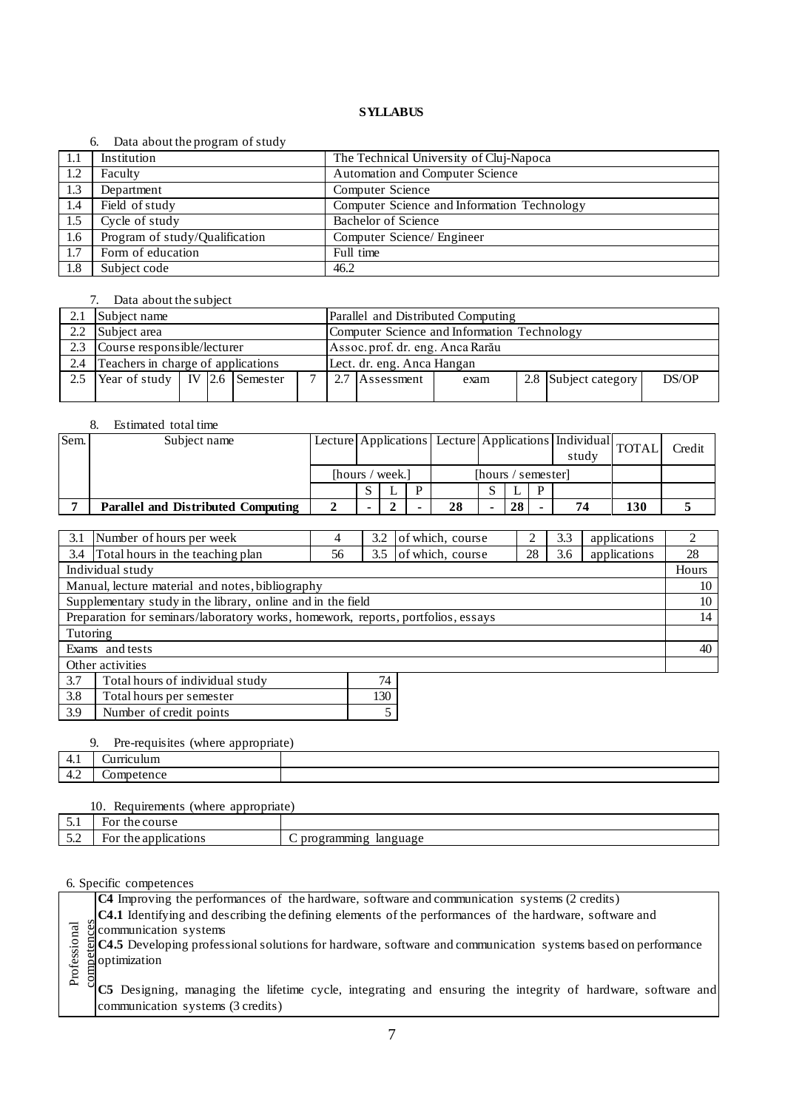### 6. Data about the program of study

|     | _ …… …… …… …… _____ ……         |                                             |
|-----|--------------------------------|---------------------------------------------|
| 1.1 | Institution                    | The Technical University of Cluj-Napoca     |
| 1.2 | Faculty                        | <b>Automation and Computer Science</b>      |
| 1.3 | Department                     | Computer Science                            |
| 1.4 | Field of study                 | Computer Science and Information Technology |
| 1.5 | Cycle of study                 | <b>Bachelor of Science</b>                  |
| 1.6 | Program of study/Qualification | Computer Science/ Engineer                  |
| 1.7 | Form of education              | Full time                                   |
| 1.8 | Subject code                   | 46.2                                        |

### 7. Data about the subject

|                                           | Subject name                            |  |  |                                             | Parallel and Distributed Computing |  |                |      |  |                      |       |
|-------------------------------------------|-----------------------------------------|--|--|---------------------------------------------|------------------------------------|--|----------------|------|--|----------------------|-------|
|                                           | 2.2 Subject area                        |  |  | Computer Science and Information Technology |                                    |  |                |      |  |                      |       |
| 2.3                                       | Course responsible/lecturer             |  |  |                                             | Assoc. prof. dr. eng. Anca Rarău   |  |                |      |  |                      |       |
| Teachers in charge of applications<br>2.4 |                                         |  |  | Lect. dr. eng. Anca Hangan                  |                                    |  |                |      |  |                      |       |
| 2.5                                       | Year of study   IV $\vert$ 2.6 Semester |  |  |                                             | $\mathbf{r}$                       |  | 2.7 Assessment | exam |  | 2.8 Subject category | DS/OP |
|                                           |                                         |  |  |                                             |                                    |  |                |      |  |                      |       |

### 8. Estimated total time

| Sem. | Subject name                       |                 | Lecture Applications   Lecture Applications   Individual   TOTAL |                    |  |    |  | study |  | Credit |     |  |
|------|------------------------------------|-----------------|------------------------------------------------------------------|--------------------|--|----|--|-------|--|--------|-----|--|
|      |                                    | [hours / week.] |                                                                  | [hours / semester] |  |    |  |       |  |        |     |  |
|      |                                    |                 |                                                                  |                    |  |    |  |       |  |        |     |  |
|      | Parallel and Distributed Computing |                 |                                                                  |                    |  | 28 |  | 28    |  | 74     | 130 |  |

| 3.1              | Number of hours per week                                                         | 4  | 3.2 | of which, course | っ  | 3.3 | applications | 2     |
|------------------|----------------------------------------------------------------------------------|----|-----|------------------|----|-----|--------------|-------|
| 3.4              | Total hours in the teaching plan                                                 | 56 | 3.5 | of which, course | 28 | 3.6 | applications | 28    |
|                  | Individual study                                                                 |    |     |                  |    |     |              | Hours |
|                  | Manual, lecture material and notes, bibliography                                 |    |     |                  |    |     |              | 10    |
|                  | Supplementary study in the library, online and in the field                      |    |     |                  |    |     |              | 10    |
|                  | Preparation for seminars/laboratory works, homework, reports, portfolios, essays |    |     |                  |    |     |              | 14    |
| Tutoring         |                                                                                  |    |     |                  |    |     |              |       |
|                  | Exams and tests                                                                  |    |     |                  |    |     |              | 40    |
| Other activities |                                                                                  |    |     |                  |    |     |              |       |
| 3.7              | Total hours of individual study                                                  |    | 74  |                  |    |     |              |       |
| 3.8              | 130<br>Total hours per semester                                                  |    |     |                  |    |     |              |       |

# 9. Pre-requisites (where appropriate)

3.9 Number of credit points 5

|                                                   | The requisites (where uppropriate)<br><u>.</u><br>. . |  |  |  |  |  |  |
|---------------------------------------------------|-------------------------------------------------------|--|--|--|--|--|--|
| T. 1                                              |                                                       |  |  |  |  |  |  |
| $\sim$<br>$+2$<br>the contract of the contract of |                                                       |  |  |  |  |  |  |
|                                                   |                                                       |  |  |  |  |  |  |

|                           | 10.<br>appropriate)<br>(where)<br>Requirements |                              |  |  |  |  |
|---------------------------|------------------------------------------------|------------------------------|--|--|--|--|
| ◡.                        | the course<br>For                              |                              |  |  |  |  |
| $\sim$ $\sim$<br>$\sim\,$ | the applications<br>For                        | programming<br>language<br>◡ |  |  |  |  |

|              | <b>C4</b> Improving the performances of the hardware, software and communication systems (2 credits)                                                                                                                                 |  |  |  |  |  |  |
|--------------|--------------------------------------------------------------------------------------------------------------------------------------------------------------------------------------------------------------------------------------|--|--|--|--|--|--|
|              | $\alpha$ C4.1 Identifying and describing the defining elements of the performances of the hardware, software and                                                                                                                     |  |  |  |  |  |  |
| Professional |                                                                                                                                                                                                                                      |  |  |  |  |  |  |
|              |                                                                                                                                                                                                                                      |  |  |  |  |  |  |
|              |                                                                                                                                                                                                                                      |  |  |  |  |  |  |
|              |                                                                                                                                                                                                                                      |  |  |  |  |  |  |
|              | C4.1 Identitying and describing the defining elements of the performances of the naturale, software and<br>C4.5 Developing professional solutions for hardware, software and communication systems based on performance<br>optimizat |  |  |  |  |  |  |
|              | communication systems (3 credits)                                                                                                                                                                                                    |  |  |  |  |  |  |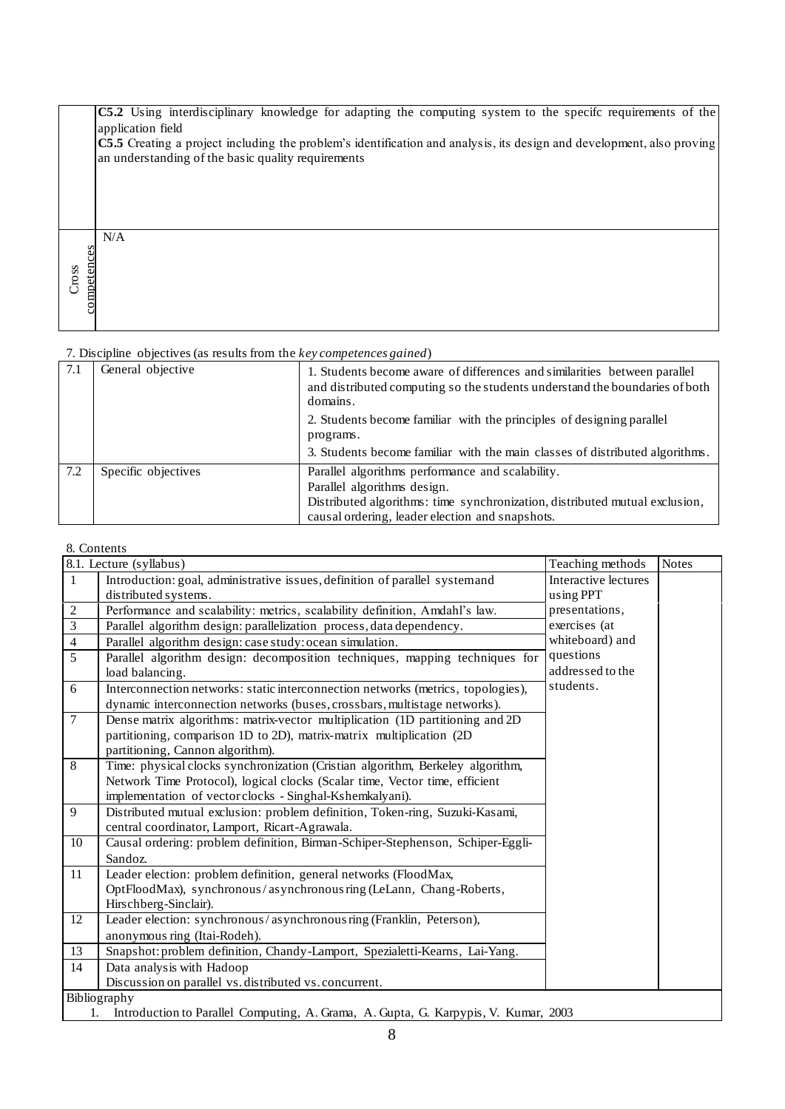|                      | C5.2 Using interdisciplinary knowledge for adapting the computing system to the specifc requirements of the<br>application field                                                   |
|----------------------|------------------------------------------------------------------------------------------------------------------------------------------------------------------------------------|
|                      | <b>C5.5</b> Creating a project including the problem's identification and analysis, its design and development, also proving<br>an understanding of the basic quality requirements |
|                      |                                                                                                                                                                                    |
|                      |                                                                                                                                                                                    |
|                      | N/A                                                                                                                                                                                |
| competences<br>Cross |                                                                                                                                                                                    |
|                      |                                                                                                                                                                                    |

| 7.1 | General objective   | 1. Students become aware of differences and similarities between parallel<br>and distributed computing so the students understand the boundaries of both<br>domains.                                              |
|-----|---------------------|-------------------------------------------------------------------------------------------------------------------------------------------------------------------------------------------------------------------|
|     |                     | 2. Students become familiar with the principles of designing parallel<br>programs.<br>3. Students become familiar with the main classes of distributed algorithms.                                                |
|     |                     |                                                                                                                                                                                                                   |
| 7.2 | Specific objectives | Parallel algorithms performance and scalability.<br>Parallel algorithms design.<br>Distributed algorithms: time synchronization, distributed mutual exclusion,<br>causal ordering, leader election and snapshots. |

|                | 8.1. Lecture (syllabus)                                                                   | Teaching methods     | <b>Notes</b> |  |  |  |  |
|----------------|-------------------------------------------------------------------------------------------|----------------------|--------------|--|--|--|--|
| $\mathbf{1}$   | Introduction: goal, administrative issues, definition of parallel systemand               | Interactive lectures |              |  |  |  |  |
|                | distributed systems.                                                                      | using PPT            |              |  |  |  |  |
| $\sqrt{2}$     | Performance and scalability: metrics, scalability definition, Amdahl's law.               | presentations,       |              |  |  |  |  |
| 3              | Parallel algorithm design: parallelization process, data dependency.                      | exercises (at        |              |  |  |  |  |
| $\overline{4}$ | Parallel algorithm design: case study: ocean simulation.                                  | whiteboard) and      |              |  |  |  |  |
| 5              | Parallel algorithm design: decomposition techniques, mapping techniques for               | questions            |              |  |  |  |  |
|                | load balancing.                                                                           | addressed to the     |              |  |  |  |  |
| 6              | Interconnection networks: static interconnection networks (metrics, topologies),          | students.            |              |  |  |  |  |
|                | dynamic interconnection networks (buses, crossbars, multistage networks).                 |                      |              |  |  |  |  |
| $\tau$         | Dense matrix algorithms: matrix-vector multiplication (1D partitioning and 2D             |                      |              |  |  |  |  |
|                | partitioning, comparison 1D to 2D), matrix-matrix multiplication (2D)                     |                      |              |  |  |  |  |
|                | partitioning, Cannon algorithm).                                                          |                      |              |  |  |  |  |
| $\overline{8}$ | Time: physical clocks synchronization (Cristian algorithm, Berkeley algorithm,            |                      |              |  |  |  |  |
|                | Network Time Protocol), logical clocks (Scalar time, Vector time, efficient               |                      |              |  |  |  |  |
|                | implementation of vector clocks - Singhal-Kshemkalyani).                                  |                      |              |  |  |  |  |
| 9              | Distributed mutual exclusion: problem definition, Token-ring, Suzuki-Kasami,              |                      |              |  |  |  |  |
|                | central coordinator, Lamport, Ricart-Agrawala.                                            |                      |              |  |  |  |  |
| 10             | Causal ordering: problem definition, Birman-Schiper-Stephenson, Schiper-Eggli-            |                      |              |  |  |  |  |
|                | Sandoz.                                                                                   |                      |              |  |  |  |  |
| 11             | Leader election: problem definition, general networks (FloodMax,                          |                      |              |  |  |  |  |
|                | OptFloodMax), synchronous/asynchronousring (LeLann, Chang-Roberts,                        |                      |              |  |  |  |  |
|                | Hirschberg-Sinclair).                                                                     |                      |              |  |  |  |  |
| 12             | Leader election: synchronous/asynchronous ring (Franklin, Peterson),                      |                      |              |  |  |  |  |
|                | anonymous ring (Itai-Rodeh).                                                              |                      |              |  |  |  |  |
| 13             | Snapshot: problem definition, Chandy-Lamport, Spezialetti-Kearns, Lai-Yang.               |                      |              |  |  |  |  |
| 14             | Data analysis with Hadoop                                                                 |                      |              |  |  |  |  |
|                | Discussion on parallel vs. distributed vs. concurrent.                                    |                      |              |  |  |  |  |
|                | Bibliography                                                                              |                      |              |  |  |  |  |
|                | Introduction to Parallel Computing, A. Grama, A. Gupta, G. Karpypis, V. Kumar, 2003<br>1. |                      |              |  |  |  |  |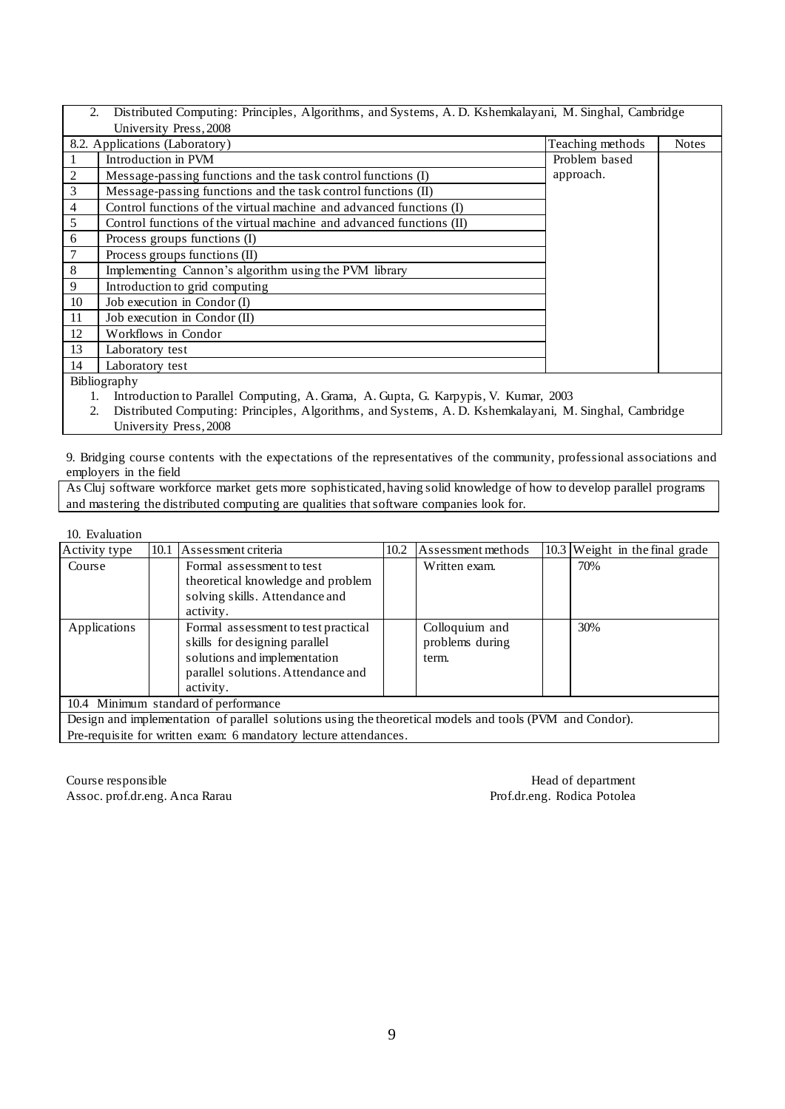|                | Distributed Computing: Principles, Algorithms, and Systems, A.D. Kshemkalayani, M. Singhal, Cambridge<br>2. |                  |              |  |  |  |
|----------------|-------------------------------------------------------------------------------------------------------------|------------------|--------------|--|--|--|
|                | University Press, 2008                                                                                      |                  |              |  |  |  |
|                | 8.2. Applications (Laboratory)                                                                              | Teaching methods | <b>Notes</b> |  |  |  |
|                | Introduction in PVM                                                                                         | Problem based    |              |  |  |  |
| $\overline{c}$ | Message-passing functions and the task control functions (I)                                                | approach.        |              |  |  |  |
| $\overline{3}$ | Message-passing functions and the task control functions (II)                                               |                  |              |  |  |  |
| 4              | Control functions of the virtual machine and advanced functions (I)                                         |                  |              |  |  |  |
| 5              | Control functions of the virtual machine and advanced functions (II)                                        |                  |              |  |  |  |
| 6              | Process groups functions (I)                                                                                |                  |              |  |  |  |
| 7              | Process groups functions (II)                                                                               |                  |              |  |  |  |
| $\,8\,$        | Implementing Cannon's algorithm using the PVM library                                                       |                  |              |  |  |  |
| 9              | Introduction to grid computing                                                                              |                  |              |  |  |  |
| 10             | Job execution in Condor (I)                                                                                 |                  |              |  |  |  |
| 11             | Job execution in Condor (II)                                                                                |                  |              |  |  |  |
| 12             | Workflows in Condor                                                                                         |                  |              |  |  |  |
| 13             | Laboratory test                                                                                             |                  |              |  |  |  |
| 14             | Laboratory test                                                                                             |                  |              |  |  |  |
|                | Bibliography                                                                                                |                  |              |  |  |  |

1. Introduction to Parallel Computing, A. Grama, A. Gupta, G. Karpypis, V. Kumar, 2003<br>2. Distributed Computing: Principles, Algorithms, and Systems, A. D. Kshemkalayani, M.

2. Distributed Computing: Principles, Algorithms, and Systems, A. D. Kshemkalayani, M. Singhal, Cambridge University Press, 2008

9. Bridging course contents with the expectations of the representatives of the community, professional associations and employers in the field

As Cluj software workforce market gets more sophisticated, having solid knowledge of how to develop parallel programs and mastering the distributed computing are qualities that software companies look for.

### 10. Evaluation

| Activity type                                                                                            |  | 10.1 Assessment criteria                                                                                                                                | 10.2 | Assessment methods                         |  | 10.3 Weight in the final grade |
|----------------------------------------------------------------------------------------------------------|--|---------------------------------------------------------------------------------------------------------------------------------------------------------|------|--------------------------------------------|--|--------------------------------|
| Course                                                                                                   |  | Formal assessment to test<br>theoretical knowledge and problem<br>solving skills. Attendance and<br>activity.                                           |      | Written exam.                              |  | 70%                            |
| Applications                                                                                             |  | Formal assessment to test practical<br>skills for designing parallel<br>solutions and implementation<br>parallel solutions. Attendance and<br>activity. |      | Colloquium and<br>problems during<br>term. |  | 30%                            |
| 10.4 Minimum standard of performance                                                                     |  |                                                                                                                                                         |      |                                            |  |                                |
| Design and implementation of parallel solutions using the theoretical models and tools (PVM and Condor). |  |                                                                                                                                                         |      |                                            |  |                                |
| Pre-requisite for written exam: 6 mandatory lecture attendances.                                         |  |                                                                                                                                                         |      |                                            |  |                                |

Course responsible Head of department Assoc. prof.dr.eng. Anca Rarau Prof.dr.eng. Rodica Potolea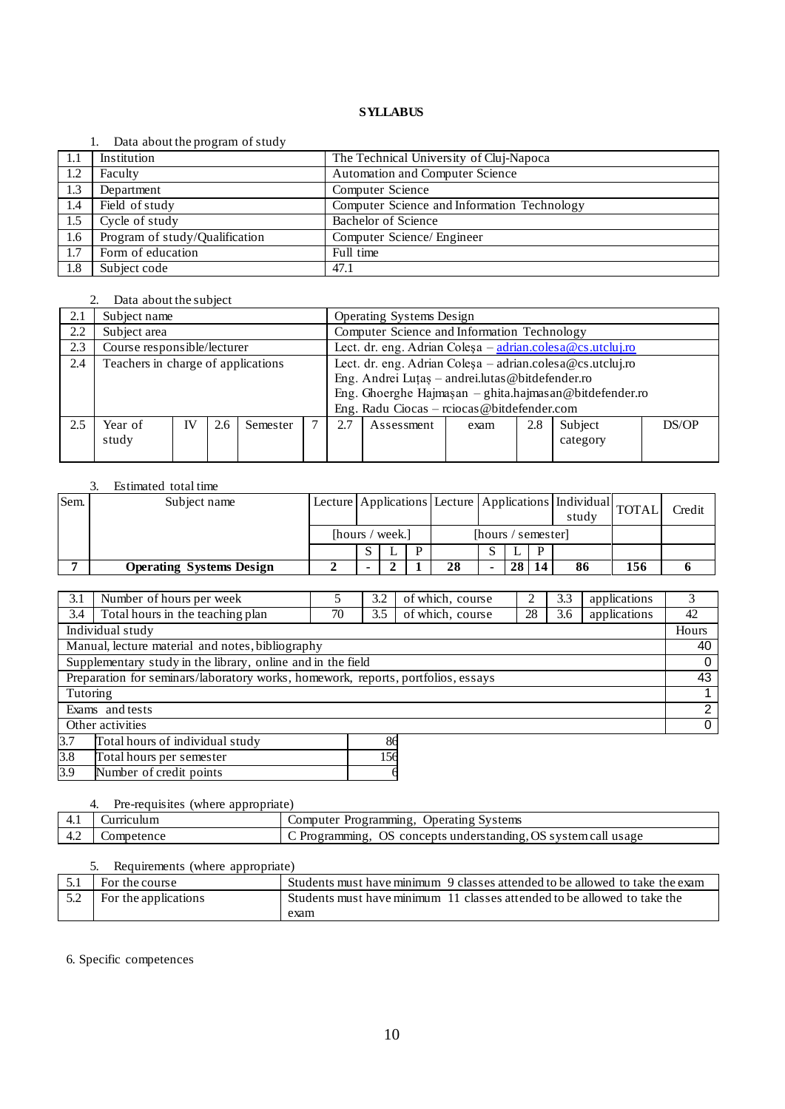### 1. Data about the program of study

| - 1.1 | Institution                    | The Technical University of Cluj-Napoca     |
|-------|--------------------------------|---------------------------------------------|
| 1.2   | Faculty                        | Automation and Computer Science             |
| 1.3   | Department                     | Computer Science                            |
| 1.4   | Field of study                 | Computer Science and Information Technology |
| 1.5   | Cycle of study                 | Bachelor of Science                         |
| 1.6   | Program of study/Qualification | Computer Science/ Engineer                  |
| 1.7   | Form of education              | Full time                                   |
| 1.8   | Subject code                   | 47.1                                        |

# 2. Data about the subject

| 2.1 | Subject name                       |    |     | <b>Operating Systems Design</b> |                                                           |                                                                     |            |      |     |          |       |
|-----|------------------------------------|----|-----|---------------------------------|-----------------------------------------------------------|---------------------------------------------------------------------|------------|------|-----|----------|-------|
| 2.2 | Subject area                       |    |     |                                 |                                                           | Computer Science and Information Technology                         |            |      |     |          |       |
| 2.3 | Course responsible/lecturer        |    |     |                                 |                                                           | Lect. dr. eng. Adrian Colesa $-\frac{adrian.colesa@cs.utcluj.ro}{}$ |            |      |     |          |       |
| 2.4 | Teachers in charge of applications |    |     |                                 | Lect. dr. eng. Adrian Coleşa – adrian.colesa@cs.utcluj.ro |                                                                     |            |      |     |          |       |
|     |                                    |    |     |                                 |                                                           | Eng. Andrei Luțaș – andrei.lutas @bitdefender.ro                    |            |      |     |          |       |
|     |                                    |    |     |                                 | Eng. Ghoerghe Hajmaşan - ghita.hajmasan@bitdefender.ro    |                                                                     |            |      |     |          |       |
|     |                                    |    |     |                                 |                                                           | Eng. Radu Ciocas - reiocas @bitdefender.com                         |            |      |     |          |       |
| 2.5 | Year of                            | IV | 2.6 | Semester                        |                                                           | 2.7                                                                 | Assessment | exam | 2.8 | Subject  | DS/OP |
|     | study                              |    |     |                                 |                                                           |                                                                     |            |      |     | category |       |
|     |                                    |    |     |                                 |                                                           |                                                                     |            |      |     |          |       |

### 3. Estimated total time

| Sem. | Subject name                    |                 |              |    |                    |    |    | Lecture Applications Lecture Applications Individual TOTAL<br>study |     | Credit |
|------|---------------------------------|-----------------|--------------|----|--------------------|----|----|---------------------------------------------------------------------|-----|--------|
|      |                                 | [hours / week.] |              |    | [hours / semester] |    |    |                                                                     |     |        |
|      |                                 |                 | $\mathbf{L}$ |    |                    |    | D  |                                                                     |     |        |
|      | <b>Operating Systems Design</b> |                 |              | 28 | -                  | 28 | 14 | 86                                                                  | 156 |        |

| 3.1                                                                              | Number of hours per week                                                                                                                                                                                                             |    | 3.2                  | of which, course |    | 3.3 | applications |                |  |
|----------------------------------------------------------------------------------|--------------------------------------------------------------------------------------------------------------------------------------------------------------------------------------------------------------------------------------|----|----------------------|------------------|----|-----|--------------|----------------|--|
| 3.4                                                                              | Total hours in the teaching plan                                                                                                                                                                                                     | 70 | 3.5                  | of which, course | 28 | 3.6 | applications | 42             |  |
| Individual study                                                                 |                                                                                                                                                                                                                                      |    |                      |                  |    |     |              |                |  |
| Manual, lecture material and notes, bibliography                                 |                                                                                                                                                                                                                                      |    |                      |                  |    |     |              |                |  |
| Supplementary study in the library, online and in the field                      |                                                                                                                                                                                                                                      |    |                      |                  |    |     |              | $\Omega$       |  |
| Preparation for seminars/laboratory works, homework, reports, portfolios, essays |                                                                                                                                                                                                                                      |    |                      |                  |    |     |              | 43             |  |
| Tutoring                                                                         |                                                                                                                                                                                                                                      |    |                      |                  |    |     |              |                |  |
| Exams and tests                                                                  |                                                                                                                                                                                                                                      |    |                      |                  |    |     |              | $\overline{2}$ |  |
| Other activities                                                                 |                                                                                                                                                                                                                                      |    |                      |                  |    |     |              | 0              |  |
| 3.7                                                                              | Total hours of individual study                                                                                                                                                                                                      |    | 86                   |                  |    |     |              |                |  |
| $\sim$ $\sim$                                                                    | <b>Product and the contract of the contract of the contract of the contract of the contract of the contract of the contract of the contract of the contract of the contract of the contract of the contract of the contract of t</b> |    | $\sim$ $\sim$ $\sim$ |                  |    |     |              |                |  |

3.8 Total hours per semester 156<br>3.9 Number of credit points 6 Number of credit points

4. Pre-requisites (where appropriate)

|     | ունո        | <b>Operating Systems</b><br>Programming<br>Computer                |
|-----|-------------|--------------------------------------------------------------------|
| 4.2 | ' 11 J.C.I. | OS concepts understanding.<br>OS system call usage<br>Programming. |

### 5. Requirements (where appropriate)

| 5.1 | For the course       | Students must have minimum 9 classes attended to be allowed to take the exam |
|-----|----------------------|------------------------------------------------------------------------------|
| 5.2 | For the applications | Students must have minimum 11 classes attended to be allowed to take the     |
|     |                      | exam                                                                         |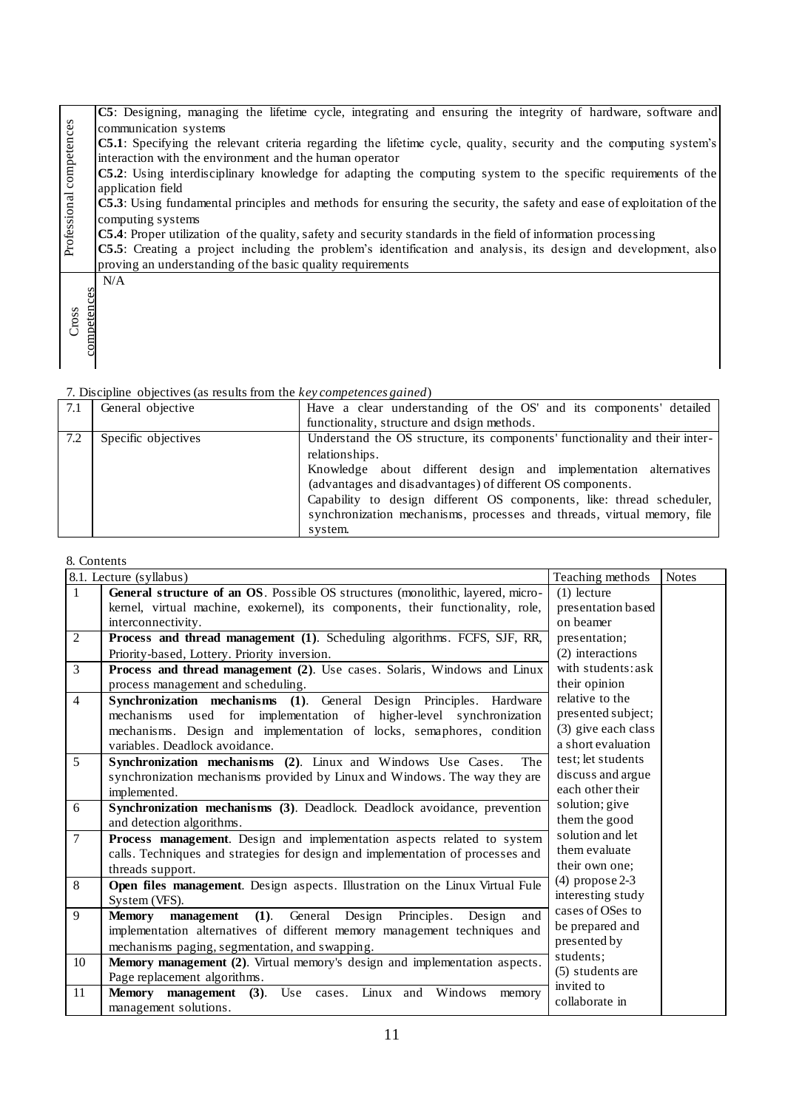|                          | C5: Designing, managing the lifetime cycle, integrating and ensuring the integrity of hardware, software and                 |
|--------------------------|------------------------------------------------------------------------------------------------------------------------------|
|                          | communication systems                                                                                                        |
|                          | <b>C5.1</b> : Specifying the relevant criteria regarding the lifetime cycle, quality, security and the computing system's    |
|                          | interaction with the environment and the human operator                                                                      |
|                          | C5.2: Using interdisciplinary knowledge for adapting the computing system to the specific requirements of the                |
|                          | application field                                                                                                            |
| Professional competences | <b>C5.3</b> : Using fundamental principles and methods for ensuring the security, the safety and ease of exploitation of the |
|                          | computing systems                                                                                                            |
|                          | C5.4: Proper utilization of the quality, safety and security standards in the field of information processing                |
|                          | C5.5: Creating a project including the problem's identification and analysis, its design and development, also               |
|                          | proving an understanding of the basic quality requirements                                                                   |
|                          | N/A                                                                                                                          |
|                          |                                                                                                                              |
| competences              |                                                                                                                              |
| Cross                    |                                                                                                                              |
|                          |                                                                                                                              |
|                          |                                                                                                                              |

| 7.1 | General objective   | Have a clear understanding of the OS' and its components' detailed          |
|-----|---------------------|-----------------------------------------------------------------------------|
|     |                     | functionality, structure and dsign methods.                                 |
| 7.2 | Specific objectives | Understand the OS structure, its components' functionality and their inter- |
|     |                     | relationships.                                                              |
|     |                     | Knowledge about different design and implementation alternatives            |
|     |                     | (advantages and disadvantages) of different OS components.                  |
|     |                     | Capability to design different OS components, like: thread scheduler,       |
|     |                     | synchronization mechanisms, processes and threads, virtual memory, file     |
|     |                     | system.                                                                     |

|                | 8.1. Lecture (syllabus)                                                         | Teaching methods    | <b>Notes</b> |
|----------------|---------------------------------------------------------------------------------|---------------------|--------------|
| $\mathbf{1}$   | General structure of an OS. Possible OS structures (monolithic, layered, micro- | $(1)$ lecture       |              |
|                | kernel, virtual machine, exokernel), its components, their functionality, role, | presentation based  |              |
|                | interconnectivity.                                                              | on beamer           |              |
| 2              | Process and thread management (1). Scheduling algorithms. FCFS, SJF, RR,        | presentation;       |              |
|                | Priority-based, Lottery. Priority inversion.                                    | (2) interactions    |              |
| $\overline{3}$ | Process and thread management (2). Use cases. Solaris, Windows and Linux        | with students: ask  |              |
|                | process management and scheduling.                                              | their opinion       |              |
| $\overline{4}$ | Synchronization mechanisms (1). General Design Principles. Hardware             | relative to the     |              |
|                | for implementation of higher-level synchronization<br>mechanisms<br>used        | presented subject;  |              |
|                | mechanisms. Design and implementation of locks, semaphores, condition           | (3) give each class |              |
|                | variables. Deadlock avoidance.                                                  | a short evaluation  |              |
| 5              | Synchronization mechanisms (2). Linux and Windows Use Cases.<br>The             | test; let students  |              |
|                | synchronization mechanisms provided by Linux and Windows. The way they are      | discuss and argue   |              |
|                | implemented.                                                                    | each other their    |              |
| 6              | Synchronization mechanisms (3). Deadlock. Deadlock avoidance, prevention        | solution; give      |              |
|                | and detection algorithms.                                                       | them the good       |              |
| $\overline{7}$ | Process management. Design and implementation aspects related to system         | solution and let    |              |
|                | calls. Techniques and strategies for design and implementation of processes and | them evaluate       |              |
|                | threads support.                                                                | their own one;      |              |
| 8              | Open files management. Design aspects. Illustration on the Linux Virtual Fule   | $(4)$ propose 2-3   |              |
|                | System (VFS).                                                                   | interesting study   |              |
| 9              | management (1). General Design Principles.<br>Design<br>and<br><b>Memory</b>    | cases of OSes to    |              |
|                | implementation alternatives of different memory management techniques and       | be prepared and     |              |
|                | mechanisms paging, segmentation, and swapping.                                  | presented by        |              |
| 10             | Memory management (2). Virtual memory's design and implementation aspects.      | students:           |              |
|                | Page replacement algorithms.                                                    | (5) students are    |              |
| 11             | <b>Memory</b> management (3). Use cases. Linux and Windows<br>memory            | invited to          |              |
|                | management solutions.                                                           | collaborate in      |              |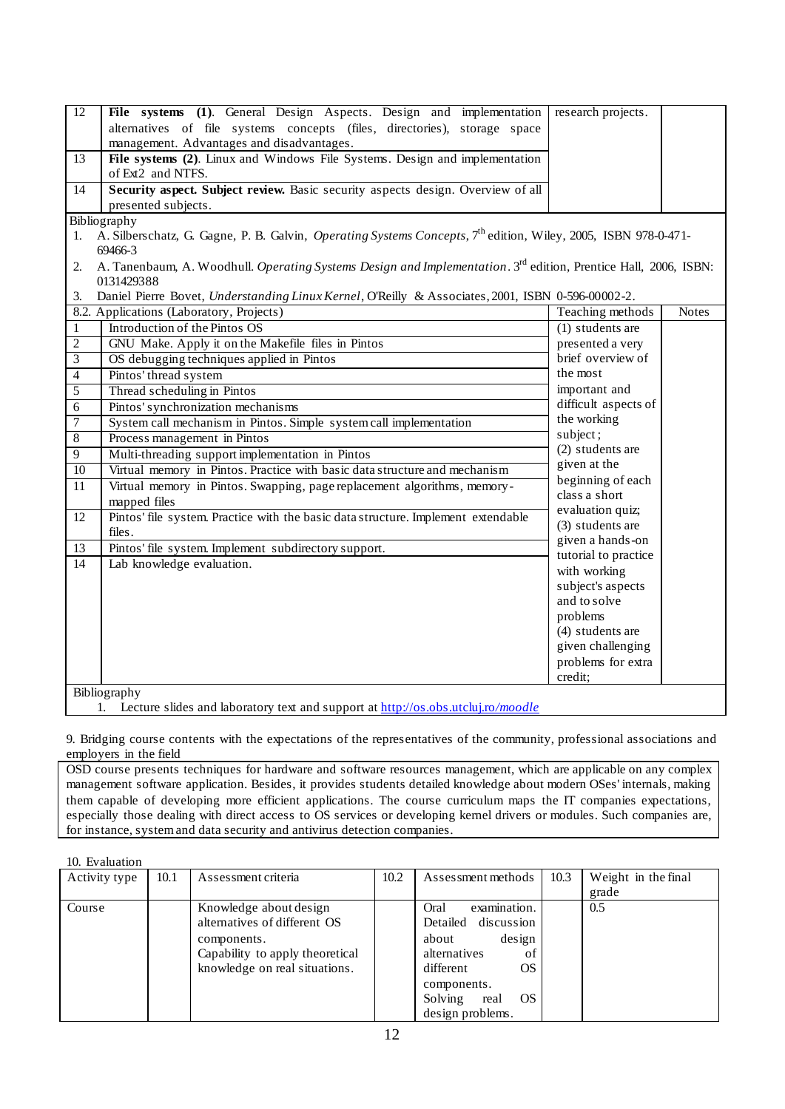| 12             | File systems (1). General Design Aspects. Design and implementation                                                                | research projects.                                |              |  |  |  |  |  |
|----------------|------------------------------------------------------------------------------------------------------------------------------------|---------------------------------------------------|--------------|--|--|--|--|--|
|                | alternatives of file systems concepts (files, directories), storage space                                                          |                                                   |              |  |  |  |  |  |
|                | management. Advantages and disadvantages.                                                                                          |                                                   |              |  |  |  |  |  |
| 13             | File systems (2). Linux and Windows File Systems. Design and implementation                                                        |                                                   |              |  |  |  |  |  |
|                | of Ext2 and NTFS.                                                                                                                  |                                                   |              |  |  |  |  |  |
| 14             | Security aspect. Subject review. Basic security aspects design. Overview of all                                                    |                                                   |              |  |  |  |  |  |
|                | presented subjects.                                                                                                                |                                                   |              |  |  |  |  |  |
|                | Bibliography                                                                                                                       |                                                   |              |  |  |  |  |  |
| 1.             | A. Silberschatz, G. Gagne, P. B. Galvin, <i>Operating Systems Concepts</i> , 7 <sup>th</sup> edition, Wiley, 2005, ISBN 978-0-471- |                                                   |              |  |  |  |  |  |
|                | 69466-3                                                                                                                            |                                                   |              |  |  |  |  |  |
| 2.             | A. Tanenbaum, A. Woodhull. Operating Systems Design and Implementation. 3rd edition, Prentice Hall, 2006, ISBN:<br>0131429388      |                                                   |              |  |  |  |  |  |
| 3.             | Daniel Pierre Bovet, Understanding Linux Kernel, O'Reilly & Associates, 2001, ISBN 0-596-00002-2.                                  |                                                   |              |  |  |  |  |  |
|                | 8.2. Applications (Laboratory, Projects)                                                                                           | Teaching methods                                  | <b>Notes</b> |  |  |  |  |  |
| $\mathbf{1}$   | Introduction of the Pintos OS                                                                                                      | $(1)$ students are                                |              |  |  |  |  |  |
| $\overline{2}$ | GNU Make. Apply it on the Makefile files in Pintos                                                                                 | presented a very                                  |              |  |  |  |  |  |
| $\overline{3}$ | OS debugging techniques applied in Pintos                                                                                          | brief overview of                                 |              |  |  |  |  |  |
| $\overline{4}$ | Pintos' thread system                                                                                                              | the most<br>important and<br>difficult aspects of |              |  |  |  |  |  |
| 5              | Thread scheduling in Pintos                                                                                                        |                                                   |              |  |  |  |  |  |
| $\overline{6}$ | Pintos' synchronization mechanisms                                                                                                 |                                                   |              |  |  |  |  |  |
| $\overline{7}$ | System call mechanism in Pintos. Simple system call implementation                                                                 | the working                                       |              |  |  |  |  |  |
| $\overline{8}$ | Process management in Pintos                                                                                                       | subject;                                          |              |  |  |  |  |  |
| $\overline{9}$ | Multi-threading support implementation in Pintos                                                                                   | (2) students are                                  |              |  |  |  |  |  |
| 10             | Virtual memory in Pintos. Practice with basic data structure and mechanism                                                         | given at the                                      |              |  |  |  |  |  |
| 11             | Virtual memory in Pintos. Swapping, page replacement algorithms, memory-                                                           | beginning of each                                 |              |  |  |  |  |  |
|                | mapped files                                                                                                                       | class a short                                     |              |  |  |  |  |  |
| 12             | Pintos' file system. Practice with the basic data structure. Implement extendable                                                  | evaluation quiz;                                  |              |  |  |  |  |  |
|                | files.                                                                                                                             | (3) students are                                  |              |  |  |  |  |  |
| 13             | Pintos' file system. Implement subdirectory support.                                                                               | given a hands-on                                  |              |  |  |  |  |  |
| 14             | Lab knowledge evaluation.                                                                                                          | tutorial to practice                              |              |  |  |  |  |  |
|                |                                                                                                                                    | with working                                      |              |  |  |  |  |  |
|                |                                                                                                                                    | subject's aspects<br>and to solve                 |              |  |  |  |  |  |
|                |                                                                                                                                    |                                                   |              |  |  |  |  |  |
|                |                                                                                                                                    | problems<br>(4) students are                      |              |  |  |  |  |  |
|                |                                                                                                                                    | given challenging                                 |              |  |  |  |  |  |
|                |                                                                                                                                    |                                                   |              |  |  |  |  |  |
|                |                                                                                                                                    | problems for extra<br>credit;                     |              |  |  |  |  |  |
|                | Bibliography                                                                                                                       |                                                   |              |  |  |  |  |  |
|                | Lecture slides and laboratory text and support at http://os.obs.utcluj.ro/moodle<br>1.                                             |                                                   |              |  |  |  |  |  |
|                |                                                                                                                                    |                                                   |              |  |  |  |  |  |

9. Bridging course contents with the expectations of the representatives of the community, professional associations and employers in the field

OSD course presents techniques for hardware and software resources management, which are applicable on any complex management software application. Besides, it provides students detailed knowledge about modern OSes' internals, making them capable of developing more efficient applications. The course curriculum maps the IT companies expectations, especially those dealing with direct access to OS services or developing kernel drivers or modules. Such companies are, for instance, system and data security and antivirus detection companies.

### 10. Evaluation

| Activity type | 10.1 | Assessment criteria             | 10.2 | Assessment methods     | 10.3 | Weight in the final |
|---------------|------|---------------------------------|------|------------------------|------|---------------------|
|               |      |                                 |      |                        |      | grade               |
| Course        |      | Knowledge about design          |      | examination.<br>Oral   |      | 0.5                 |
|               |      | alternatives of different OS    |      | Detailed discussion    |      |                     |
|               |      | components.                     |      | design<br>about        |      |                     |
|               |      | Capability to apply theoretical |      | alternatives<br>of     |      |                     |
|               |      | knowledge on real situations.   |      | OS.<br>different       |      |                     |
|               |      |                                 |      | components.            |      |                     |
|               |      |                                 |      | OS.<br>Solving<br>real |      |                     |
|               |      |                                 |      | design problems.       |      |                     |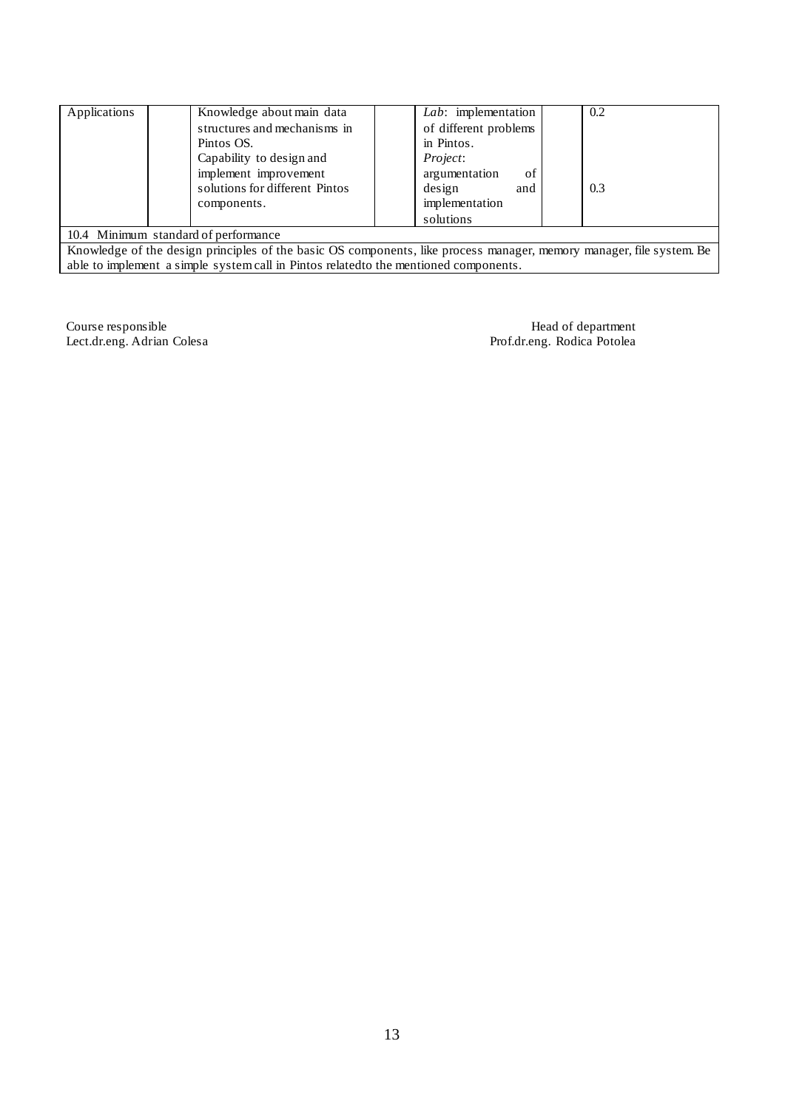| Applications                                                                                                       | Knowledge about main data      | Lab: implementation   | 0.2 |  |  |
|--------------------------------------------------------------------------------------------------------------------|--------------------------------|-----------------------|-----|--|--|
|                                                                                                                    | structures and mechanisms in   | of different problems |     |  |  |
|                                                                                                                    | Pintos OS.                     | in Pintos.            |     |  |  |
|                                                                                                                    | Capability to design and       | <i>Project:</i>       |     |  |  |
|                                                                                                                    | implement improvement          | argumentation<br>of   |     |  |  |
|                                                                                                                    | solutions for different Pintos | design<br>and         | 0.3 |  |  |
|                                                                                                                    | components.                    | implementation        |     |  |  |
|                                                                                                                    |                                | solutions             |     |  |  |
| 10.4 Minimum standard of performance                                                                               |                                |                       |     |  |  |
| Knowledge of the decise principles of the heain Of companents. Life nucesse menggan memory menggan file existem De |                                |                       |     |  |  |

Knowledge of the design principles of the basic OS components, like process manager, memory manager, file system. Be able to implement a simple system call in Pintos relatedto the mentioned components.

Course responsible Head of department Lect.dr.eng. Adrian Colesa Prof.dr.eng. Rodica Potolea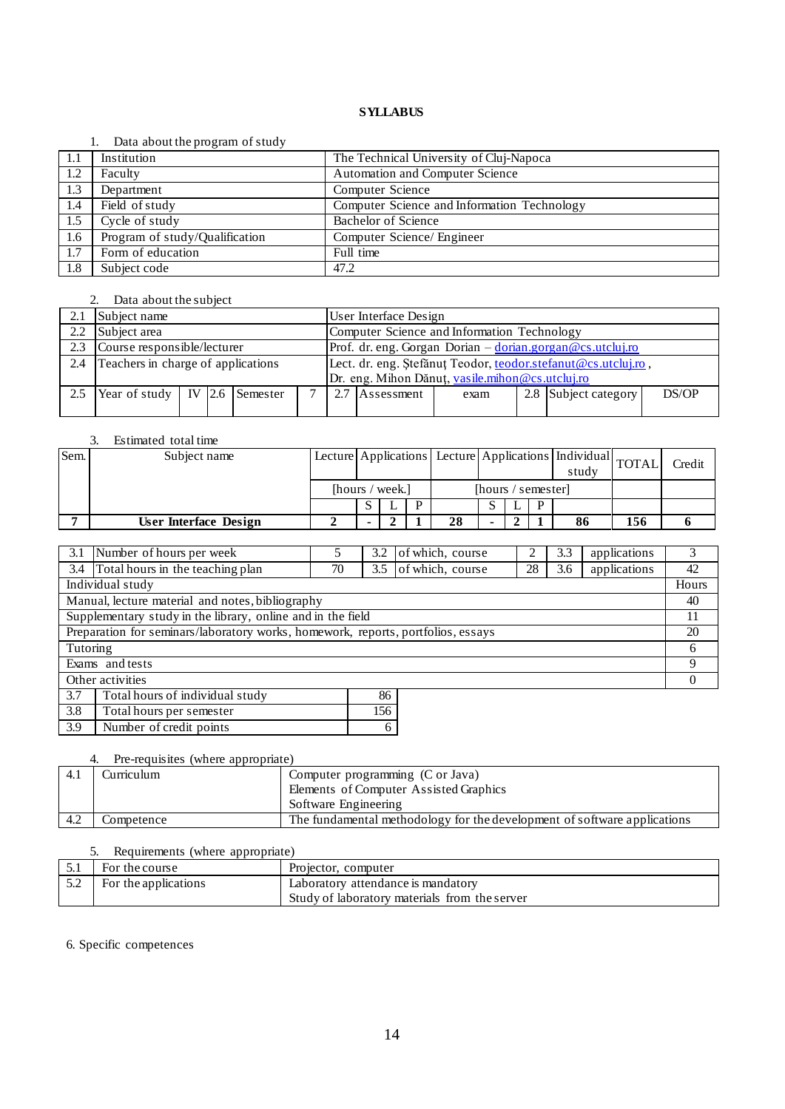### 1. Data about the program of study

|      | $\sim$ and about the program of beau |                                             |
|------|--------------------------------------|---------------------------------------------|
| -1.1 | Institution                          | The Technical University of Cluj-Napoca     |
| 1.2  | Faculty                              | Automation and Computer Science             |
| 1.3  | Department                           | Computer Science                            |
| 1.4  | Field of study                       | Computer Science and Information Technology |
| 1.5  | Cycle of study                       | Bachelor of Science                         |
| 1.6  | Program of study/Qualification       | Computer Science/ Engineer                  |
| 1.7  | Form of education                    | Full time                                   |
| 1.8  | Subject code                         | 47.2                                        |

# 2. Data about the subject

| 2.1 | Subject name                            |  |  |  |  |                                                               | User Interface Design                                     |                                                 |  |  |       |  |
|-----|-----------------------------------------|--|--|--|--|---------------------------------------------------------------|-----------------------------------------------------------|-------------------------------------------------|--|--|-------|--|
| 2.2 | Subject area                            |  |  |  |  |                                                               | Computer Science and Information Technology               |                                                 |  |  |       |  |
| 2.3 | Course responsible/lecturer             |  |  |  |  |                                                               | Prof. dr. eng. Gorgan Dorian - dorian.gorgan@cs.utcluj.ro |                                                 |  |  |       |  |
| 2.4 | Teachers in charge of applications      |  |  |  |  | Lect. dr. eng. Ștefănuț Teodor, teodor.stefanut@cs.utcluj.ro, |                                                           |                                                 |  |  |       |  |
|     |                                         |  |  |  |  |                                                               |                                                           | Dr. eng. Mihon Dănuț, vasile.mihon@cs.utcluj.ro |  |  |       |  |
| 2.5 | Year of study   IV $\vert$ 2.6 Semester |  |  |  |  | 2.7                                                           | 2.8 Subject category<br>Assessment<br>exam                |                                                 |  |  | DS/OP |  |
|     |                                         |  |  |  |  |                                                               |                                                           |                                                 |  |  |       |  |

# 3. Estimated total time

| Sem. | Subject name          |                 | Lecture Applications Lecture Applications   Individual TOTAL |                    |   |    |  |  | study |    | Credit |  |
|------|-----------------------|-----------------|--------------------------------------------------------------|--------------------|---|----|--|--|-------|----|--------|--|
|      |                       | [hours / week.] |                                                              | [hours / semester] |   |    |  |  |       |    |        |  |
|      |                       |                 |                                                              |                    | D |    |  |  | D     |    |        |  |
|      | User Interface Design |                 |                                                              |                    |   | 28 |  |  |       | 86 | 156    |  |

| 3.1                                                         | Number of hours per week                                                         |  | 3.2 | of which, course |  | 3.3 | applications | 3     |
|-------------------------------------------------------------|----------------------------------------------------------------------------------|--|-----|------------------|--|-----|--------------|-------|
| 3.4                                                         | Total hours in the teaching plan<br>of which, course<br>28<br>70<br>3.6<br>3.5   |  |     |                  |  |     | applications | 42    |
|                                                             | Individual study                                                                 |  |     |                  |  |     |              | Hours |
|                                                             | Manual, lecture material and notes, bibliography                                 |  |     |                  |  |     |              | 40    |
| Supplementary study in the library, online and in the field |                                                                                  |  |     |                  |  |     | 11           |       |
|                                                             | Preparation for seminars/laboratory works, homework, reports, portfolios, essays |  |     |                  |  |     |              | 20    |
| Tutoring                                                    |                                                                                  |  |     |                  |  |     |              | 6     |
|                                                             | Exams and tests                                                                  |  |     |                  |  |     |              | 9     |
|                                                             | Other activities                                                                 |  |     |                  |  |     |              |       |
| 3.7                                                         | Total hours of individual study                                                  |  | 86  |                  |  |     |              |       |
| 3.8<br>156<br>Total hours per semester                      |                                                                                  |  |     |                  |  |     |              |       |

### 4. Pre-requisites (where appropriate)

3.9 Number of credit points 6

| 4.1  | Curriculum | Computer programming (C or Java)                                         |
|------|------------|--------------------------------------------------------------------------|
|      |            | Elements of Computer Assisted Graphics                                   |
|      |            | Software Engineering                                                     |
| -4.2 | Competence | The fundamental methodology for the development of software applications |

### 5. Requirements (where appropriate)

| For the course       | Projector, computer                           |
|----------------------|-----------------------------------------------|
| For the applications | Laboratory attendance is mandatory            |
|                      | Study of laboratory materials from the server |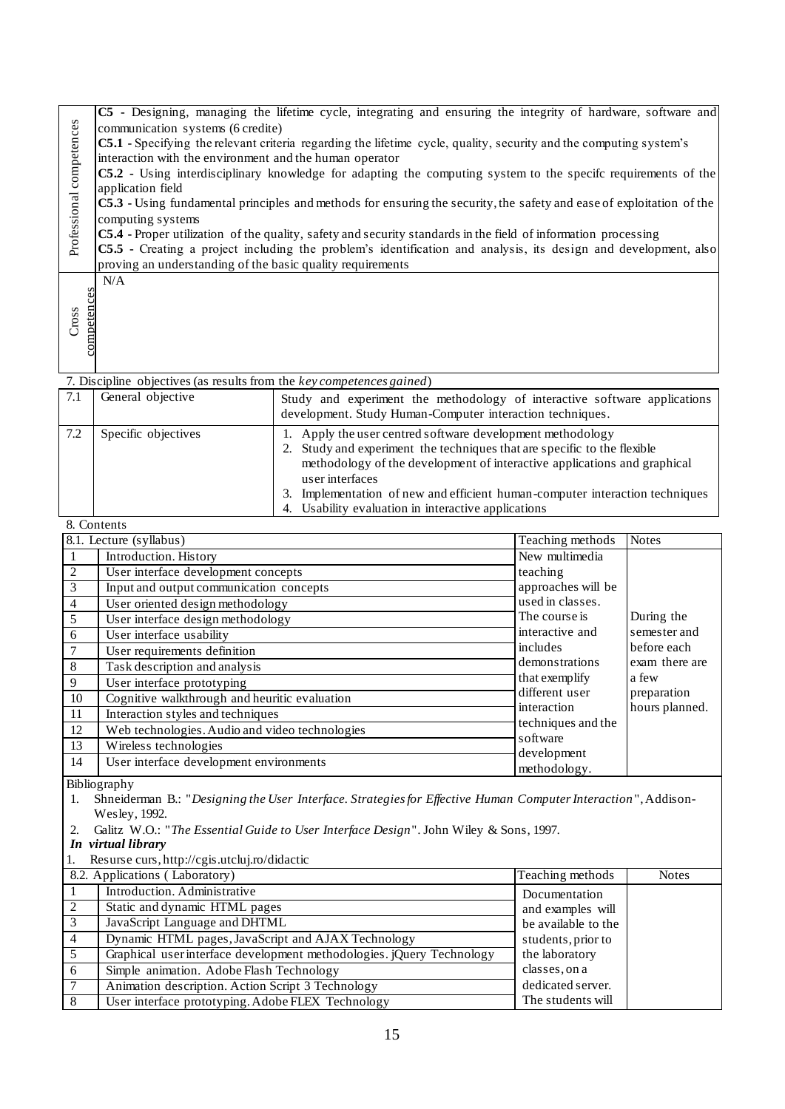|                      | C5 - Designing, managing the lifetime cycle, integrating and ensuring the integrity of hardware, software and             |  |  |  |  |  |  |  |  |  |
|----------------------|---------------------------------------------------------------------------------------------------------------------------|--|--|--|--|--|--|--|--|--|
|                      | communication systems (6 credite)                                                                                         |  |  |  |  |  |  |  |  |  |
|                      | <b>C5.1</b> - Specifying the relevant criteria regarding the lifetime cycle, quality, security and the computing system's |  |  |  |  |  |  |  |  |  |
|                      | interaction with the environment and the human operator                                                                   |  |  |  |  |  |  |  |  |  |
| competences          | <b>C5.2</b> - Using interdisciplinary knowledge for adapting the computing system to the specific requirements of the     |  |  |  |  |  |  |  |  |  |
|                      | application field                                                                                                         |  |  |  |  |  |  |  |  |  |
| Professional         | $CS.3$ - Using fundamental principles and methods for ensuring the security, the safety and ease of exploitation of the   |  |  |  |  |  |  |  |  |  |
|                      | computing systems                                                                                                         |  |  |  |  |  |  |  |  |  |
|                      | $\textsf{CS.4}$ - Proper utilization of the quality, safety and security standards in the field of information processing |  |  |  |  |  |  |  |  |  |
|                      | C5.5 - Creating a project including the problem's identification and analysis, its design and development, also           |  |  |  |  |  |  |  |  |  |
|                      | proving an understanding of the basic quality requirements                                                                |  |  |  |  |  |  |  |  |  |
|                      | N/A                                                                                                                       |  |  |  |  |  |  |  |  |  |
|                      |                                                                                                                           |  |  |  |  |  |  |  |  |  |
|                      |                                                                                                                           |  |  |  |  |  |  |  |  |  |
| competences<br>Cross |                                                                                                                           |  |  |  |  |  |  |  |  |  |
|                      |                                                                                                                           |  |  |  |  |  |  |  |  |  |
|                      |                                                                                                                           |  |  |  |  |  |  |  |  |  |

|     | 7. Discipline objectives (as results from the key competences gained) |                                                                                                                                                                                                                                                                                                                                                                              |  |  |  |  |  |  |  |
|-----|-----------------------------------------------------------------------|------------------------------------------------------------------------------------------------------------------------------------------------------------------------------------------------------------------------------------------------------------------------------------------------------------------------------------------------------------------------------|--|--|--|--|--|--|--|
| 7.1 | General objective                                                     | Study and experiment the methodology of interactive software applications<br>development. Study Human-Computer interaction techniques.                                                                                                                                                                                                                                       |  |  |  |  |  |  |  |
| 7.2 | Specific objectives                                                   | 1. Apply the user centred software development methodology<br>2. Study and experiment the techniques that are specific to the flexible<br>methodology of the development of interactive applications and graphical<br>user interfaces<br>3. Implementation of new and efficient human-computer interaction techniques<br>4. Usability evaluation in interactive applications |  |  |  |  |  |  |  |

| Professional competences | communication systems (6 credite)<br>C5.1 - Specifying the relevant criteria regarding the lifetime cycle, quality, security and the computing system's<br>interaction with the environment and the human operator<br>C5.2 - Using interdisciplinary knowledge for adapting the computing system to the specific requirements of the<br>application field<br>C5.3 - Using fundamental principles and methods for ensuring the security, the safety and ease of exploitation of the<br>computing systems<br>C5.4 - Proper utilization of the quality, safety and security standards in the field of information processing<br>C5.5 - Creating a project including the problem's identification and analysis, its design and development, also<br>proving an understanding of the basic quality requirements |                                                                                                                                        |                                 |                |  |  |  |  |  |
|--------------------------|------------------------------------------------------------------------------------------------------------------------------------------------------------------------------------------------------------------------------------------------------------------------------------------------------------------------------------------------------------------------------------------------------------------------------------------------------------------------------------------------------------------------------------------------------------------------------------------------------------------------------------------------------------------------------------------------------------------------------------------------------------------------------------------------------------|----------------------------------------------------------------------------------------------------------------------------------------|---------------------------------|----------------|--|--|--|--|--|
| competences<br>Cross     | N/A                                                                                                                                                                                                                                                                                                                                                                                                                                                                                                                                                                                                                                                                                                                                                                                                        |                                                                                                                                        |                                 |                |  |  |  |  |  |
|                          | 7. Discipline objectives (as results from the key competences gained)                                                                                                                                                                                                                                                                                                                                                                                                                                                                                                                                                                                                                                                                                                                                      |                                                                                                                                        |                                 |                |  |  |  |  |  |
| 7.1                      | General objective                                                                                                                                                                                                                                                                                                                                                                                                                                                                                                                                                                                                                                                                                                                                                                                          | Study and experiment the methodology of interactive software applications<br>development. Study Human-Computer interaction techniques. |                                 |                |  |  |  |  |  |
| 7.2                      | Specific objectives<br>1. Apply the user centred software development methodology<br>Study and experiment the techniques that are specific to the flexible<br>methodology of the development of interactive applications and graphical<br>user interfaces<br>3. Implementation of new and efficient human-computer interaction techniques<br>4. Usability evaluation in interactive applications                                                                                                                                                                                                                                                                                                                                                                                                           |                                                                                                                                        |                                 |                |  |  |  |  |  |
| 8. Contents              |                                                                                                                                                                                                                                                                                                                                                                                                                                                                                                                                                                                                                                                                                                                                                                                                            |                                                                                                                                        |                                 |                |  |  |  |  |  |
|                          | 8.1. Lecture (syllabus)                                                                                                                                                                                                                                                                                                                                                                                                                                                                                                                                                                                                                                                                                                                                                                                    |                                                                                                                                        | Teaching methods                | <b>Notes</b>   |  |  |  |  |  |
| $\mathbf{1}$             | Introduction. History                                                                                                                                                                                                                                                                                                                                                                                                                                                                                                                                                                                                                                                                                                                                                                                      |                                                                                                                                        | New multimedia                  |                |  |  |  |  |  |
| $\overline{2}$           | User interface development concepts                                                                                                                                                                                                                                                                                                                                                                                                                                                                                                                                                                                                                                                                                                                                                                        | teaching                                                                                                                               |                                 |                |  |  |  |  |  |
| $\overline{3}$           | Input and output communication concepts                                                                                                                                                                                                                                                                                                                                                                                                                                                                                                                                                                                                                                                                                                                                                                    |                                                                                                                                        | approaches will be              |                |  |  |  |  |  |
| $\overline{4}$           | User oriented design methodology                                                                                                                                                                                                                                                                                                                                                                                                                                                                                                                                                                                                                                                                                                                                                                           |                                                                                                                                        | used in classes.                |                |  |  |  |  |  |
| 5                        | User interface design methodology                                                                                                                                                                                                                                                                                                                                                                                                                                                                                                                                                                                                                                                                                                                                                                          |                                                                                                                                        | The course is                   | During the     |  |  |  |  |  |
| 6                        | User interface usability                                                                                                                                                                                                                                                                                                                                                                                                                                                                                                                                                                                                                                                                                                                                                                                   |                                                                                                                                        | interactive and                 | semester and   |  |  |  |  |  |
| $\tau$                   | User requirements definition                                                                                                                                                                                                                                                                                                                                                                                                                                                                                                                                                                                                                                                                                                                                                                               |                                                                                                                                        | includes                        | before each    |  |  |  |  |  |
| 8                        | Task description and analysis                                                                                                                                                                                                                                                                                                                                                                                                                                                                                                                                                                                                                                                                                                                                                                              |                                                                                                                                        | demonstrations                  | exam there are |  |  |  |  |  |
| 9                        | User interface prototyping                                                                                                                                                                                                                                                                                                                                                                                                                                                                                                                                                                                                                                                                                                                                                                                 |                                                                                                                                        | that exemplify                  | a few          |  |  |  |  |  |
| 10                       | Cognitive walkthrough and heuritic evaluation                                                                                                                                                                                                                                                                                                                                                                                                                                                                                                                                                                                                                                                                                                                                                              |                                                                                                                                        | different user                  | preparation    |  |  |  |  |  |
| 11                       | Interaction styles and techniques                                                                                                                                                                                                                                                                                                                                                                                                                                                                                                                                                                                                                                                                                                                                                                          |                                                                                                                                        | interaction                     | hours planned. |  |  |  |  |  |
| 12                       | Web technologies. Audio and video technologies                                                                                                                                                                                                                                                                                                                                                                                                                                                                                                                                                                                                                                                                                                                                                             |                                                                                                                                        | techniques and the              |                |  |  |  |  |  |
| 13                       | Wireless technologies                                                                                                                                                                                                                                                                                                                                                                                                                                                                                                                                                                                                                                                                                                                                                                                      |                                                                                                                                        | software<br>development         |                |  |  |  |  |  |
| 14                       | User interface development environments                                                                                                                                                                                                                                                                                                                                                                                                                                                                                                                                                                                                                                                                                                                                                                    |                                                                                                                                        | methodology.                    |                |  |  |  |  |  |
|                          | Bibliography                                                                                                                                                                                                                                                                                                                                                                                                                                                                                                                                                                                                                                                                                                                                                                                               |                                                                                                                                        |                                 |                |  |  |  |  |  |
| 1.                       |                                                                                                                                                                                                                                                                                                                                                                                                                                                                                                                                                                                                                                                                                                                                                                                                            | Shneiderman B.: "Designing the User Interface. Strategies for Effective Human Computer Interaction", Addison-                          |                                 |                |  |  |  |  |  |
|                          | Wesley, 1992.                                                                                                                                                                                                                                                                                                                                                                                                                                                                                                                                                                                                                                                                                                                                                                                              |                                                                                                                                        |                                 |                |  |  |  |  |  |
| 2.                       |                                                                                                                                                                                                                                                                                                                                                                                                                                                                                                                                                                                                                                                                                                                                                                                                            | Galitz W.O.: "The Essential Guide to User Interface Design". John Wiley & Sons, 1997.                                                  |                                 |                |  |  |  |  |  |
|                          | In virtual library                                                                                                                                                                                                                                                                                                                                                                                                                                                                                                                                                                                                                                                                                                                                                                                         |                                                                                                                                        |                                 |                |  |  |  |  |  |
| 1.                       | Resurse curs, http://cgis.utcluj.ro/didactic                                                                                                                                                                                                                                                                                                                                                                                                                                                                                                                                                                                                                                                                                                                                                               |                                                                                                                                        |                                 |                |  |  |  |  |  |
|                          | 8.2. Applications (Laboratory)                                                                                                                                                                                                                                                                                                                                                                                                                                                                                                                                                                                                                                                                                                                                                                             |                                                                                                                                        | Teaching methods                | <b>Notes</b>   |  |  |  |  |  |
| 1                        | Introduction. Administrative                                                                                                                                                                                                                                                                                                                                                                                                                                                                                                                                                                                                                                                                                                                                                                               |                                                                                                                                        | Documentation                   |                |  |  |  |  |  |
| $\overline{c}$           | Static and dynamic HTML pages                                                                                                                                                                                                                                                                                                                                                                                                                                                                                                                                                                                                                                                                                                                                                                              |                                                                                                                                        | and examples will               |                |  |  |  |  |  |
| 3                        | JavaScript Language and DHTML                                                                                                                                                                                                                                                                                                                                                                                                                                                                                                                                                                                                                                                                                                                                                                              |                                                                                                                                        | be available to the             |                |  |  |  |  |  |
| 4                        | Dynamic HTML pages, JavaScript and AJAX Technology                                                                                                                                                                                                                                                                                                                                                                                                                                                                                                                                                                                                                                                                                                                                                         |                                                                                                                                        | students, prior to              |                |  |  |  |  |  |
| 5                        |                                                                                                                                                                                                                                                                                                                                                                                                                                                                                                                                                                                                                                                                                                                                                                                                            | Graphical user interface development methodologies. jQuery Technology                                                                  | the laboratory<br>classes, on a |                |  |  |  |  |  |
| 6<br>$\tau$              | Simple animation. Adobe Flash Technology<br>Animation description. Action Script 3 Technology                                                                                                                                                                                                                                                                                                                                                                                                                                                                                                                                                                                                                                                                                                              |                                                                                                                                        | dedicated server.               |                |  |  |  |  |  |
| $\overline{8}$           |                                                                                                                                                                                                                                                                                                                                                                                                                                                                                                                                                                                                                                                                                                                                                                                                            |                                                                                                                                        | The students will               |                |  |  |  |  |  |
|                          |                                                                                                                                                                                                                                                                                                                                                                                                                                                                                                                                                                                                                                                                                                                                                                                                            | User interface prototyping. Adobe FLEX Technology                                                                                      |                                 |                |  |  |  |  |  |

|                | 8.2. Applications (Laboratory)                                        | Teaching methods    | <b>Notes</b> |
|----------------|-----------------------------------------------------------------------|---------------------|--------------|
|                | Introduction. Administrative                                          | Documentation       |              |
|                | Static and dynamic HTML pages                                         | and examples will   |              |
|                | JavaScript Language and DHTML                                         | be available to the |              |
| $\overline{4}$ | Dynamic HTML pages, JavaScript and AJAX Technology                    | students, prior to  |              |
|                | Graphical user interface development methodologies. ¡Query Technology | the laboratory      |              |
| 6              | Simple animation. Adobe Flash Technology                              | classes, on a       |              |
|                | Animation description. Action Script 3 Technology                     | dedicated server.   |              |
|                | User interface prototyping. Adobe FLEX Technology                     | The students will   |              |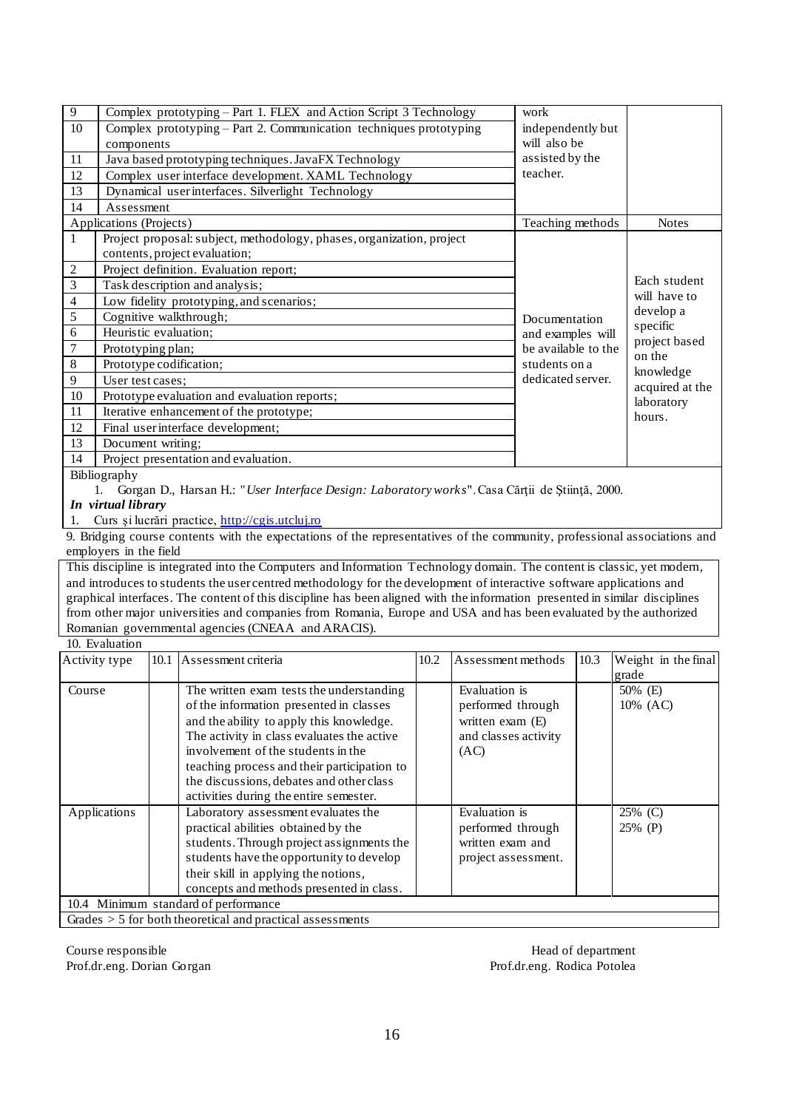| 9       | Complex prototyping – Part 1. FLEX and Action Script 3 Technology     | work                |                         |
|---------|-----------------------------------------------------------------------|---------------------|-------------------------|
| 10      | Complex prototyping – Part 2. Communication techniques prototyping    | independently but   |                         |
|         | components                                                            | will also be        |                         |
| 11      | Java based prototyping techniques. JavaFX Technology                  | assisted by the     |                         |
| 12      | Complex user interface development. XAML Technology                   | teacher.            |                         |
| 13      | Dynamical user interfaces. Silverlight Technology                     |                     |                         |
| 14      | Assessment                                                            |                     |                         |
|         | Applications (Projects)                                               | Teaching methods    | <b>Notes</b>            |
| 1       | Project proposal: subject, methodology, phases, organization, project |                     |                         |
|         | contents, project evaluation;                                         |                     |                         |
| 2       | Project definition. Evaluation report;                                |                     |                         |
| 3       | Task description and analysis;                                        |                     | Each student            |
| 4       | Low fidelity prototyping, and scenarios;                              |                     | will have to            |
| 5       | Cognitive walkthrough;                                                | Documentation       | develop a               |
| 6       | Heuristic evaluation;                                                 | and examples will   | specific                |
| 7       | Prototyping plan;                                                     | be available to the | project based<br>on the |
| $\,8\,$ | Prototype codification;                                               | students on a       | knowledge               |
| 9       | User test cases;                                                      | dedicated server.   | acquired at the         |
| 10      | Prototype evaluation and evaluation reports;                          |                     | laboratory              |
| 11      | Iterative enhancement of the prototype;                               |                     | hours.                  |
| 12      | Final user interface development;                                     |                     |                         |
| 13      | Document writing;                                                     |                     |                         |
| 14      | Project presentation and evaluation.                                  |                     |                         |
|         | <b>Bibliography</b>                                                   |                     |                         |

Bibliography

1. Gorgan D., Harsan H.: "*User Interface Design: Laboratory works*". Casa Cărţii de Ştiinţă, 2000.

*In virtual library*

1. Curs şi lucrări practice, [http://cgis.utcluj.ro](http://cgis.utcluj.ro/)

9. Bridging course contents with the expectations of the representatives of the community, professional associations and employers in the field

This discipline is integrated into the Computers and Information Technology domain. The content is classic, yet modern, and introduces to students the user centred methodology for the development of interactive software applications and graphical interfaces. The content of this discipline has been aligned with the information presented in similar disciplines from other major universities and companies from Romania, Europe and USA and has been evaluated by the authorized Romanian governmental agencies (CNEAA and ARACIS).

#### 10. Evaluation Activity type 10.1 Assessment criteria 10.2 Assessment methods 10.3 Weight in the final grade Course The written exam tests the understanding of the information presented in classes and the ability to apply this knowledge. The activity in class evaluates the active involvement of the students in the teaching process and their participation to the discussions, debates and other class activities during the entire semester. Evaluation is performed through written exam (E) and classes activity (AC) 50% (E) 10% (AC) Applications Laboratory assessment evaluates the practical abilities obtained by the students. Through project assignments the students have the opportunity to develop their skill in applying the notions, concepts and methods presented in class. Evaluation is performed through written exam and project assessment. 25% (C) 25% (P) 10.4 Minimum standard of performance Grades > 5 for both theoretical and practical assessments

Course responsible **Head of department** Prof.dr.eng. Dorian Gorgan Prof.dr.eng. Rodica Potolea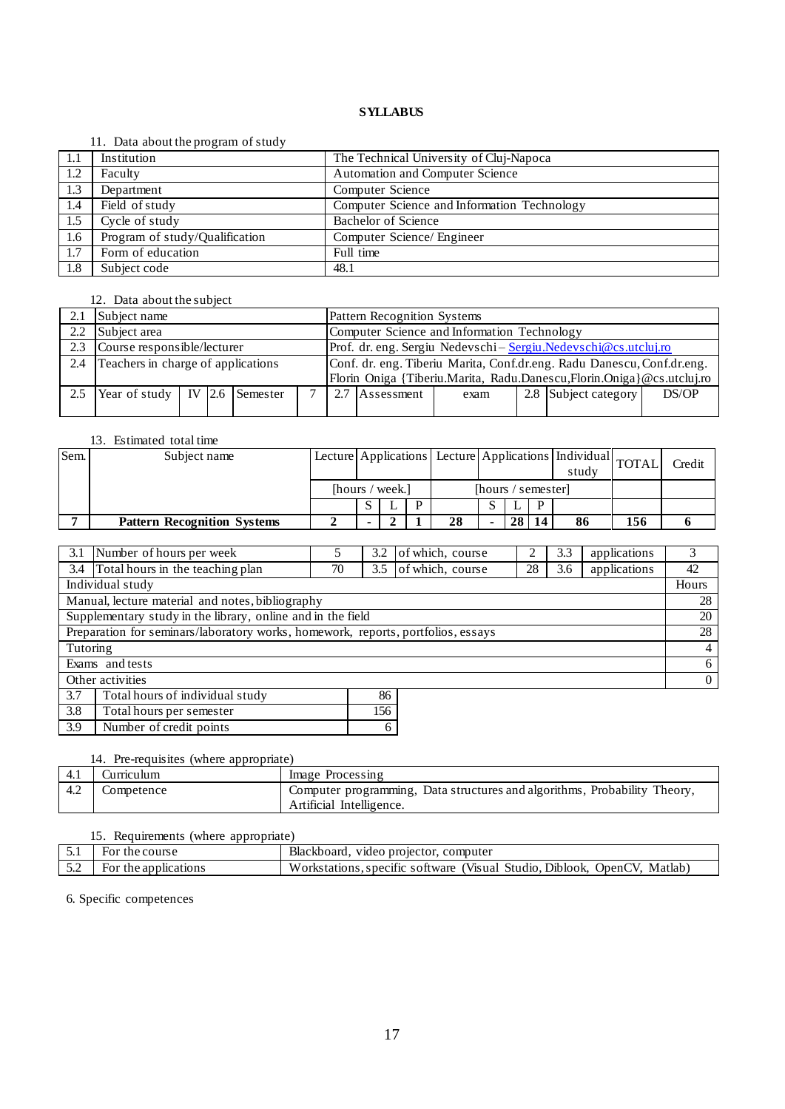### 11. Data about the program of study

|             | $11.$ Bata about the program of state, |                                             |
|-------------|----------------------------------------|---------------------------------------------|
| $\vert$ 1.1 | Institution                            | The Technical University of Cluj-Napoca     |
| 1.2         | Faculty                                | <b>Automation and Computer Science</b>      |
| 1.3         | Department                             | Computer Science                            |
| 1.4         | Field of study                         | Computer Science and Information Technology |
| 1.5         | Cycle of study                         | <b>Bachelor of Science</b>                  |
| 1.6         | Program of study/Qualification         | Computer Science/ Engineer                  |
| 1.7         | Form of education                      | Full time                                   |
| 1.8         | Subject code                           | 48.1                                        |

# 12. Data about the subject

| 2.1 | Subject name                                                                                 |  |  |  |  |  | Pattern Recognition Systems                                            |      |  |                                                                       |       |  |  |
|-----|----------------------------------------------------------------------------------------------|--|--|--|--|--|------------------------------------------------------------------------|------|--|-----------------------------------------------------------------------|-------|--|--|
| 2.2 | Subject area                                                                                 |  |  |  |  |  | Computer Science and Information Technology                            |      |  |                                                                       |       |  |  |
| 2.3 | Course responsible/lecturer<br>Prof. dr. eng. Sergiu Nedevschi-Sergiu.Nedevschi@cs.utcluj.ro |  |  |  |  |  |                                                                        |      |  |                                                                       |       |  |  |
| 2.4 | Teachers in charge of applications                                                           |  |  |  |  |  | Conf. dr. eng. Tiberiu Marita, Conf.dr.eng. Radu Danescu, Conf.dr.eng. |      |  |                                                                       |       |  |  |
|     |                                                                                              |  |  |  |  |  |                                                                        |      |  | Florin Oniga {Tiberiu.Marita, Radu.Danescu,Florin.Oniga}@cs.utcluj.ro |       |  |  |
| 2.5 | Year of study   IV $\vert$ 2.6 Semester                                                      |  |  |  |  |  | Assessment                                                             | exam |  | 2.8 Subject category                                                  | DS/OP |  |  |
|     |                                                                                              |  |  |  |  |  |                                                                        |      |  |                                                                       |       |  |  |

# 13. Estimated total time

| Sem. | Subject name                       |                 | Lecture Applications Lecture Applications   Individual TOTAL |                    |  |    |  |    | study |    | Credit |  |
|------|------------------------------------|-----------------|--------------------------------------------------------------|--------------------|--|----|--|----|-------|----|--------|--|
|      |                                    | [hours / week.] |                                                              | [hours / semester] |  |    |  |    |       |    |        |  |
|      |                                    |                 |                                                              |                    |  |    |  |    |       |    |        |  |
|      | <b>Pattern Recognition Systems</b> |                 |                                                              |                    |  | 28 |  | 28 |       | 86 | 156    |  |

|                                                                                  | 3.1 Number of hours per week                                                                       |  | 3.2 | of which, course |  | 3.3 | applications   | 3              |
|----------------------------------------------------------------------------------|----------------------------------------------------------------------------------------------------|--|-----|------------------|--|-----|----------------|----------------|
|                                                                                  | 3.4 Total hours in the teaching plan<br>of which, course<br>28<br>applications<br>70<br>3.5<br>3.6 |  |     |                  |  |     |                | 42             |
| Individual study                                                                 |                                                                                                    |  |     |                  |  |     |                | Hours          |
| Manual, lecture material and notes, bibliography                                 |                                                                                                    |  |     |                  |  |     |                | 28             |
| Supplementary study in the library, online and in the field                      |                                                                                                    |  |     |                  |  |     | 20             |                |
| Preparation for seminars/laboratory works, homework, reports, portfolios, essays |                                                                                                    |  |     |                  |  |     |                | 28             |
| Tutoring                                                                         |                                                                                                    |  |     |                  |  |     |                | $\overline{4}$ |
|                                                                                  | Exams and tests                                                                                    |  |     |                  |  |     |                | 6              |
| Other activities                                                                 |                                                                                                    |  |     |                  |  |     | $\overline{0}$ |                |
| 3.7                                                                              | Total hours of individual study                                                                    |  | 86  |                  |  |     |                |                |
| 3.8                                                                              | Total hours per semester                                                                           |  | 156 |                  |  |     |                |                |

### 14. Pre-requisites (where appropriate)

3.9 Number of credit points 6

| -4.1 | durriculum | Image Processing                                                          |
|------|------------|---------------------------------------------------------------------------|
| 4.2  | Competence | Computer programming, Data structures and algorithms, Probability Theory, |
|      |            | Artificial Intelligence.                                                  |

# 15. Requirements (where appropriate)

| 5.1 | the course                    | Blackboard.<br>video projector, computer                                      |
|-----|-------------------------------|-------------------------------------------------------------------------------|
| 5.2 | the applications <sup>.</sup> | Workstations, specific software (Visual Studio, Diblook,<br>Matlab<br>OpenCV. |
|     |                               |                                                                               |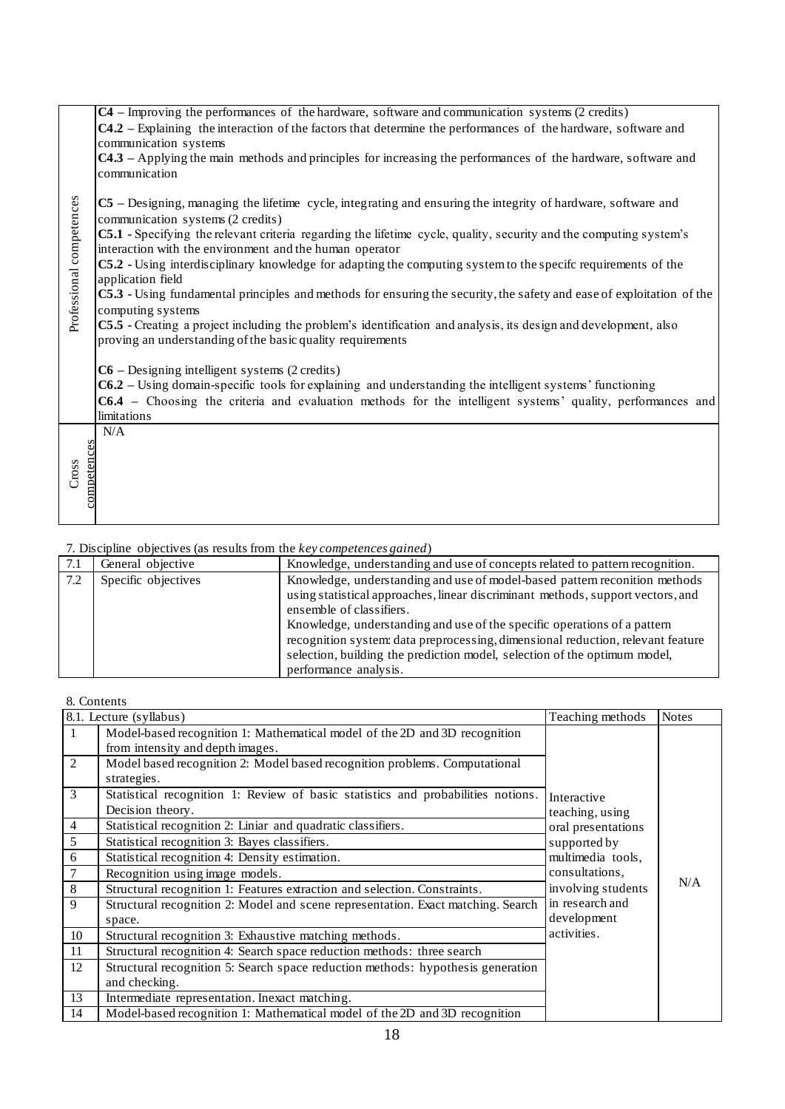|                                                                                                                                                    | communication systems                                                                                                                                                                          | C4 – Improving the performances of the hardware, software and communication systems (2 credits)<br><b>C4.2</b> – Explaining the interaction of the factors that determine the performances of the hardware, software and |                    |              |  |  |  |  |  |  |
|----------------------------------------------------------------------------------------------------------------------------------------------------|------------------------------------------------------------------------------------------------------------------------------------------------------------------------------------------------|--------------------------------------------------------------------------------------------------------------------------------------------------------------------------------------------------------------------------|--------------------|--------------|--|--|--|--|--|--|
|                                                                                                                                                    | communication                                                                                                                                                                                  | C4.3 - Applying the main methods and principles for increasing the performances of the hardware, software and                                                                                                            |                    |              |  |  |  |  |  |  |
| C5 – Designing, managing the lifetime cycle, integrating and ensuring the integrity of hardware, software and<br>communication systems (2 credits) |                                                                                                                                                                                                |                                                                                                                                                                                                                          |                    |              |  |  |  |  |  |  |
| Professional competences                                                                                                                           | C5.1 - Specifying the relevant criteria regarding the lifetime cycle, quality, security and the computing system's                                                                             |                                                                                                                                                                                                                          |                    |              |  |  |  |  |  |  |
|                                                                                                                                                    | interaction with the environment and the human operator<br>C5.2 - Using interdisciplinary knowledge for adapting the computing system to the specific requirements of the<br>application field |                                                                                                                                                                                                                          |                    |              |  |  |  |  |  |  |
|                                                                                                                                                    | computing systems                                                                                                                                                                              | C5.3 - Using fundamental principles and methods for ensuring the security, the safety and ease of exploitation of the                                                                                                    |                    |              |  |  |  |  |  |  |
|                                                                                                                                                    | proving an understanding of the basic quality requirements                                                                                                                                     | C5.5 - Creating a project including the problem's identification and analysis, its design and development, also                                                                                                          |                    |              |  |  |  |  |  |  |
|                                                                                                                                                    | $C6$ – Designing intelligent systems (2 credits)                                                                                                                                               | $C6.2$ – Using domain-specific tools for explaining and understanding the intelligent systems' functioning                                                                                                               |                    |              |  |  |  |  |  |  |
|                                                                                                                                                    | limitations                                                                                                                                                                                    | C6.4 - Choosing the criteria and evaluation methods for the intelligent systems' quality, performances and                                                                                                               |                    |              |  |  |  |  |  |  |
|                                                                                                                                                    | N/A                                                                                                                                                                                            |                                                                                                                                                                                                                          |                    |              |  |  |  |  |  |  |
|                                                                                                                                                    |                                                                                                                                                                                                |                                                                                                                                                                                                                          |                    |              |  |  |  |  |  |  |
| competences<br>Cross                                                                                                                               |                                                                                                                                                                                                |                                                                                                                                                                                                                          |                    |              |  |  |  |  |  |  |
|                                                                                                                                                    |                                                                                                                                                                                                |                                                                                                                                                                                                                          |                    |              |  |  |  |  |  |  |
|                                                                                                                                                    |                                                                                                                                                                                                |                                                                                                                                                                                                                          |                    |              |  |  |  |  |  |  |
|                                                                                                                                                    |                                                                                                                                                                                                |                                                                                                                                                                                                                          |                    |              |  |  |  |  |  |  |
|                                                                                                                                                    | 7. Discipline objectives (as results from the key competences gained)                                                                                                                          |                                                                                                                                                                                                                          |                    |              |  |  |  |  |  |  |
| $\overline{7.1}$                                                                                                                                   | General objective                                                                                                                                                                              | Knowledge, understanding and use of concepts related to pattern recognition.                                                                                                                                             |                    |              |  |  |  |  |  |  |
| 7.2                                                                                                                                                | Specific objectives                                                                                                                                                                            | Knowledge, understanding and use of model-based pattern reconition methods                                                                                                                                               |                    |              |  |  |  |  |  |  |
|                                                                                                                                                    |                                                                                                                                                                                                | using statistical approaches, linear discriminant methods, support vectors, and<br>ensemble of classifiers.                                                                                                              |                    |              |  |  |  |  |  |  |
|                                                                                                                                                    |                                                                                                                                                                                                | Knowledge, understanding and use of the specific operations of a pattern                                                                                                                                                 |                    |              |  |  |  |  |  |  |
|                                                                                                                                                    |                                                                                                                                                                                                | recognition system: data preprocessing, dimensional reduction, relevant feature                                                                                                                                          |                    |              |  |  |  |  |  |  |
|                                                                                                                                                    |                                                                                                                                                                                                | selection, building the prediction model, selection of the optimum model,                                                                                                                                                |                    |              |  |  |  |  |  |  |
|                                                                                                                                                    |                                                                                                                                                                                                | performance analysis.                                                                                                                                                                                                    |                    |              |  |  |  |  |  |  |
|                                                                                                                                                    | 8. Contents                                                                                                                                                                                    |                                                                                                                                                                                                                          |                    |              |  |  |  |  |  |  |
|                                                                                                                                                    | 8.1. Lecture (syllabus)                                                                                                                                                                        |                                                                                                                                                                                                                          | Teaching methods   | <b>Notes</b> |  |  |  |  |  |  |
| 1                                                                                                                                                  |                                                                                                                                                                                                | Model-based recognition 1: Mathematical model of the 2D and 3D recognition                                                                                                                                               |                    |              |  |  |  |  |  |  |
|                                                                                                                                                    | from intensity and depth images.                                                                                                                                                               |                                                                                                                                                                                                                          |                    |              |  |  |  |  |  |  |
| $\overline{2}$                                                                                                                                     | strategies.                                                                                                                                                                                    | Model based recognition 2: Model based recognition problems. Computational                                                                                                                                               |                    |              |  |  |  |  |  |  |
| $\mathfrak{Z}$                                                                                                                                     |                                                                                                                                                                                                | Statistical recognition 1: Review of basic statistics and probabilities notions.                                                                                                                                         | Interactive        |              |  |  |  |  |  |  |
|                                                                                                                                                    | Decision theory.                                                                                                                                                                               |                                                                                                                                                                                                                          | teaching, using    |              |  |  |  |  |  |  |
| $\overline{4}$                                                                                                                                     | Statistical recognition 2: Liniar and quadratic classifiers.                                                                                                                                   |                                                                                                                                                                                                                          | oral presentations |              |  |  |  |  |  |  |
| 5                                                                                                                                                  | Statistical recognition 3: Bayes classifiers.                                                                                                                                                  |                                                                                                                                                                                                                          | supported by       |              |  |  |  |  |  |  |
| 6                                                                                                                                                  | Statistical recognition 4: Density estimation.                                                                                                                                                 |                                                                                                                                                                                                                          | multimedia tools,  |              |  |  |  |  |  |  |
| $\tau$<br>$\,8\,$                                                                                                                                  | Recognition using image models.                                                                                                                                                                | consultations,<br>involving students                                                                                                                                                                                     | N/A                |              |  |  |  |  |  |  |
| 9                                                                                                                                                  |                                                                                                                                                                                                | Structural recognition 1: Features extraction and selection. Constraints.<br>Structural recognition 2: Model and scene representation. Exact matching. Search                                                            | in research and    |              |  |  |  |  |  |  |
|                                                                                                                                                    | space.                                                                                                                                                                                         |                                                                                                                                                                                                                          | development        |              |  |  |  |  |  |  |
| 10                                                                                                                                                 | Structural recognition 3: Exhaustive matching methods.                                                                                                                                         |                                                                                                                                                                                                                          | activities.        |              |  |  |  |  |  |  |
| $11\,$                                                                                                                                             |                                                                                                                                                                                                | Structural recognition 4: Search space reduction methods: three search                                                                                                                                                   |                    |              |  |  |  |  |  |  |
| 12                                                                                                                                                 | and checking.                                                                                                                                                                                  | Structural recognition 5: Search space reduction methods: hypothesis generation                                                                                                                                          |                    |              |  |  |  |  |  |  |
| 13                                                                                                                                                 | Intermediate representation. Inexact matching.                                                                                                                                                 |                                                                                                                                                                                                                          |                    |              |  |  |  |  |  |  |
| 14                                                                                                                                                 |                                                                                                                                                                                                | Model-based recognition 1: Mathematical model of the 2D and 3D recognition                                                                                                                                               |                    |              |  |  |  |  |  |  |

| 7.1 | General objective   | Knowledge, understanding and use of concepts related to pattern recognition.                                                                                                                                                                                                                                                                                                                                                                                   |
|-----|---------------------|----------------------------------------------------------------------------------------------------------------------------------------------------------------------------------------------------------------------------------------------------------------------------------------------------------------------------------------------------------------------------------------------------------------------------------------------------------------|
| 7.2 | Specific objectives | Knowledge, understanding and use of model-based pattern reconition methods<br>using statistical approaches, linear discriminant methods, support vectors, and<br>ensemble of classifiers.<br>Knowledge, understanding and use of the specific operations of a pattern<br>recognition system: data preprocessing, dimensional reduction, relevant feature<br>selection, building the prediction model, selection of the optimum model,<br>performance analysis. |

|                | 8.1. Lecture (syllabus)                                                          | Teaching methods                                                          | <b>Notes</b> |
|----------------|----------------------------------------------------------------------------------|---------------------------------------------------------------------------|--------------|
| 1              | Model-based recognition 1: Mathematical model of the 2D and 3D recognition       |                                                                           |              |
|                | from intensity and depth images.                                                 |                                                                           |              |
| 2              | Model based recognition 2: Model based recognition problems. Computational       |                                                                           |              |
|                | strategies.                                                                      |                                                                           |              |
| 3              | Statistical recognition 1: Review of basic statistics and probabilities notions. | Interactive                                                               |              |
|                | Decision theory.                                                                 | teaching, using                                                           |              |
| $\overline{4}$ | Statistical recognition 2: Liniar and quadratic classifiers.                     | oral presentations                                                        |              |
| 5              | Statistical recognition 3: Bayes classifiers.                                    | supported by<br>multimedia tools,<br>consultations,<br>involving students |              |
| 6              | Statistical recognition 4: Density estimation.                                   |                                                                           | N/A          |
|                | Recognition using image models.                                                  |                                                                           |              |
| 8              | Structural recognition 1: Features extraction and selection. Constraints.        |                                                                           |              |
| 9              | Structural recognition 2: Model and scene representation. Exact matching. Search | in research and                                                           |              |
|                | space.                                                                           | development                                                               |              |
| 10             | Structural recognition 3: Exhaustive matching methods.                           | activities.                                                               |              |
| 11             | Structural recognition 4: Search space reduction methods: three search           |                                                                           |              |
| 12             | Structural recognition 5: Search space reduction methods: hypothesis generation  |                                                                           |              |
|                | and checking.                                                                    |                                                                           |              |
| 13             | Intermediate representation. Inexact matching.                                   |                                                                           |              |
| 14             | Model-based recognition 1: Mathematical model of the 2D and 3D recognition       |                                                                           |              |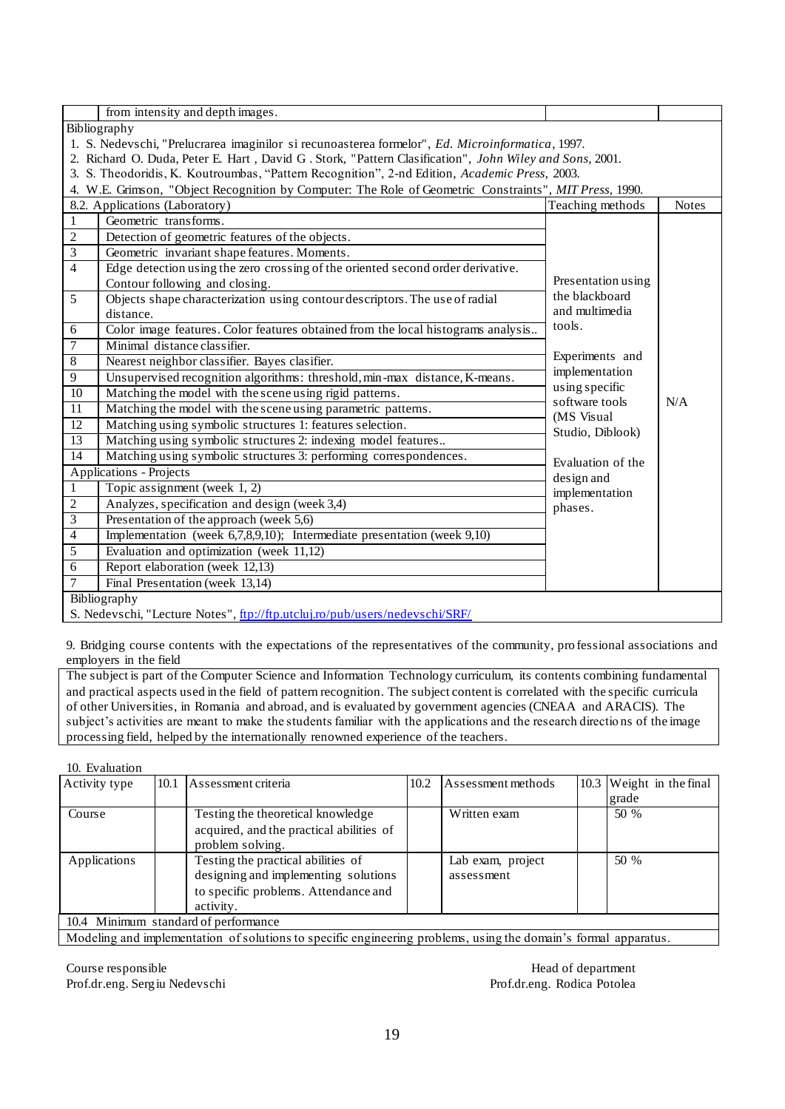|                 | from intensity and depth images.                                                                                                                                                                                                                                                                            |                                                                       |              |  |  |  |  |
|-----------------|-------------------------------------------------------------------------------------------------------------------------------------------------------------------------------------------------------------------------------------------------------------------------------------------------------------|-----------------------------------------------------------------------|--------------|--|--|--|--|
|                 | Bibliography                                                                                                                                                                                                                                                                                                |                                                                       |              |  |  |  |  |
|                 | 1. S. Nedevschi, "Prelucrarea imaginilor si recunoasterea formelor", Ed. Microinformatica, 1997.<br>2. Richard O. Duda, Peter E. Hart, David G. Stork, "Pattern Clasification", John Wiley and Sons, 2001.<br>3. S. Theodoridis, K. Koutroumbas, "Pattern Recognition", 2-nd Edition, Academic Press, 2003. |                                                                       |              |  |  |  |  |
|                 | 4. W.E. Grimson, "Object Recognition by Computer: The Role of Geometric Constraints", MIT Press, 1990.                                                                                                                                                                                                      |                                                                       |              |  |  |  |  |
|                 | 8.2. Applications (Laboratory)<br>Geometric transforms.                                                                                                                                                                                                                                                     | Teaching methods                                                      | <b>Notes</b> |  |  |  |  |
| $\mathbf{1}$    |                                                                                                                                                                                                                                                                                                             |                                                                       |              |  |  |  |  |
| $\overline{c}$  | Detection of geometric features of the objects.                                                                                                                                                                                                                                                             |                                                                       |              |  |  |  |  |
| $\overline{3}$  | Geometric invariant shape features. Moments.                                                                                                                                                                                                                                                                |                                                                       |              |  |  |  |  |
| $\overline{4}$  | Edge detection using the zero crossing of the oriented second order derivative.<br>Contour following and closing.                                                                                                                                                                                           | Presentation using                                                    |              |  |  |  |  |
| 5               | Objects shape characterization using contour descriptors. The use of radial<br>distance.                                                                                                                                                                                                                    | the blackboard<br>and multimedia                                      |              |  |  |  |  |
| 6               | Color image features. Color features obtained from the local histograms analysis                                                                                                                                                                                                                            | tools.                                                                |              |  |  |  |  |
| $\tau$          | Minimal distance classifier.                                                                                                                                                                                                                                                                                | Experiments and<br>implementation<br>using specific<br>software tools |              |  |  |  |  |
| $\overline{8}$  | Nearest neighbor classifier. Bayes clasifier.                                                                                                                                                                                                                                                               |                                                                       |              |  |  |  |  |
| 9               | Unsupervised recognition algorithms: threshold, min-max distance, K-means.                                                                                                                                                                                                                                  |                                                                       |              |  |  |  |  |
| $\overline{10}$ | Matching the model with the scene using rigid patterns.                                                                                                                                                                                                                                                     |                                                                       |              |  |  |  |  |
| $\overline{11}$ | Matching the model with the scene using parametric patterns.                                                                                                                                                                                                                                                |                                                                       | N/A          |  |  |  |  |
| $\overline{12}$ | Matching using symbolic structures 1: features selection.                                                                                                                                                                                                                                                   | (MS Visual                                                            |              |  |  |  |  |
| $\overline{13}$ | Matching using symbolic structures 2: indexing model features                                                                                                                                                                                                                                               | Studio, Diblook)                                                      |              |  |  |  |  |
| 14              | Matching using symbolic structures 3: performing correspondences.                                                                                                                                                                                                                                           | Evaluation of the                                                     |              |  |  |  |  |
|                 | <b>Applications - Projects</b>                                                                                                                                                                                                                                                                              | design and                                                            |              |  |  |  |  |
| 1               | Topic assignment (week 1, 2)                                                                                                                                                                                                                                                                                | implementation                                                        |              |  |  |  |  |
| $\overline{2}$  | Analyzes, specification and design (week 3,4)                                                                                                                                                                                                                                                               | phases.                                                               |              |  |  |  |  |
| $\overline{3}$  | Presentation of the approach (week 5,6)                                                                                                                                                                                                                                                                     |                                                                       |              |  |  |  |  |
| $\overline{4}$  | Implementation (week 6,7,8,9,10); Intermediate presentation (week 9,10)                                                                                                                                                                                                                                     |                                                                       |              |  |  |  |  |
| 5               | Evaluation and optimization (week 11,12)                                                                                                                                                                                                                                                                    |                                                                       |              |  |  |  |  |
| 6               | Report elaboration (week 12,13)                                                                                                                                                                                                                                                                             |                                                                       |              |  |  |  |  |
| 7               | Final Presentation (week 13,14)                                                                                                                                                                                                                                                                             |                                                                       |              |  |  |  |  |
|                 | Bibliography                                                                                                                                                                                                                                                                                                |                                                                       |              |  |  |  |  |
|                 | S. Nedevschi, "Lecture Notes", ftp://ftp.utcluj.ro/pub/users/nedevschi/SRF/                                                                                                                                                                                                                                 |                                                                       |              |  |  |  |  |

9. Bridging course contents with the expectations of the representatives of the community, pro fessional associations and employers in the field

The subject is part of the Computer Science and Information Technology curriculum, its contents combining fundamental and practical aspects used in the field of pattern recognition. The subject content is correlated with the specific curricula of other Universities, in Romania and abroad, and is evaluated by government agencies (CNEAA and ARACIS). The subject's activities are meant to make the students familiar with the applications and the research directio ns of the image processing field, helped by the internationally renowned experience of the teachers.

10. Evaluation

| Activity type | 10.1 | Assessment criteria                      | 10.2 | Assessment methods | 10.3 Weight in the final |
|---------------|------|------------------------------------------|------|--------------------|--------------------------|
|               |      |                                          |      |                    | grade                    |
| Course        |      | Testing the theoretical knowledge        |      | Written exam       | 50 %                     |
|               |      | acquired, and the practical abilities of |      |                    |                          |
|               |      | problem solving.                         |      |                    |                          |
| Applications  |      | Testing the practical abilities of       |      | Lab exam, project  | $50\%$                   |
|               |      | designing and implementing solutions     |      | assessment         |                          |
|               |      | to specific problems. Attendance and     |      |                    |                          |
|               |      | activity.                                |      |                    |                          |
|               |      | 10.4 Minimum standard of performance     |      |                    |                          |

Modeling and implementation of solutions to specific engineering problems, using the domain's formal apparatus.

Course responsible **Head of department** Prof.dr.eng. Sergiu Nedevschi Prof.dr.eng. Rodica Potolea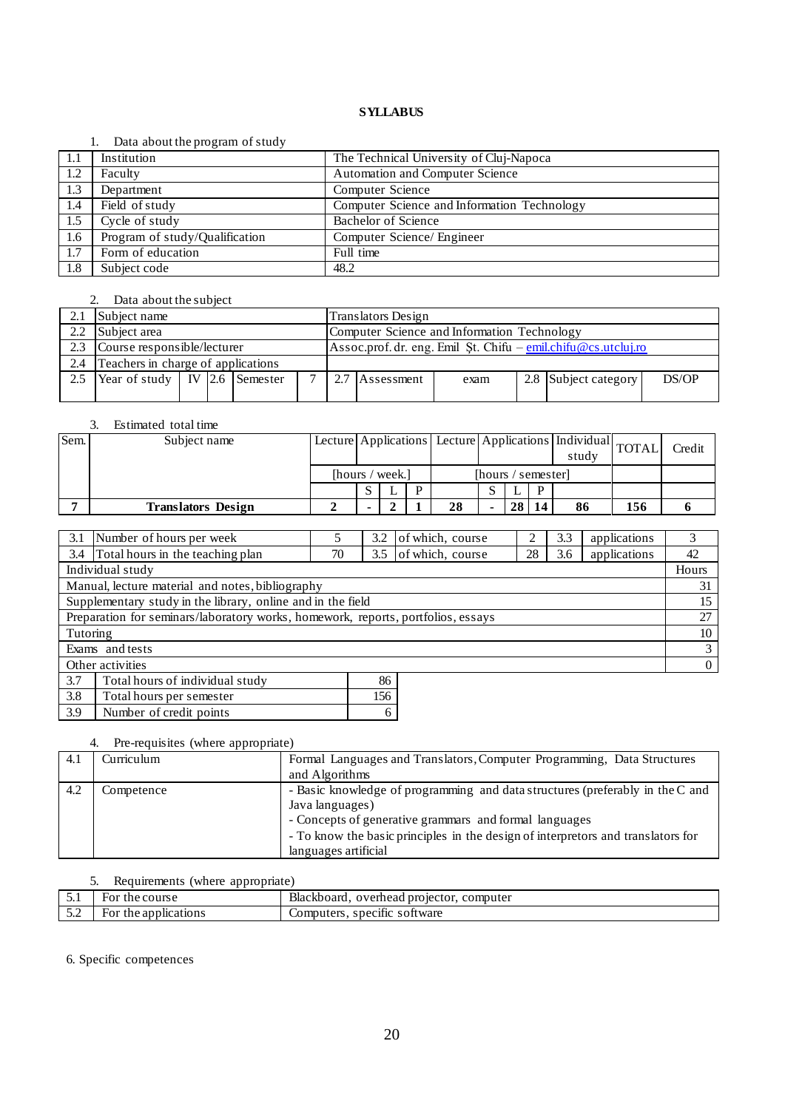### 1. Data about the program of study

|      | $\sim$ and about the program of beau |                                             |
|------|--------------------------------------|---------------------------------------------|
| -1.1 | Institution                          | The Technical University of Cluj-Napoca     |
| 1.2  | Faculty                              | Automation and Computer Science             |
| 1.3  | Department                           | Computer Science                            |
| 1.4  | Field of study                       | Computer Science and Information Technology |
| 1.5  | Cycle of study                       | Bachelor of Science                         |
| 1.6  | Program of study/Qualification       | Computer Science/ Engineer                  |
| 1.7  | Form of education                    | Full time                                   |
| 1.8  | Subject code                         | 48.2                                        |

### 2. Data about the subject

|     | Subject name                            |  |  |  |              |                                             | Translators Design                                                                                                   |      |  |                      |       |  |  |  |
|-----|-----------------------------------------|--|--|--|--------------|---------------------------------------------|----------------------------------------------------------------------------------------------------------------------|------|--|----------------------|-------|--|--|--|
| 2.2 | Subject area                            |  |  |  |              | Computer Science and Information Technology |                                                                                                                      |      |  |                      |       |  |  |  |
|     | Course responsible/lecturer             |  |  |  |              |                                             | Assoc.prof. dr. eng. Emil St. Chifu $-\frac{\text{emil.} \text{chifu} \omega_{\text{CS.}} utcluj. ro}{\text{cmil.}}$ |      |  |                      |       |  |  |  |
| 2.4 | Teachers in charge of applications      |  |  |  |              |                                             |                                                                                                                      |      |  |                      |       |  |  |  |
| 2.5 | Year of study   IV $\vert$ 2.6 Semester |  |  |  | $\mathbf{r}$ |                                             | 2.7 Assessment                                                                                                       | exam |  | 2.8 Subject category | DS/OP |  |  |  |
|     |                                         |  |  |  |              |                                             |                                                                                                                      |      |  |                      |       |  |  |  |

### 3. Estimated total time

| Sem. | Subject name              | Lecture Applications Lecture Applications   Individual TOTAL |  |                    |    |  |                 | study |    | Credit |  |
|------|---------------------------|--------------------------------------------------------------|--|--------------------|----|--|-----------------|-------|----|--------|--|
|      |                           | [hours / week.]                                              |  | [hours / semester] |    |  |                 |       |    |        |  |
|      |                           |                                                              |  |                    |    |  |                 |       |    |        |  |
|      | <b>Translators Design</b> |                                                              |  |                    | 28 |  | 28 <sub>1</sub> |       | 86 | 156    |  |

| 3.1                                                                              | Number of hours per week                                    |                  | 3.2 | of which, course |              | 3.3 | applications | 3              |  |  |
|----------------------------------------------------------------------------------|-------------------------------------------------------------|------------------|-----|------------------|--------------|-----|--------------|----------------|--|--|
| 3.4                                                                              | Total hours in the teaching plan                            | of which, course | 28  | 3.6              | applications | 42  |              |                |  |  |
|                                                                                  | Individual study                                            |                  |     |                  |              |     |              | Hours          |  |  |
|                                                                                  | Manual, lecture material and notes, bibliography            |                  |     |                  |              |     |              | 31             |  |  |
|                                                                                  | Supplementary study in the library, online and in the field |                  |     |                  |              |     |              | 15             |  |  |
| Preparation for seminars/laboratory works, homework, reports, portfolios, essays |                                                             |                  |     |                  |              |     | 27           |                |  |  |
| Tutoring                                                                         |                                                             |                  |     |                  |              |     |              | 10             |  |  |
|                                                                                  | Exams and tests                                             |                  |     |                  |              |     |              | 3              |  |  |
|                                                                                  | Other activities                                            |                  |     |                  |              |     |              | $\overline{0}$ |  |  |
| 3.7                                                                              | Total hours of individual study                             |                  | 86  |                  |              |     |              |                |  |  |
| 3.8                                                                              | 156<br>Total hours per semester                             |                  |     |                  |              |     |              |                |  |  |

### 4. Pre-requisites (where appropriate)

3.9 Number of credit points 6

| 4.1 | Curriculum | Formal Languages and Translators, Computer Programming, Data Structures          |
|-----|------------|----------------------------------------------------------------------------------|
|     |            | and Algorithms                                                                   |
| 4.2 | Competence | - Basic knowledge of programming and data structures (preferably in the C and    |
|     |            | Java languages)                                                                  |
|     |            | - Concepts of generative grammars and formal languages                           |
|     |            | - To know the basic principles in the design of interpretors and translators for |
|     |            | languages artificial                                                             |

# 5. Requirements (where appropriate)

| 51<br>ه .  | course<br>the<br>$F_{O1}$ | Blackboard.<br>I projector.<br>computer<br>overhead |
|------------|---------------------------|-----------------------------------------------------|
| 50<br>رے ک | the applications "<br>FOI | software<br>omputers.<br>specific                   |
|            |                           |                                                     |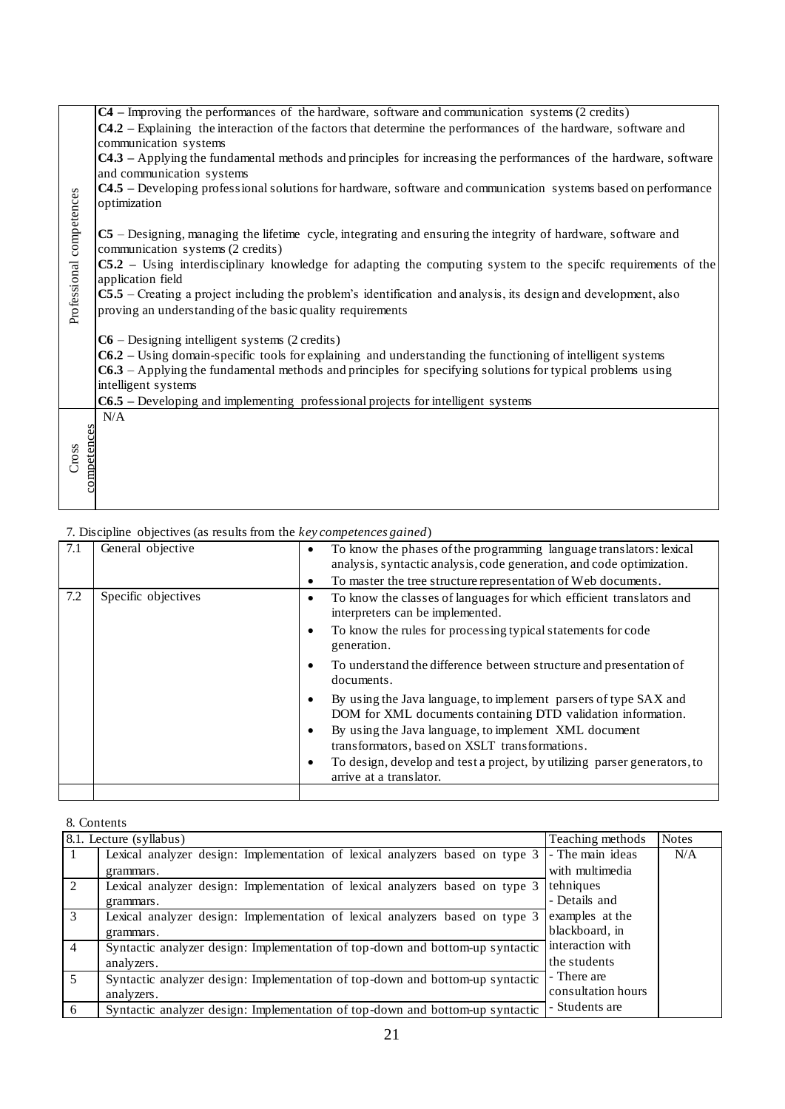|                          | C4 – Improving the performances of the hardware, software and communication systems (2 credits)                       |                                                                                                                         |                                    |              |  |  |  |  |  |  |  |  |
|--------------------------|-----------------------------------------------------------------------------------------------------------------------|-------------------------------------------------------------------------------------------------------------------------|------------------------------------|--------------|--|--|--|--|--|--|--|--|
|                          | <b>C4.2</b> – Explaining the interaction of the factors that determine the performances of the hardware, software and |                                                                                                                         |                                    |              |  |  |  |  |  |  |  |  |
|                          | communication systems                                                                                                 |                                                                                                                         |                                    |              |  |  |  |  |  |  |  |  |
|                          |                                                                                                                       | <b>C4.3</b> – Applying the fundamental methods and principles for increasing the performances of the hardware, software |                                    |              |  |  |  |  |  |  |  |  |
|                          | and communication systems                                                                                             |                                                                                                                         |                                    |              |  |  |  |  |  |  |  |  |
|                          |                                                                                                                       | C4.5 – Developing professional solutions for hardware, software and communication systems based on performance          |                                    |              |  |  |  |  |  |  |  |  |
|                          | optimization                                                                                                          |                                                                                                                         |                                    |              |  |  |  |  |  |  |  |  |
|                          |                                                                                                                       |                                                                                                                         |                                    |              |  |  |  |  |  |  |  |  |
|                          | C5 – Designing, managing the lifetime cycle, integrating and ensuring the integrity of hardware, software and         |                                                                                                                         |                                    |              |  |  |  |  |  |  |  |  |
|                          | communication systems (2 credits)                                                                                     |                                                                                                                         |                                    |              |  |  |  |  |  |  |  |  |
|                          |                                                                                                                       | C5.2 – Using interdisciplinary knowledge for adapting the computing system to the specific requirements of the          |                                    |              |  |  |  |  |  |  |  |  |
|                          | application field                                                                                                     |                                                                                                                         |                                    |              |  |  |  |  |  |  |  |  |
|                          |                                                                                                                       | C5.5 - Creating a project including the problem's identification and analysis, its design and development, also         |                                    |              |  |  |  |  |  |  |  |  |
| Professional competences | proving an understanding of the basic quality requirements                                                            |                                                                                                                         |                                    |              |  |  |  |  |  |  |  |  |
|                          |                                                                                                                       |                                                                                                                         |                                    |              |  |  |  |  |  |  |  |  |
|                          | $C6$ – Designing intelligent systems (2 credits)                                                                      |                                                                                                                         |                                    |              |  |  |  |  |  |  |  |  |
|                          |                                                                                                                       | C6.2 - Using domain-specific tools for explaining and understanding the functioning of intelligent systems              |                                    |              |  |  |  |  |  |  |  |  |
|                          |                                                                                                                       | $C6.3$ – Applying the fundamental methods and principles for specifying solutions for typical problems using            |                                    |              |  |  |  |  |  |  |  |  |
|                          | intelligent systems                                                                                                   |                                                                                                                         |                                    |              |  |  |  |  |  |  |  |  |
|                          |                                                                                                                       | C6.5 - Developing and implementing professional projects for intelligent systems                                        |                                    |              |  |  |  |  |  |  |  |  |
|                          | N/A                                                                                                                   |                                                                                                                         |                                    |              |  |  |  |  |  |  |  |  |
| competences              |                                                                                                                       |                                                                                                                         |                                    |              |  |  |  |  |  |  |  |  |
| Cross                    |                                                                                                                       |                                                                                                                         |                                    |              |  |  |  |  |  |  |  |  |
|                          |                                                                                                                       |                                                                                                                         |                                    |              |  |  |  |  |  |  |  |  |
|                          |                                                                                                                       |                                                                                                                         |                                    |              |  |  |  |  |  |  |  |  |
|                          |                                                                                                                       |                                                                                                                         |                                    |              |  |  |  |  |  |  |  |  |
|                          |                                                                                                                       |                                                                                                                         |                                    |              |  |  |  |  |  |  |  |  |
|                          | 7. Discipline objectives (as results from the key competences gained)                                                 |                                                                                                                         |                                    |              |  |  |  |  |  |  |  |  |
| $\overline{7.1}$         | General objective                                                                                                     | To know the phases of the programming language translators: lexical<br>$\bullet$                                        |                                    |              |  |  |  |  |  |  |  |  |
|                          |                                                                                                                       | analysis, syntactic analysis, code generation, and code optimization.                                                   |                                    |              |  |  |  |  |  |  |  |  |
|                          |                                                                                                                       | To master the tree structure representation of Web documents.<br>$\bullet$                                              |                                    |              |  |  |  |  |  |  |  |  |
| 7.2                      | Specific objectives                                                                                                   | To know the classes of languages for which efficient translators and<br>$\bullet$                                       |                                    |              |  |  |  |  |  |  |  |  |
|                          |                                                                                                                       | interpreters can be implemented.                                                                                        |                                    |              |  |  |  |  |  |  |  |  |
|                          |                                                                                                                       | To know the rules for processing typical statements for code<br>$\bullet$                                               |                                    |              |  |  |  |  |  |  |  |  |
|                          |                                                                                                                       | generation.                                                                                                             |                                    |              |  |  |  |  |  |  |  |  |
|                          |                                                                                                                       | To understand the difference between structure and presentation of<br>$\bullet$                                         |                                    |              |  |  |  |  |  |  |  |  |
|                          |                                                                                                                       | documents.                                                                                                              |                                    |              |  |  |  |  |  |  |  |  |
|                          |                                                                                                                       | By using the Java language, to implement parsers of type SAX and<br>$\bullet$                                           |                                    |              |  |  |  |  |  |  |  |  |
|                          |                                                                                                                       | DOM for XML documents containing DTD validation information.                                                            |                                    |              |  |  |  |  |  |  |  |  |
|                          |                                                                                                                       | By using the Java language, to implement XML document<br>$\bullet$                                                      |                                    |              |  |  |  |  |  |  |  |  |
|                          |                                                                                                                       | transformators, based on XSLT transformations.                                                                          |                                    |              |  |  |  |  |  |  |  |  |
|                          |                                                                                                                       | To design, develop and test a project, by utilizing parser generators, to<br>$\bullet$                                  |                                    |              |  |  |  |  |  |  |  |  |
|                          |                                                                                                                       | arrive at a translator.                                                                                                 |                                    |              |  |  |  |  |  |  |  |  |
|                          |                                                                                                                       |                                                                                                                         |                                    |              |  |  |  |  |  |  |  |  |
|                          |                                                                                                                       |                                                                                                                         |                                    |              |  |  |  |  |  |  |  |  |
|                          | 8. Contents                                                                                                           |                                                                                                                         |                                    |              |  |  |  |  |  |  |  |  |
|                          | 8.1. Lecture (syllabus)                                                                                               |                                                                                                                         | Teaching methods                   | <b>Notes</b> |  |  |  |  |  |  |  |  |
| 1                        |                                                                                                                       | Lexical analyzer design: Implementation of lexical analyzers based on type 3                                            | - The main ideas                   | N/A          |  |  |  |  |  |  |  |  |
|                          | grammars.                                                                                                             |                                                                                                                         | with multimedia                    |              |  |  |  |  |  |  |  |  |
| 2                        |                                                                                                                       | Lexical analyzer design: Implementation of lexical analyzers based on type 3                                            | tehniques                          |              |  |  |  |  |  |  |  |  |
|                          | grammars.                                                                                                             |                                                                                                                         | - Details and                      |              |  |  |  |  |  |  |  |  |
| $\mathfrak{Z}$           |                                                                                                                       | Lexical analyzer design: Implementation of lexical analyzers based on type 3                                            | examples at the                    |              |  |  |  |  |  |  |  |  |
|                          | grammars.                                                                                                             |                                                                                                                         | blackboard, in<br>interaction with |              |  |  |  |  |  |  |  |  |
| $\overline{4}$           |                                                                                                                       | Syntactic analyzer design: Implementation of top-down and bottom-up syntactic                                           | the students                       |              |  |  |  |  |  |  |  |  |
|                          | analyzers.                                                                                                            |                                                                                                                         | - There are                        |              |  |  |  |  |  |  |  |  |
| 5                        |                                                                                                                       | Syntactic analyzer design: Implementation of top-down and bottom-up syntactic                                           | consultation hours                 |              |  |  |  |  |  |  |  |  |
|                          | analyzers.                                                                                                            | Syntactic analyzer design: Implementation of top-down and bottom-up syntactic                                           | - Students are                     |              |  |  |  |  |  |  |  |  |
| $\sqrt{6}$               |                                                                                                                       |                                                                                                                         |                                    |              |  |  |  |  |  |  |  |  |

| 7.1 | General objective   | To know the phases of the programming language translators: lexical<br>$\bullet$<br>analysis, syntactic analysis, code generation, and code optimization.                                                                                                                                                                                                                          |
|-----|---------------------|------------------------------------------------------------------------------------------------------------------------------------------------------------------------------------------------------------------------------------------------------------------------------------------------------------------------------------------------------------------------------------|
|     |                     | To master the tree structure representation of Web documents.<br>$\bullet$                                                                                                                                                                                                                                                                                                         |
| 7.2 | Specific objectives | To know the classes of languages for which efficient translators and<br>٠<br>interpreters can be implemented.                                                                                                                                                                                                                                                                      |
|     |                     | To know the rules for processing typical statements for code<br>$\bullet$<br>generation.                                                                                                                                                                                                                                                                                           |
|     |                     | To understand the difference between structure and presentation of<br>$\bullet$<br>documents.                                                                                                                                                                                                                                                                                      |
|     |                     | By using the Java language, to implement parsers of type SAX and<br>٠<br>DOM for XML documents containing DTD validation information.<br>By using the Java language, to implement XML document<br>$\bullet$<br>transformators, based on XSLT transformations.<br>To design, develop and test a project, by utilizing parser generators, to<br>$\bullet$<br>arrive at a translator. |
|     |                     |                                                                                                                                                                                                                                                                                                                                                                                    |

|                | 8.1. Lecture (syllabus)                                                       | Teaching methods   | <b>Notes</b> |
|----------------|-------------------------------------------------------------------------------|--------------------|--------------|
|                | Lexical analyzer design: Implementation of lexical analyzers based on type 3  | - The main ideas   | N/A          |
|                | grammars.                                                                     | with multimedia    |              |
| 2              | Lexical analyzer design: Implementation of lexical analyzers based on type 3  | tehniques          |              |
|                | grammars.                                                                     | - Details and      |              |
| 3              | Lexical analyzer design: Implementation of lexical analyzers based on type 3  | examples at the    |              |
|                | grammars.                                                                     | blackboard, in     |              |
| $\overline{4}$ | Syntactic analyzer design: Implementation of top-down and bottom-up syntactic | interaction with   |              |
|                | analyzers.                                                                    | the students       |              |
| 5              | Syntactic analyzer design: Implementation of top-down and bottom-up syntactic | - There are        |              |
|                | analyzers.                                                                    | consultation hours |              |
| 6              | Syntactic analyzer design: Implementation of top-down and bottom-up syntactic | - Students are     |              |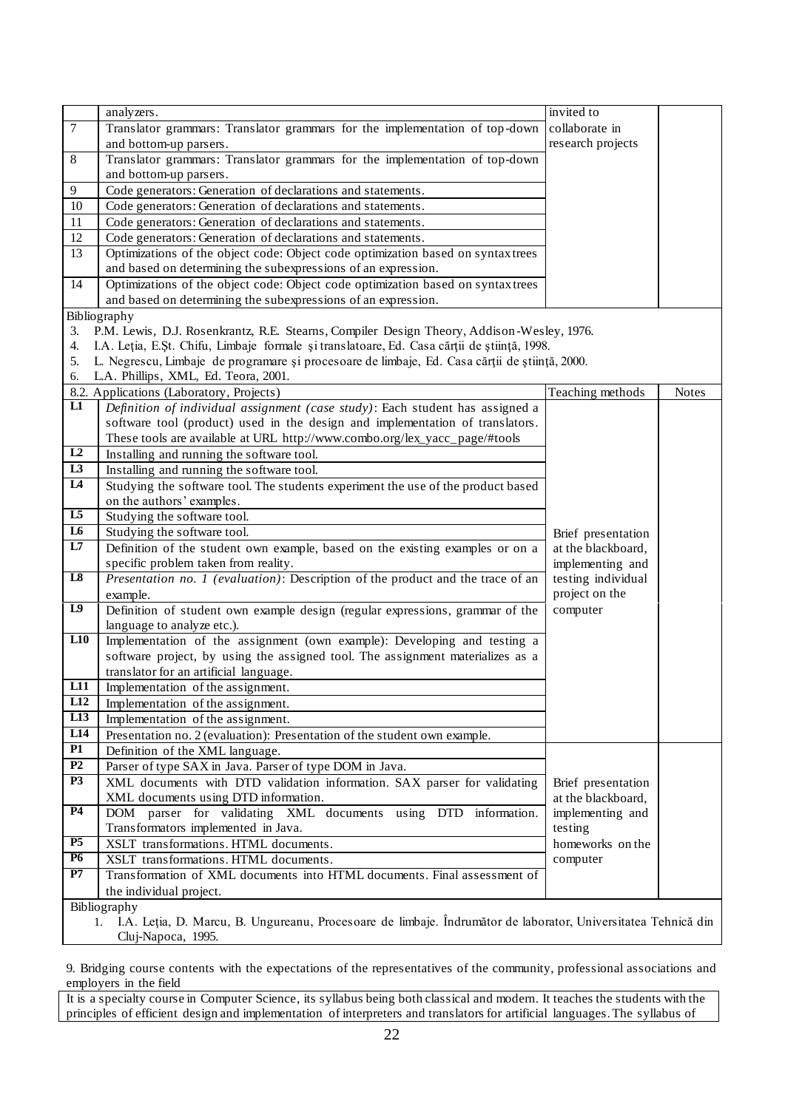|                 | analyzers.                                                                                                       | invited to         |              |
|-----------------|------------------------------------------------------------------------------------------------------------------|--------------------|--------------|
| $\overline{7}$  | Translator grammars: Translator grammars for the implementation of top-down                                      | collaborate in     |              |
|                 | and bottom-up parsers.                                                                                           | research projects  |              |
| $\,8\,$         | Translator grammars: Translator grammars for the implementation of top-down                                      |                    |              |
|                 | and bottom-up parsers.                                                                                           |                    |              |
| 9               | Code generators: Generation of declarations and statements.                                                      |                    |              |
| 10              | Code generators: Generation of declarations and statements.                                                      |                    |              |
| 11              | Code generators: Generation of declarations and statements.                                                      |                    |              |
| $12\,$          | Code generators: Generation of declarations and statements.                                                      |                    |              |
| 13              | Optimizations of the object code: Object code optimization based on syntax trees                                 |                    |              |
|                 | and based on determining the subexpressions of an expression.                                                    |                    |              |
| 14              | Optimizations of the object code: Object code optimization based on syntax trees                                 |                    |              |
|                 | and based on determining the subexpressions of an expression.                                                    |                    |              |
|                 | Bibliography                                                                                                     |                    |              |
| 3.              | P.M. Lewis, D.J. Rosenkrantz, R.E. Stearns, Compiler Design Theory, Addison-Wesley, 1976.                        |                    |              |
| 4.              | I.A. Leția, E.Șt. Chifu, Limbaje formale și translatoare, Ed. Casa cărții de știință, 1998.                      |                    |              |
| 5.              | L. Negrescu, Limbaje de programare și procesoare de limbaje, Ed. Casa cărții de știință, 2000.                   |                    |              |
| 6.              | L.A. Phillips, XML, Ed. Teora, 2001.                                                                             |                    |              |
|                 | 8.2. Applications (Laboratory, Projects)                                                                         | Teaching methods   | <b>Notes</b> |
| L1              | Definition of individual assignment (case study): Each student has assigned a                                    |                    |              |
|                 | software tool (product) used in the design and implementation of translators.                                    |                    |              |
|                 | These tools are available at URL http://www.combo.org/lex_yacc_page/#tools                                       |                    |              |
| L2              | Installing and running the software tool.                                                                        |                    |              |
| L3              | Installing and running the software tool.                                                                        |                    |              |
| $\overline{L}$  | Studying the software tool. The students experiment the use of the product based                                 |                    |              |
|                 | on the authors' examples.                                                                                        |                    |              |
| $\overline{15}$ | Studying the software tool.                                                                                      |                    |              |
| $\overline{16}$ | Studying the software tool.                                                                                      | Brief presentation |              |
| L7              | Definition of the student own example, based on the existing examples or on a                                    | at the blackboard, |              |
|                 | specific problem taken from reality.                                                                             | implementing and   |              |
| L8              | Presentation no. $1$ (evaluation): Description of the product and the trace of an                                | testing individual |              |
|                 | example.                                                                                                         | project on the     |              |
| $\overline{L9}$ | Definition of student own example design (regular expressions, grammar of the                                    | computer           |              |
|                 | language to analyze etc.).                                                                                       |                    |              |
| L10             | Implementation of the assignment (own example): Developing and testing a                                         |                    |              |
|                 | software project, by using the assigned tool. The assignment materializes as a                                   |                    |              |
|                 | translator for an artificial language.                                                                           |                    |              |
| L11             | Implementation of the assignment.                                                                                |                    |              |
| L12             | Implementation of the assignment.                                                                                |                    |              |
| L13             | Implementation of the assignment.                                                                                |                    |              |
| LI4             | Presentation no. 2 (evaluation): Presentation of the student own example.                                        |                    |              |
| $\overline{P1}$ | Definition of the XML language.                                                                                  |                    |              |
| P2              | Parser of type SAX in Java. Parser of type DOM in Java.                                                          |                    |              |
| <b>P3</b>       | XML documents with DTD validation information. SAX parser for validating                                         | Brief presentation |              |
|                 | XML documents using DTD information.                                                                             | at the blackboard, |              |
| <b>P4</b>       | DOM parser for validating XML documents using DTD information.                                                   | implementing and   |              |
|                 | Transformators implemented in Java.                                                                              | testing            |              |
| P5              | XSLT transformations. HTML documents.                                                                            | homeworks on the   |              |
| <b>P6</b>       | XSLT transformations. HTML documents.                                                                            | computer           |              |
| P7              | Transformation of XML documents into HTML documents. Final assessment of                                         |                    |              |
|                 | the individual project.                                                                                          |                    |              |
|                 | Bibliography                                                                                                     |                    |              |
|                 | 1. I.A. Leția, D. Marcu, B. Ungureanu, Procesoare de limbaje. Îndrumător de laborator, Universitatea Tehnică din |                    |              |

Cluj-Napoca, 1995.

9. Bridging course contents with the expectations of the representatives of the community, professional associations and employers in the field

It is a specialty course in Computer Science, its syllabus being both classical and modern. It teaches the students with the principles of efficient design and implementation of interpreters and translators for artificial languages. The syllabus of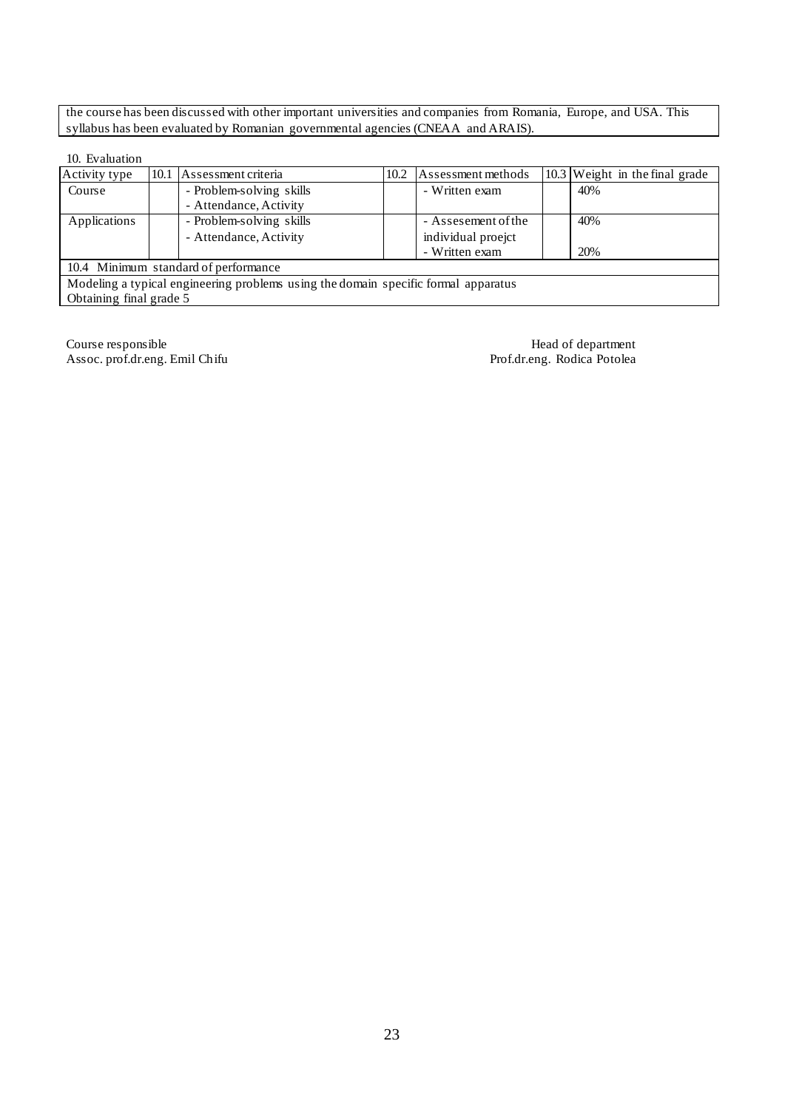the course has been discussed with other important universities and companies from Romania, Europe, and USA. This syllabus has been evaluated by Romanian governmental agencies (CNEAA and ARAIS).

### 10. Evaluation

| Activity type           |                                                                                    | 10.1 Assessment criteria             | 10.2 | Assessment methods  |  | 10.3 Weight in the final grade |  |  |  |
|-------------------------|------------------------------------------------------------------------------------|--------------------------------------|------|---------------------|--|--------------------------------|--|--|--|
| Course                  |                                                                                    | - Problem-solving skills             |      | - Written exam      |  | 40%                            |  |  |  |
|                         |                                                                                    | - Attendance, Activity               |      |                     |  |                                |  |  |  |
| Applications            |                                                                                    | - Problem-solving skills             |      | - Assesement of the |  | 40%                            |  |  |  |
|                         |                                                                                    | - Attendance, Activity               |      | individual proejct  |  |                                |  |  |  |
|                         |                                                                                    |                                      |      | - Written exam      |  | 20%                            |  |  |  |
|                         |                                                                                    | 10.4 Minimum standard of performance |      |                     |  |                                |  |  |  |
|                         | Modeling a typical engineering problems using the domain specific formal apparatus |                                      |      |                     |  |                                |  |  |  |
| Obtaining final grade 5 |                                                                                    |                                      |      |                     |  |                                |  |  |  |

Course responsible<br>
Assoc. prof.dr.eng. Emil Chifu<br>
Prof.dr.eng. Rodica Potolea Assoc. prof.dr.eng. Emil Chifu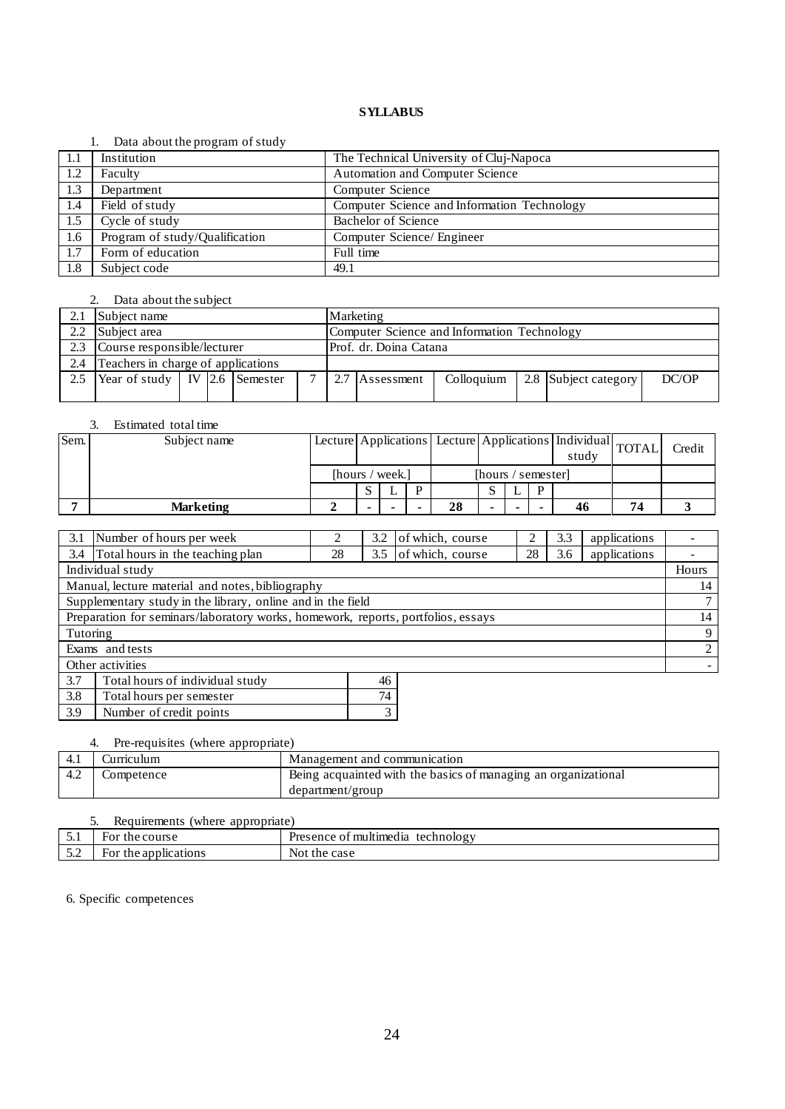### 1. Data about the program of study

| -1.1 | Institution                    | The Technical University of Cluj-Napoca     |
|------|--------------------------------|---------------------------------------------|
| 1.2  | Faculty                        | Automation and Computer Science             |
| 1.3  | Department                     | Computer Science                            |
| 1.4  | Field of study                 | Computer Science and Information Technology |
| 1.5  | Cycle of study                 | Bachelor of Science                         |
| 1.6  | Program of study/Qualification | Computer Science/ Engineer                  |
| 1.7  | Form of education              | Full time                                   |
| 1.8  | Subject code                   | 49.1                                        |

# 2. Data about the subject

|     | Subject name<br>Marketing                                   |  |  |  |              |                                                               |  |  |  |  |  |
|-----|-------------------------------------------------------------|--|--|--|--------------|---------------------------------------------------------------|--|--|--|--|--|
| 2.2 | Computer Science and Information Technology<br>Subject area |  |  |  |              |                                                               |  |  |  |  |  |
|     | Course responsible/lecturer<br>Prof. dr. Doina Catana       |  |  |  |              |                                                               |  |  |  |  |  |
| 2.4 | Teachers in charge of applications                          |  |  |  |              |                                                               |  |  |  |  |  |
| 2.5 | Year of study   IV $\vert$ 2.6 Semester                     |  |  |  | $\mathbf{r}$ | 2.7 Assessment<br>2.8 Subject category<br>DC/OP<br>Colloquium |  |  |  |  |  |
|     |                                                             |  |  |  |              |                                                               |  |  |  |  |  |

### 3. Estimated total time

| Sem. | Subject name     | Lecture Applications Lecture Applications   Individual TOTAL |  |                    |    |  |  | study |    | Credit |  |
|------|------------------|--------------------------------------------------------------|--|--------------------|----|--|--|-------|----|--------|--|
|      |                  | [hours / week.]                                              |  | [hours / semester] |    |  |  |       |    |        |  |
|      |                  |                                                              |  |                    |    |  |  | D     |    |        |  |
|      | <b>Marketing</b> |                                                              |  |                    | 28 |  |  |       | 46 | 74     |  |

| 3.1                                                                              | Number of hours per week                                                                       |  | 3.2 | of which, course | 2 | 3.3 | applications |       |  |
|----------------------------------------------------------------------------------|------------------------------------------------------------------------------------------------|--|-----|------------------|---|-----|--------------|-------|--|
| 3.4                                                                              | Total hours in the teaching plan<br>of which, course<br>applications<br>28<br>28<br>3.5<br>3.6 |  |     |                  |   |     |              |       |  |
|                                                                                  | Individual study                                                                               |  |     |                  |   |     |              | Hours |  |
|                                                                                  | Manual, lecture material and notes, bibliography                                               |  |     |                  |   |     |              | 14    |  |
|                                                                                  | Supplementary study in the library, online and in the field                                    |  |     |                  |   |     |              |       |  |
| Preparation for seminars/laboratory works, homework, reports, portfolios, essays |                                                                                                |  |     |                  |   |     | 14           |       |  |
| Tutoring                                                                         |                                                                                                |  |     |                  |   |     |              | 9     |  |
|                                                                                  | Exams and tests                                                                                |  |     |                  |   |     |              | 2     |  |
| Other activities                                                                 |                                                                                                |  |     |                  |   |     |              |       |  |
| 3.7                                                                              | Total hours of individual study                                                                |  | 46  |                  |   |     |              |       |  |
| 3.8                                                                              | Total hours per semester                                                                       |  | 74  |                  |   |     |              |       |  |

# 3.9 Number of credit points 3

# 4. Pre-requisites (where appropriate)

| urneulum   | Management and communication                                   |
|------------|----------------------------------------------------------------|
| Competence | Being acquainted with the basics of managing an organizational |
|            | department/group                                               |

| Requirements (where appropriate) |                      |                                   |  |  |  |  |  |  |
|----------------------------------|----------------------|-----------------------------------|--|--|--|--|--|--|
|                                  | For the course       | Presence of multimedia technology |  |  |  |  |  |  |
| 55<br>J.L                        | For the applications | Not the case                      |  |  |  |  |  |  |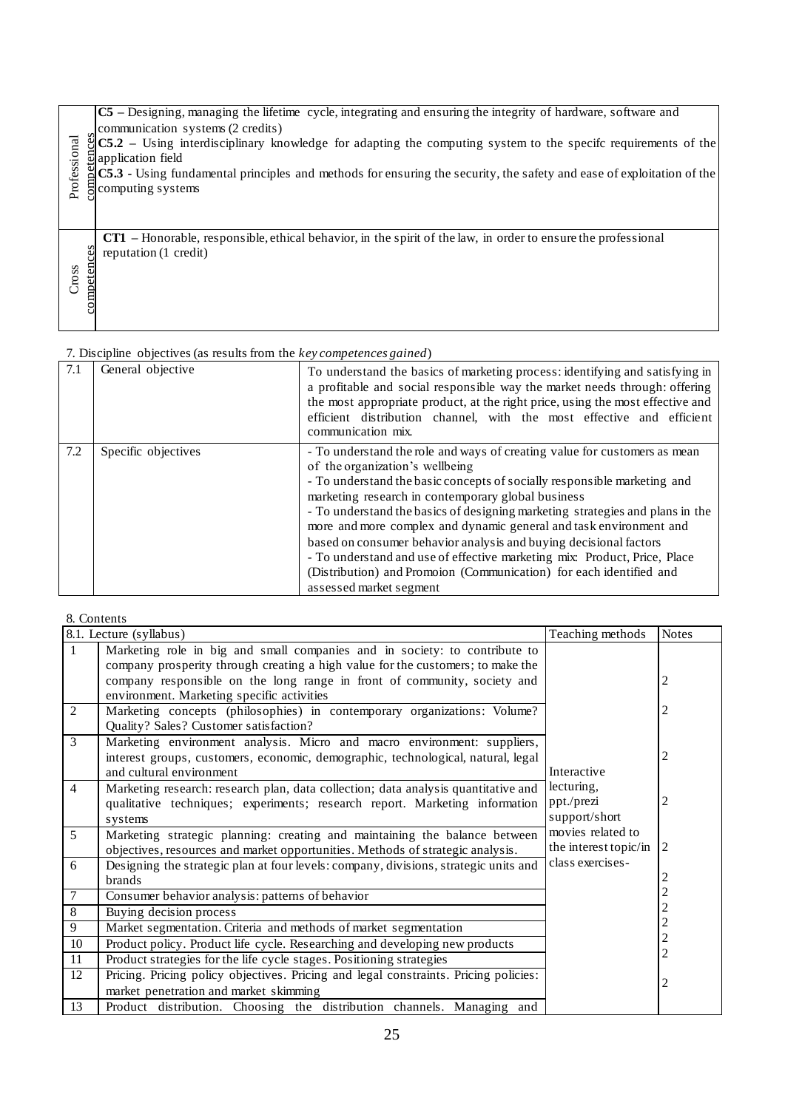|                   | C5 – Designing, managing the lifetime cycle, integrating and ensuring the integrity of hardware, software and                                   |
|-------------------|-------------------------------------------------------------------------------------------------------------------------------------------------|
|                   |                                                                                                                                                 |
|                   | communication systems (2 credits)                                                                                                               |
|                   | $\ddot{\mathcal{S}}$ C5.2 – Using interdisciplinary knowledge for adapting the computing system to the specifc requirements of the              |
|                   | $\ddot{\mathbf{a}}$ application field                                                                                                           |
|                   |                                                                                                                                                 |
|                   | $\mathbb{E}[\hat{C}\hat{S}$ .3 - Using fundamental principles and methods for ensuring the security, the safety and ease of exploitation of the |
|                   |                                                                                                                                                 |
| Professional      | computing systems                                                                                                                               |
|                   |                                                                                                                                                 |
|                   |                                                                                                                                                 |
|                   |                                                                                                                                                 |
|                   | <b>CT1</b> – Honorable, responsible, ethical behavior, in the spirit of the law, in order to ensure the professional                            |
| ces               | reputation (1 credit)                                                                                                                           |
|                   |                                                                                                                                                 |
|                   |                                                                                                                                                 |
| competen<br>Cross |                                                                                                                                                 |
|                   |                                                                                                                                                 |
|                   |                                                                                                                                                 |
|                   |                                                                                                                                                 |
|                   |                                                                                                                                                 |

| 7.1 | General objective   | To understand the basics of marketing process: identifying and satisfying in<br>a profitable and social responsible way the market needs through: offering<br>the most appropriate product, at the right price, using the most effective and<br>efficient distribution channel, with the most effective and efficient<br>communication mix.                                                                                                                                                                                                                                                                                                               |
|-----|---------------------|-----------------------------------------------------------------------------------------------------------------------------------------------------------------------------------------------------------------------------------------------------------------------------------------------------------------------------------------------------------------------------------------------------------------------------------------------------------------------------------------------------------------------------------------------------------------------------------------------------------------------------------------------------------|
| 7.2 | Specific objectives | - To understand the role and ways of creating value for customers as mean<br>of the organization's wellbeing<br>- To understand the basic concepts of socially responsible marketing and<br>marketing research in contemporary global business<br>- To understand the basics of designing marketing strategies and plans in the<br>more and more complex and dynamic general and task environment and<br>based on consumer behavior analysis and buying decisional factors<br>- To understand and use of effective marketing mix: Product, Price, Place<br>(Distribution) and Promoion (Communication) for each identified and<br>assessed market segment |

| Professional         | $CS.2$ – Using interdisciplinary knowledge for adapting the computing system to the specifc requirements of the<br>application field<br>C5.3 - Using fundamental principles and methods for ensuring the security, the safety and ease of exploitation of the<br>computing systems                                                                                                                                                                                                                                                                                                                                                                                               |                                                                                      |                             |                         |  |  |  |  |
|----------------------|----------------------------------------------------------------------------------------------------------------------------------------------------------------------------------------------------------------------------------------------------------------------------------------------------------------------------------------------------------------------------------------------------------------------------------------------------------------------------------------------------------------------------------------------------------------------------------------------------------------------------------------------------------------------------------|--------------------------------------------------------------------------------------|-----------------------------|-------------------------|--|--|--|--|
| competences<br>Cross | CT1 – Honorable, responsible, ethical behavior, in the spirit of the law, in order to ensure the professional<br>reputation (1 credit)                                                                                                                                                                                                                                                                                                                                                                                                                                                                                                                                           |                                                                                      |                             |                         |  |  |  |  |
|                      | 7. Discipline objectives (as results from the key competences gained)                                                                                                                                                                                                                                                                                                                                                                                                                                                                                                                                                                                                            |                                                                                      |                             |                         |  |  |  |  |
| 7.1                  | General objective<br>To understand the basics of marketing process: identifying and satisfying in<br>a profitable and social responsible way the market needs through: offering<br>the most appropriate product, at the right price, using the most effective and<br>efficient distribution channel, with the most effective and efficient<br>communication mix.                                                                                                                                                                                                                                                                                                                 |                                                                                      |                             |                         |  |  |  |  |
| 7.2                  | Specific objectives<br>- To understand the role and ways of creating value for customers as mean<br>of the organization's wellbeing<br>- To understand the basic concepts of socially responsible marketing and<br>marketing research in contemporary global business<br>- To understand the basics of designing marketing strategies and plans in the<br>more and more complex and dynamic general and task environment and<br>based on consumer behavior analysis and buying decisional factors<br>- To understand and use of effective marketing mix: Product, Price, Place<br>(Distribution) and Promoion (Communication) for each identified and<br>assessed market segment |                                                                                      |                             |                         |  |  |  |  |
|                      | 8. Contents                                                                                                                                                                                                                                                                                                                                                                                                                                                                                                                                                                                                                                                                      |                                                                                      |                             |                         |  |  |  |  |
|                      | 8.1. Lecture (syllabus)                                                                                                                                                                                                                                                                                                                                                                                                                                                                                                                                                                                                                                                          |                                                                                      | Teaching methods            | <b>Notes</b>            |  |  |  |  |
| $\mathbf{1}$         |                                                                                                                                                                                                                                                                                                                                                                                                                                                                                                                                                                                                                                                                                  | Marketing role in big and small companies and in society: to contribute to           |                             |                         |  |  |  |  |
|                      |                                                                                                                                                                                                                                                                                                                                                                                                                                                                                                                                                                                                                                                                                  | company prosperity through creating a high value for the customers; to make the      |                             |                         |  |  |  |  |
|                      |                                                                                                                                                                                                                                                                                                                                                                                                                                                                                                                                                                                                                                                                                  | company responsible on the long range in front of community, society and             |                             | $\overline{\mathbf{c}}$ |  |  |  |  |
| $\overline{2}$       | environment. Marketing specific activities                                                                                                                                                                                                                                                                                                                                                                                                                                                                                                                                                                                                                                       | Marketing concepts (philosophies) in contemporary organizations: Volume?             |                             | 2                       |  |  |  |  |
|                      | Quality? Sales? Customer satisfaction?                                                                                                                                                                                                                                                                                                                                                                                                                                                                                                                                                                                                                                           |                                                                                      |                             |                         |  |  |  |  |
| $\overline{3}$       |                                                                                                                                                                                                                                                                                                                                                                                                                                                                                                                                                                                                                                                                                  | Marketing environment analysis. Micro and macro environment: suppliers,              |                             |                         |  |  |  |  |
|                      |                                                                                                                                                                                                                                                                                                                                                                                                                                                                                                                                                                                                                                                                                  | interest groups, customers, economic, demographic, technological, natural, legal     |                             | $\overline{\mathbf{c}}$ |  |  |  |  |
|                      | and cultural environment                                                                                                                                                                                                                                                                                                                                                                                                                                                                                                                                                                                                                                                         |                                                                                      | Interactive                 |                         |  |  |  |  |
| 4                    |                                                                                                                                                                                                                                                                                                                                                                                                                                                                                                                                                                                                                                                                                  | Marketing research: research plan, data collection; data analysis quantitative and   | lecturing,                  |                         |  |  |  |  |
|                      |                                                                                                                                                                                                                                                                                                                                                                                                                                                                                                                                                                                                                                                                                  | qualitative techniques; experiments; research report. Marketing information          | ppt./prezi<br>support/short | 2                       |  |  |  |  |
| 5                    | systems                                                                                                                                                                                                                                                                                                                                                                                                                                                                                                                                                                                                                                                                          |                                                                                      | movies related to           |                         |  |  |  |  |
|                      | Marketing strategic planning: creating and maintaining the balance between<br>the interest topic/in<br>$\overline{2}$<br>objectives, resources and market opportunities. Methods of strategic analysis.                                                                                                                                                                                                                                                                                                                                                                                                                                                                          |                                                                                      |                             |                         |  |  |  |  |
| 6                    |                                                                                                                                                                                                                                                                                                                                                                                                                                                                                                                                                                                                                                                                                  | Designing the strategic plan at four levels: company, divisions, strategic units and | class exercises-            |                         |  |  |  |  |
|                      | $\overline{\mathbf{c}}$<br>brands                                                                                                                                                                                                                                                                                                                                                                                                                                                                                                                                                                                                                                                |                                                                                      |                             |                         |  |  |  |  |
| $\tau$               | $\begin{array}{c} 2 \\ 2 \\ 2 \end{array}$<br>Consumer behavior analysis: patterns of behavior                                                                                                                                                                                                                                                                                                                                                                                                                                                                                                                                                                                   |                                                                                      |                             |                         |  |  |  |  |
| 8                    | Buying decision process                                                                                                                                                                                                                                                                                                                                                                                                                                                                                                                                                                                                                                                          |                                                                                      |                             |                         |  |  |  |  |
| 9                    | Market segmentation. Criteria and methods of market segmentation                                                                                                                                                                                                                                                                                                                                                                                                                                                                                                                                                                                                                 |                                                                                      |                             |                         |  |  |  |  |
| $10\,$               |                                                                                                                                                                                                                                                                                                                                                                                                                                                                                                                                                                                                                                                                                  | Product policy. Product life cycle. Researching and developing new products          |                             | $\overline{c}$          |  |  |  |  |
| 11<br>12             | Product strategies for the life cycle stages. Positioning strategies                                                                                                                                                                                                                                                                                                                                                                                                                                                                                                                                                                                                             | Pricing. Pricing policy objectives. Pricing and legal constraints. Pricing policies: |                             |                         |  |  |  |  |
|                      | market penetration and market skimming                                                                                                                                                                                                                                                                                                                                                                                                                                                                                                                                                                                                                                           |                                                                                      |                             | 2                       |  |  |  |  |
| 13                   |                                                                                                                                                                                                                                                                                                                                                                                                                                                                                                                                                                                                                                                                                  | Product distribution. Choosing the distribution channels. Managing and               |                             |                         |  |  |  |  |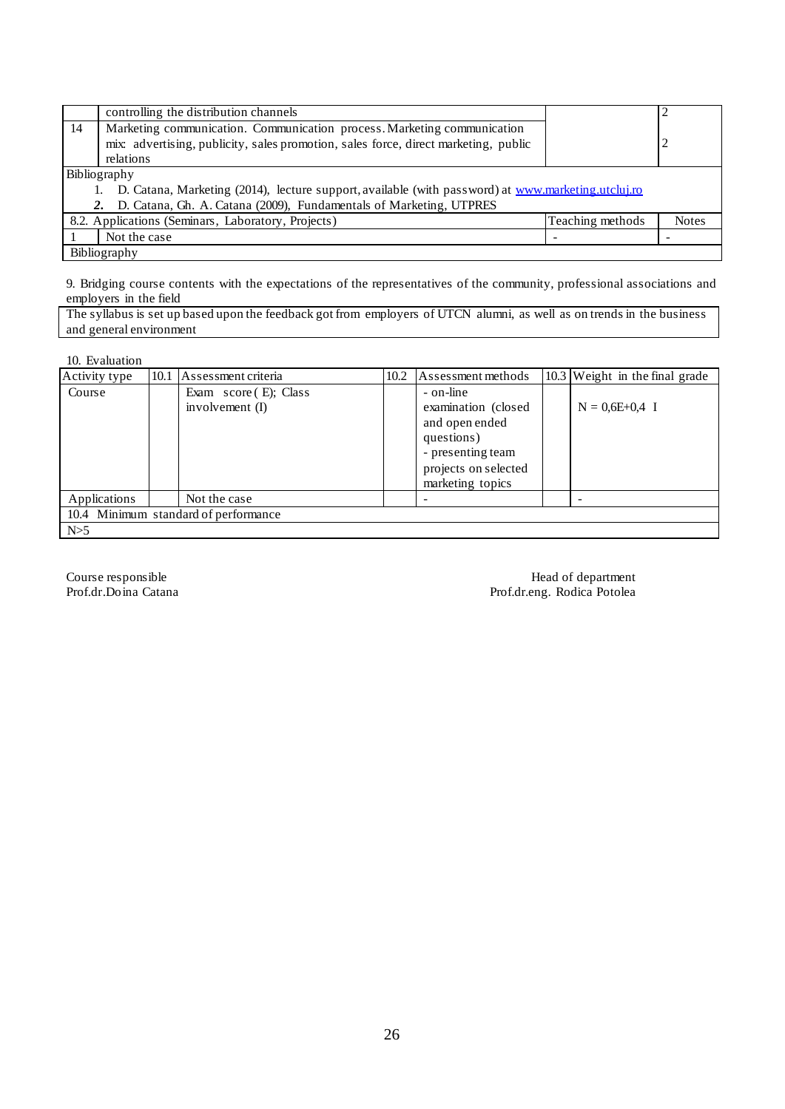|    | controlling the distribution channels<br>2                                                         |  |  |  |  |  |  |
|----|----------------------------------------------------------------------------------------------------|--|--|--|--|--|--|
| 14 | Marketing communication. Communication process. Marketing communication                            |  |  |  |  |  |  |
|    | 2<br>mix: advertising, publicity, sales promotion, sales force, direct marketing, public           |  |  |  |  |  |  |
|    | relations                                                                                          |  |  |  |  |  |  |
|    | Bibliography                                                                                       |  |  |  |  |  |  |
|    | D. Catana, Marketing (2014), lecture support, available (with password) at www.marketing.utcluj.ro |  |  |  |  |  |  |
|    | D. Catana, Gh. A. Catana (2009), Fundamentals of Marketing, UTPRES                                 |  |  |  |  |  |  |
|    | 8.2. Applications (Seminars, Laboratory, Projects)<br>Teaching methods<br><b>Notes</b>             |  |  |  |  |  |  |
|    | Not the case                                                                                       |  |  |  |  |  |  |
|    | Bibliography                                                                                       |  |  |  |  |  |  |

9. Bridging course contents with the expectations of the representatives of the community, professional associations and employers in the field

The syllabus is set up based upon the feedback got from employers of UTCN alumni, as well as on trends in the business and general environment

10. Evaluation

| Activity type | 10.1 | Assessment criteria                          | 10.2 | Assessment methods                                                                                                                 | 10.3 Weight in the final grade |
|---------------|------|----------------------------------------------|------|------------------------------------------------------------------------------------------------------------------------------------|--------------------------------|
| Course        |      | Exam $score(E)$ ; Class<br>involvement $(I)$ |      | - on-line<br>examination (closed)<br>and open ended<br>questions)<br>- presenting team<br>projects on selected<br>marketing topics | $N = 0.6E + 0.4$ I             |
| Applications  |      | Not the case                                 |      |                                                                                                                                    |                                |
|               |      | 10.4 Minimum standard of performance         |      |                                                                                                                                    |                                |
| N>5           |      |                                              |      |                                                                                                                                    |                                |

Course responsible Head of department Prof.dr.Doina Catana **Prof.dr.Doina Catana** Prof.dr.eng. Rodica Potolea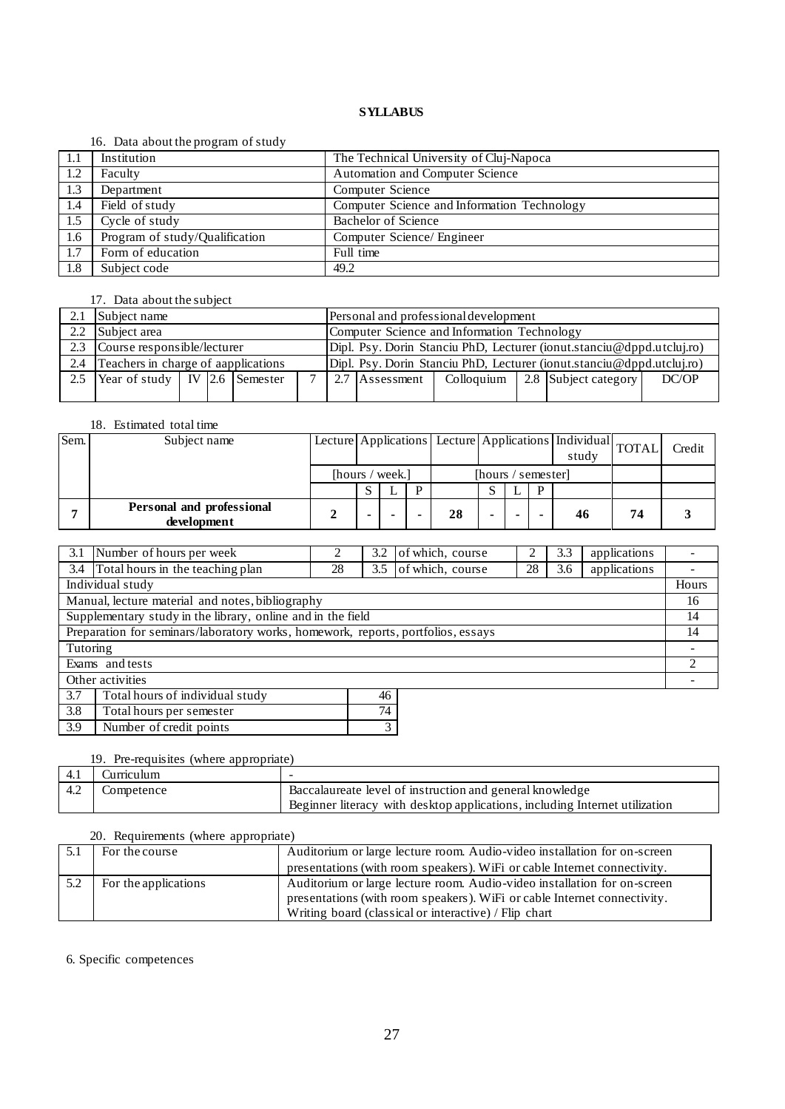### 16. Data about the program of study

|      | $10.9$ $\mu$ $\mu$ $\alpha$ $\beta$ $\alpha$ $\beta$ $\alpha$ $\beta$ $\beta$ $\alpha$ $\beta$ $\alpha$ $\beta$ $\alpha$ $\beta$ $\alpha$ $\beta$ $\alpha$ $\beta$ $\gamma$ $\alpha$ $\beta$ $\gamma$ $\alpha$ $\beta$ $\gamma$ $\alpha$ $\beta$ $\gamma$ $\alpha$ $\beta$ $\gamma$ $\alpha$ $\beta$ $\gamma$ $\alpha$ $\beta$ $\gamma$ $\alpha$ $\gamma$ $\gamma$ $\gamma$ $\gamma$ |                                             |
|------|--------------------------------------------------------------------------------------------------------------------------------------------------------------------------------------------------------------------------------------------------------------------------------------------------------------------------------------------------------------------------------------|---------------------------------------------|
| -1.1 | Institution                                                                                                                                                                                                                                                                                                                                                                          | The Technical University of Cluj-Napoca     |
| 1.2  | Faculty                                                                                                                                                                                                                                                                                                                                                                              | Automation and Computer Science             |
| 1.3  | Department                                                                                                                                                                                                                                                                                                                                                                           | Computer Science                            |
| 1.4  | Field of study                                                                                                                                                                                                                                                                                                                                                                       | Computer Science and Information Technology |
| 1.5  | Cycle of study                                                                                                                                                                                                                                                                                                                                                                       | Bachelor of Science                         |
| 1.6  | Program of study/Qualification                                                                                                                                                                                                                                                                                                                                                       | Computer Science/ Engineer                  |
| 1.7  | Form of education                                                                                                                                                                                                                                                                                                                                                                    | Full time                                   |
| 1.8  | Subject code                                                                                                                                                                                                                                                                                                                                                                         | 49.2                                        |

# 17. Data about the subject

|     | Subject name                                    |  |  |  |  |  | Personal and professional development                                   |  |  |                                     |       |  |  |
|-----|-------------------------------------------------|--|--|--|--|--|-------------------------------------------------------------------------|--|--|-------------------------------------|-------|--|--|
| 2.2 | Subject area                                    |  |  |  |  |  | Computer Science and Information Technology                             |  |  |                                     |       |  |  |
| 2.3 | Course responsible/lecturer                     |  |  |  |  |  | Dipl. Psy. Dorin Stanciu PhD, Lecturer (ionut.stanciu@dppd.utcluj.ro)   |  |  |                                     |       |  |  |
| 2.4 | Teachers in charge of aapplications             |  |  |  |  |  | $Dipl. Psy. Dorin Stanciu PhD, Lecturer (ionut.stanciu@dppd.utclui-ro)$ |  |  |                                     |       |  |  |
| 2.5 | Year of study   IV $\vert$ 2.6 $\vert$ Semester |  |  |  |  |  | 2.7 Assessment                                                          |  |  | Colloquium   2.8   Subject category | DC/OP |  |  |
|     |                                                 |  |  |  |  |  |                                                                         |  |  |                                     |       |  |  |

### 18. Estimated total time

| Sem. | Subject name                             |                 |   |                    |    |  |  |   | Lecture Applications   Lecture Applications   Individual   TOTAL  <br>study |    | Credit |
|------|------------------------------------------|-----------------|---|--------------------|----|--|--|---|-----------------------------------------------------------------------------|----|--------|
|      |                                          | [hours / week.] |   | [hours / semester] |    |  |  |   |                                                                             |    |        |
|      |                                          |                 |   |                    |    |  |  | D |                                                                             |    |        |
|      | Personal and professional<br>development |                 | - |                    | 28 |  |  |   | 46                                                                          | 74 |        |

| 3.1                                                                              | Number of hours per week                         |    | 3.2 | of which, course |    | 3.3 | applications   |       |
|----------------------------------------------------------------------------------|--------------------------------------------------|----|-----|------------------|----|-----|----------------|-------|
| 3.4                                                                              | Total hours in the teaching plan                 | 28 | 3.5 | of which, course | 28 | 3.6 | applications   |       |
|                                                                                  | Individual study                                 |    |     |                  |    |     |                | Hours |
|                                                                                  | Manual, lecture material and notes, bibliography |    |     |                  |    |     |                | 16    |
| Supplementary study in the library, online and in the field                      |                                                  |    |     |                  |    |     |                | 14    |
| Preparation for seminars/laboratory works, homework, reports, portfolios, essays |                                                  |    |     |                  |    |     |                | 14    |
| Tutoring                                                                         |                                                  |    |     |                  |    |     |                |       |
| Exams and tests                                                                  |                                                  |    |     |                  |    |     | $\mathfrak{D}$ |       |
| Other activities                                                                 |                                                  |    |     |                  |    |     |                |       |
| 3.7                                                                              | Total hours of individual study                  |    | 46  |                  |    |     |                |       |
| 3.8                                                                              | 74<br>Total hours per semester                   |    |     |                  |    |     |                |       |

# 19. Pre-requisites (where appropriate)

3.9 Number of credit points 3

| -4.1 | . \urnculum |                                                                             |
|------|-------------|-----------------------------------------------------------------------------|
| 4.2  | Competence  | Baccalaureate level of instruction and general knowledge                    |
|      |             | Beginner literacy with desktop applications, including Internet utilization |

# 20. Requirements (where appropriate)

|     | For the course       | Auditorium or large lecture room. Audio-video installation for on-screen |  |  |  |
|-----|----------------------|--------------------------------------------------------------------------|--|--|--|
|     |                      | presentations (with room speakers). WiFi or cable Internet connectivity. |  |  |  |
| 5.2 | For the applications | Auditorium or large lecture room. Audio-video installation for on-screen |  |  |  |
|     |                      | presentations (with room speakers). WiFi or cable Internet connectivity. |  |  |  |
|     |                      | Writing board (classical or interactive) / Flip chart                    |  |  |  |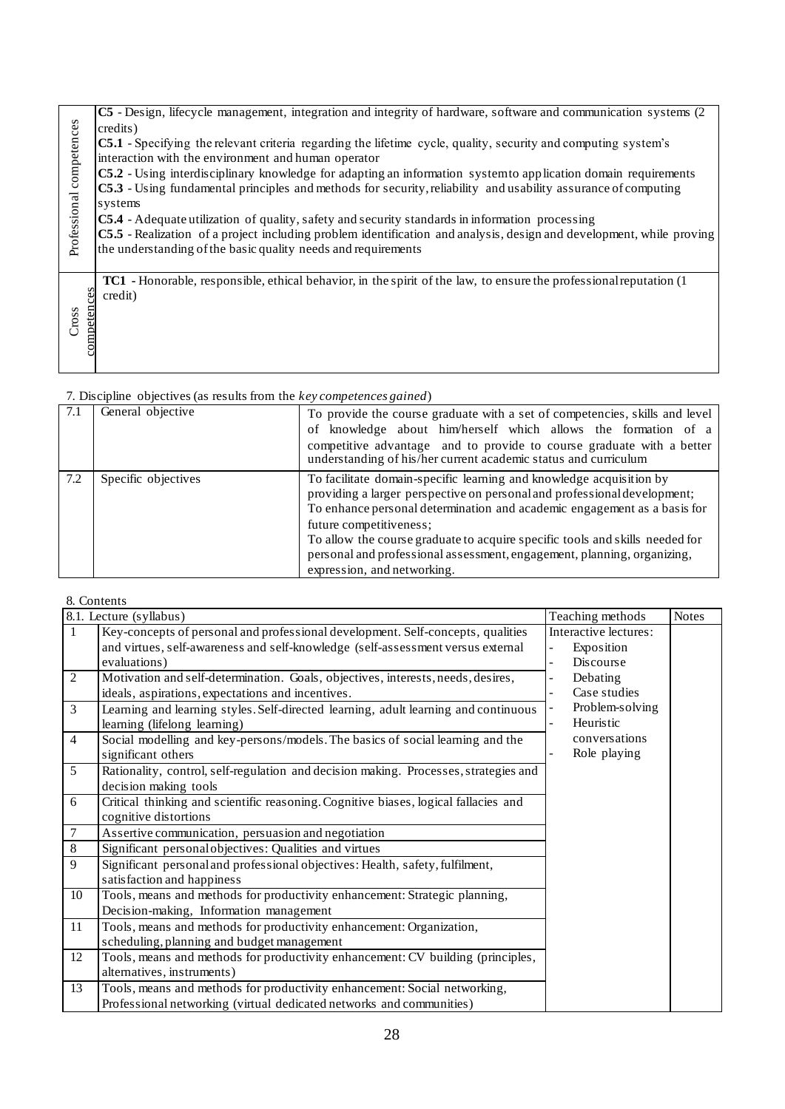| competences<br>Professional | C5 - Design, lifecycle management, integration and integrity of hardware, software and communication systems (2)<br>credits)<br><b>C5.1</b> - Specifying the relevant criteria regarding the lifetime cycle, quality, security and computing system's<br>interaction with the environment and human operator<br>C5.2 - Using interdisciplinary knowledge for adapting an information system to application domain requirements<br>C5.3 - Using fundamental principles and methods for security, reliability and usability assurance of computing<br>systems<br><b>C5.4</b> - Adequate utilization of quality, safety and security standards in information processing<br>C5.5 - Realization of a project including problem identification and analysis, design and development, while proving<br>the understanding of the basic quality needs and requirements |
|-----------------------------|----------------------------------------------------------------------------------------------------------------------------------------------------------------------------------------------------------------------------------------------------------------------------------------------------------------------------------------------------------------------------------------------------------------------------------------------------------------------------------------------------------------------------------------------------------------------------------------------------------------------------------------------------------------------------------------------------------------------------------------------------------------------------------------------------------------------------------------------------------------|
| competences                 | <b>TC1</b> - Honorable, responsible, ethical behavior, in the spirit of the law, to ensure the professional reputation (1)                                                                                                                                                                                                                                                                                                                                                                                                                                                                                                                                                                                                                                                                                                                                     |
| Cross                       | credit)                                                                                                                                                                                                                                                                                                                                                                                                                                                                                                                                                                                                                                                                                                                                                                                                                                                        |

| 7.1 | General objective   | To provide the course graduate with a set of competencies, skills and level<br>of knowledge about him/herself which allows the formation of a<br>competitive advantage and to provide to course graduate with a better<br>understanding of his/her current academic status and curriculum                                                                                                                                                        |
|-----|---------------------|--------------------------------------------------------------------------------------------------------------------------------------------------------------------------------------------------------------------------------------------------------------------------------------------------------------------------------------------------------------------------------------------------------------------------------------------------|
| 7.2 | Specific objectives | To facilitate domain-specific learning and knowledge acquisition by<br>providing a larger perspective on personal and professional development;<br>To enhance personal determination and academic engagement as a basis for<br>future competitiveness;<br>To allow the course graduate to acquire specific tools and skills needed for<br>personal and professional assessment, engagement, planning, organizing,<br>expression, and networking. |

|                         | 8. Contents                                                                                                                                                                                                                                                  |  |                                                          |              |
|-------------------------|--------------------------------------------------------------------------------------------------------------------------------------------------------------------------------------------------------------------------------------------------------------|--|----------------------------------------------------------|--------------|
| 8.1. Lecture (syllabus) |                                                                                                                                                                                                                                                              |  | Teaching methods                                         | <b>Notes</b> |
| $\mathbf{1}$            | Key-concepts of personal and professional development. Self-concepts, qualities<br>and virtues, self-awareness and self-knowledge (self-assessment versus external<br>evaluations)                                                                           |  | Interactive lectures:<br>Exposition<br><b>Discourse</b>  |              |
| 2<br>3                  | Motivation and self-determination. Goals, objectives, interests, needs, desires,<br>ideals, aspirations, expectations and incentives.<br>Learning and learning styles. Self-directed learning, adult learning and continuous<br>learning (lifelong learning) |  | Debating<br>Case studies<br>Problem-solving<br>Heuristic |              |
| $\overline{4}$          | Social modelling and key-persons/models. The basics of social learning and the<br>significant others                                                                                                                                                         |  | conversations<br>Role playing                            |              |
| 5                       | Rationality, control, self-regulation and decision making. Processes, strategies and<br>decision making tools                                                                                                                                                |  |                                                          |              |
| 6                       | Critical thinking and scientific reasoning. Cognitive biases, logical fallacies and<br>cognitive distortions                                                                                                                                                 |  |                                                          |              |
| $\tau$                  | Assertive communication, persuasion and negotiation                                                                                                                                                                                                          |  |                                                          |              |
| 8                       | Significant personal objectives: Qualities and virtues                                                                                                                                                                                                       |  |                                                          |              |
| 9                       | Significant personal and professional objectives: Health, safety, fulfilment,<br>satisfaction and happiness                                                                                                                                                  |  |                                                          |              |
| 10                      | Tools, means and methods for productivity enhancement: Strategic planning,<br>Decision-making, Information management                                                                                                                                        |  |                                                          |              |
| 11                      | Tools, means and methods for productivity enhancement: Organization,<br>scheduling, planning and budget management                                                                                                                                           |  |                                                          |              |
| 12                      | Tools, means and methods for productivity enhancement: CV building (principles,<br>alternatives, instruments)                                                                                                                                                |  |                                                          |              |
| 13                      | Tools, means and methods for productivity enhancement: Social networking,<br>Professional networking (virtual dedicated networks and communities)                                                                                                            |  |                                                          |              |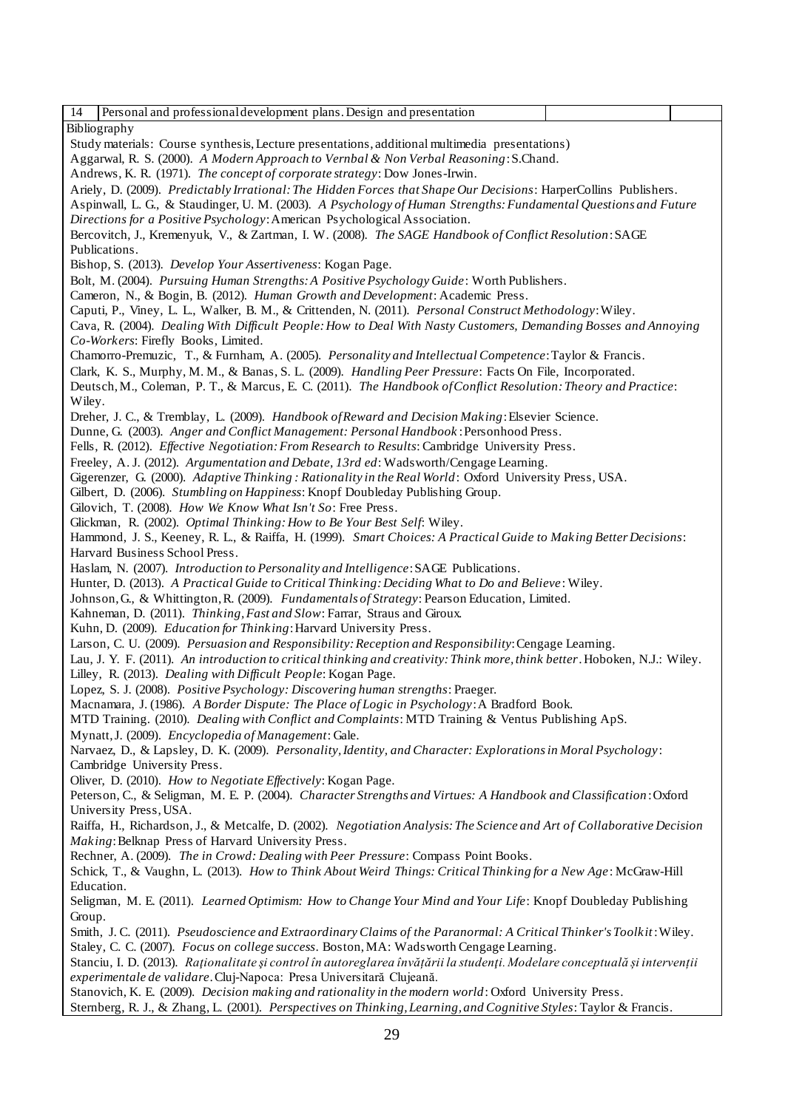| Personal and professional development plans. Design and presentation<br>14                                                 |  |  |  |  |  |  |
|----------------------------------------------------------------------------------------------------------------------------|--|--|--|--|--|--|
|                                                                                                                            |  |  |  |  |  |  |
| Bibliography                                                                                                               |  |  |  |  |  |  |
| Study materials: Course synthesis, Lecture presentations, additional multimedia presentations)                             |  |  |  |  |  |  |
| Aggarwal, R. S. (2000). A Modern Approach to Vernbal & Non Verbal Reasoning: S.Chand.                                      |  |  |  |  |  |  |
| Andrews, K. R. (1971). The concept of corporate strategy: Dow Jones-Irwin.                                                 |  |  |  |  |  |  |
| Ariely, D. (2009). Predictably Irrational: The Hidden Forces that Shape Our Decisions: HarperCollins Publishers.           |  |  |  |  |  |  |
| Aspinwall, L. G., & Staudinger, U. M. (2003). A Psychology of Human Strengths: Fundamental Questions and Future            |  |  |  |  |  |  |
| Directions for a Positive Psychology: American Psychological Association.                                                  |  |  |  |  |  |  |
| Bercovitch, J., Kremenyuk, V., & Zartman, I. W. (2008). The SAGE Handbook of Conflict Resolution: SAGE                     |  |  |  |  |  |  |
| Publications.                                                                                                              |  |  |  |  |  |  |
|                                                                                                                            |  |  |  |  |  |  |
| Bishop, S. (2013). Develop Your Assertiveness: Kogan Page.                                                                 |  |  |  |  |  |  |
| Bolt, M. (2004). Pursuing Human Strengths: A Positive Psychology Guide: Worth Publishers.                                  |  |  |  |  |  |  |
| Cameron, N., & Bogin, B. (2012). Human Growth and Development: Academic Press.                                             |  |  |  |  |  |  |
| Caputi, P., Viney, L. L., Walker, B. M., & Crittenden, N. (2011). Personal Construct Methodology: Wiley.                   |  |  |  |  |  |  |
| Cava, R. (2004). Dealing With Difficult People: How to Deal With Nasty Customers, Demanding Bosses and Annoying            |  |  |  |  |  |  |
| Co-Workers: Firefly Books, Limited.                                                                                        |  |  |  |  |  |  |
| Chamorro-Premuzic, T., & Furnham, A. (2005). Personality and Intellectual Competence: Taylor & Francis.                    |  |  |  |  |  |  |
| Clark, K. S., Murphy, M. M., & Banas, S. L. (2009). Handling Peer Pressure: Facts On File, Incorporated.                   |  |  |  |  |  |  |
| Deutsch, M., Coleman, P. T., & Marcus, E. C. (2011). The Handbook of Conflict Resolution: Theory and Practice:             |  |  |  |  |  |  |
| Wiley.                                                                                                                     |  |  |  |  |  |  |
| Dreher, J. C., & Tremblay, L. (2009). Handbook of Reward and Decision Making: Elsevier Science.                            |  |  |  |  |  |  |
| Dunne, G. (2003). Anger and Conflict Management: Personal Handbook: Personhood Press.                                      |  |  |  |  |  |  |
| Fells, R. (2012). Effective Negotiation: From Research to Results: Cambridge University Press.                             |  |  |  |  |  |  |
| Freeley, A. J. (2012). Argumentation and Debate, 13rd ed: Wadsworth/Cengage Learning.                                      |  |  |  |  |  |  |
| Gigerenzer, G. (2000). Adaptive Thinking: Rationality in the Real World: Oxford University Press, USA.                     |  |  |  |  |  |  |
| Gilbert, D. (2006). Stumbling on Happiness: Knopf Doubleday Publishing Group.                                              |  |  |  |  |  |  |
|                                                                                                                            |  |  |  |  |  |  |
| Gilovich, T. (2008). How We Know What Isn't So: Free Press.                                                                |  |  |  |  |  |  |
| Glickman, R. (2002). Optimal Thinking: How to Be Your Best Self: Wiley.                                                    |  |  |  |  |  |  |
| Hammond, J. S., Keeney, R. L., & Raiffa, H. (1999). Smart Choices: A Practical Guide to Making Better Decisions:           |  |  |  |  |  |  |
| Harvard Business School Press.                                                                                             |  |  |  |  |  |  |
| Haslam, N. (2007). Introduction to Personality and Intelligence: SAGE Publications.                                        |  |  |  |  |  |  |
| Hunter, D. (2013). A Practical Guide to Critical Thinking: Deciding What to Do and Believe: Wiley.                         |  |  |  |  |  |  |
| Johnson, G., & Whittington, R. (2009). Fundamentals of Strategy: Pearson Education, Limited.                               |  |  |  |  |  |  |
| Kahneman, D. (2011). Thinking, Fast and Slow: Farrar, Straus and Giroux.                                                   |  |  |  |  |  |  |
| Kuhn, D. (2009). Education for Thinking: Harvard University Press.                                                         |  |  |  |  |  |  |
| Larson, C. U. (2009). Persuasion and Responsibility: Reception and Responsibility: Cengage Learning.                       |  |  |  |  |  |  |
| Lau, J. Y. F. (2011). An introduction to critical thinking and creativity: Think more, think better. Hoboken, N.J.: Wiley. |  |  |  |  |  |  |
| Lilley, R. (2013). Dealing with Difficult People: Kogan Page.                                                              |  |  |  |  |  |  |
| Lopez, S. J. (2008). Positive Psychology: Discovering human strengths: Praeger.                                            |  |  |  |  |  |  |
| Macnamara, J. (1986). A Border Dispute: The Place of Logic in Psychology: A Bradford Book.                                 |  |  |  |  |  |  |
| MTD Training. (2010). Dealing with Conflict and Complaints: MTD Training & Ventus Publishing ApS.                          |  |  |  |  |  |  |
| Mynatt, J. (2009). Encyclopedia of Management: Gale.                                                                       |  |  |  |  |  |  |
| Narvaez, D., & Lapsley, D. K. (2009). Personality, Identity, and Character: Explorations in Moral Psychology:              |  |  |  |  |  |  |
| Cambridge University Press.                                                                                                |  |  |  |  |  |  |
| Oliver, D. (2010). How to Negotiate Effectively: Kogan Page.                                                               |  |  |  |  |  |  |
|                                                                                                                            |  |  |  |  |  |  |
| Peterson, C., & Seligman, M. E. P. (2004). Character Strengths and Virtues: A Handbook and Classification: Oxford          |  |  |  |  |  |  |
| University Press, USA.                                                                                                     |  |  |  |  |  |  |
| Raiffa, H., Richardson, J., & Metcalfe, D. (2002). Negotiation Analysis: The Science and Art of Collaborative Decision     |  |  |  |  |  |  |
| Making: Belknap Press of Harvard University Press.                                                                         |  |  |  |  |  |  |
| Rechner, A. (2009). The in Crowd: Dealing with Peer Pressure: Compass Point Books.                                         |  |  |  |  |  |  |
| Schick, T., & Vaughn, L. (2013). How to Think About Weird Things: Critical Thinking for a New Age: McGraw-Hill             |  |  |  |  |  |  |
| Education.                                                                                                                 |  |  |  |  |  |  |
| Seligman, M. E. (2011). Learned Optimism: How to Change Your Mind and Your Life: Knopf Doubleday Publishing                |  |  |  |  |  |  |
| Group.                                                                                                                     |  |  |  |  |  |  |
| Smith, J. C. (2011). Pseudoscience and Extraordinary Claims of the Paranormal: A Critical Thinker's Toolkit: Wiley.        |  |  |  |  |  |  |
| Staley, C. C. (2007). Focus on college success. Boston, MA: Wadsworth Cengage Learning.                                    |  |  |  |  |  |  |
| Stanciu, I. D. (2013). Raționalitate și control în autoreglarea învățării la studenți. Modelare conceptuală și intervenții |  |  |  |  |  |  |
| experimentale de validare. Cluj-Napoca: Presa Universitară Clujeană.                                                       |  |  |  |  |  |  |
| Stanovich, K. E. (2009). Decision making and rationality in the modern world: Oxford University Press.                     |  |  |  |  |  |  |
| Sternberg, R. J., & Zhang, L. (2001). Perspectives on Thinking, Learning, and Cognitive Styles: Taylor & Francis.          |  |  |  |  |  |  |
|                                                                                                                            |  |  |  |  |  |  |